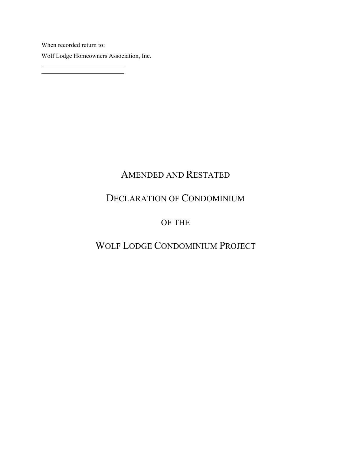When recorded return to: Wolf Lodge Homeowners Association, Inc.

## AMENDED AND RESTATED

## DECLARATION OF CONDOMINIUM

## OF THE

# WOLF LODGE CONDOMINIUM PROJECT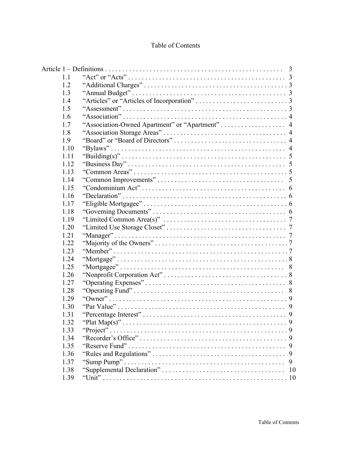## Table of Contents

| 1.1  |            |
|------|------------|
| 1.2  |            |
| 1.3  |            |
| 1.4  |            |
| 1.5  |            |
| 1.6  |            |
| 1.7  |            |
| 1.8  |            |
| 1.9  |            |
| 1.10 |            |
| 1.11 |            |
| 1.12 |            |
| 1.13 |            |
| 1.14 |            |
| 1.15 |            |
| 1.16 |            |
| 1.17 |            |
| 1.18 |            |
| 1.19 |            |
| 1.20 |            |
| 1.21 |            |
| 1.22 |            |
| 1.23 |            |
| 1.24 |            |
| 1.25 |            |
| 1.26 |            |
| 1.27 |            |
| 1.28 |            |
| 1.29 |            |
| 1.30 |            |
| 1.31 |            |
| 1.32 |            |
| 1.33 | "Project". |
| 1.34 |            |
| 1.35 | 9          |
| 1.36 | 9          |
| 1.37 | 9          |
| 1.38 | 10         |
| 1.39 |            |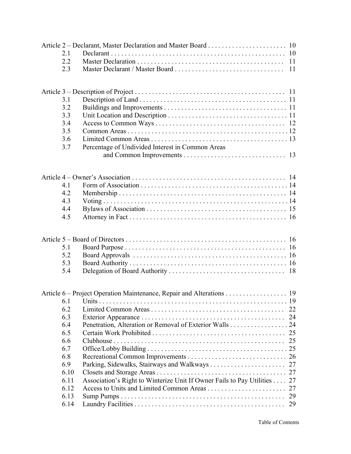| 2.1  |                                                                       |    |
|------|-----------------------------------------------------------------------|----|
| 2.2  |                                                                       |    |
| 2.3  |                                                                       |    |
|      |                                                                       |    |
|      |                                                                       |    |
| 3.1  |                                                                       |    |
| 3.2  |                                                                       |    |
| 3.3  |                                                                       |    |
| 3.4  |                                                                       |    |
| 3.5  |                                                                       |    |
| 3.6  |                                                                       |    |
| 3.7  | Percentage of Undivided Interest in Common Areas                      |    |
|      |                                                                       |    |
|      |                                                                       |    |
|      |                                                                       |    |
|      |                                                                       |    |
| 41   |                                                                       |    |
| 4.2  |                                                                       |    |
| 4.3  |                                                                       |    |
| 4.4  |                                                                       |    |
| 4.5  |                                                                       |    |
|      |                                                                       |    |
|      |                                                                       |    |
| 5.1  |                                                                       |    |
| 5.2  |                                                                       |    |
| 5.3  |                                                                       |    |
| 5.4  |                                                                       |    |
|      |                                                                       |    |
|      | Article 6 – Project Operation Maintenance, Repair and Alterations 19  |    |
| 6.1  |                                                                       |    |
| 6.2  |                                                                       | 22 |
| 6.3  |                                                                       |    |
| 6.4  | Penetration, Alteration or Removal of Exterior Walls 24               |    |
| 6.5  |                                                                       |    |
| 6.6  |                                                                       |    |
| 6.7  |                                                                       |    |
| 6.8  |                                                                       |    |
| 6.9  |                                                                       |    |
| 6.10 |                                                                       |    |
| 6.11 | Association's Right to Winterize Unit If Owner Fails to Pay Utilities | 27 |
| 6.12 |                                                                       | 27 |
| 6.13 |                                                                       | 29 |
| 6.14 |                                                                       | 29 |
|      |                                                                       |    |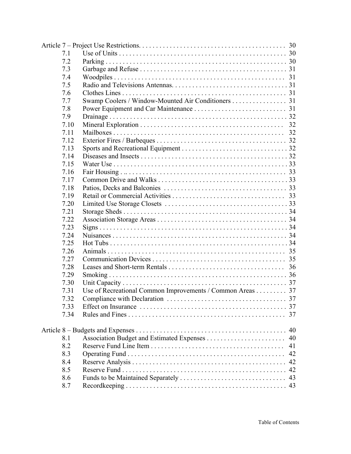| 7.1  |                                                           |    |
|------|-----------------------------------------------------------|----|
| 7.2  |                                                           |    |
| 7.3  |                                                           |    |
| 7.4  |                                                           |    |
| 7.5  |                                                           |    |
| 7.6  |                                                           |    |
| 7.7  | Swamp Coolers / Window-Mounted Air Conditioners 31        |    |
| 7.8  |                                                           |    |
| 7.9  |                                                           |    |
| 7.10 |                                                           |    |
| 7.11 |                                                           |    |
| 7.12 |                                                           |    |
| 7.13 |                                                           |    |
| 7.14 |                                                           |    |
| 7.15 |                                                           |    |
| 7.16 |                                                           |    |
| 7.17 |                                                           |    |
| 7.18 |                                                           |    |
| 7.19 |                                                           |    |
| 7.20 |                                                           |    |
| 7.21 |                                                           |    |
| 7.22 |                                                           |    |
| 7.23 |                                                           |    |
| 7.24 |                                                           |    |
| 7.25 |                                                           |    |
| 7.26 |                                                           |    |
| 7.27 |                                                           |    |
| 7.28 |                                                           |    |
| 7.29 |                                                           |    |
| 7.30 |                                                           |    |
| 7.31 | Use of Recreational Common Improvements / Common Areas 37 |    |
| 7.32 |                                                           |    |
| 7.33 |                                                           |    |
| 7.34 |                                                           | 37 |
|      |                                                           | 40 |
| 8.1  |                                                           | 40 |
| 8.2  |                                                           | 41 |
| 8.3  |                                                           | 42 |
| 8.4  |                                                           |    |
| 8.5  |                                                           | 42 |
| 8.6  |                                                           |    |
| 8.7  |                                                           |    |
|      |                                                           |    |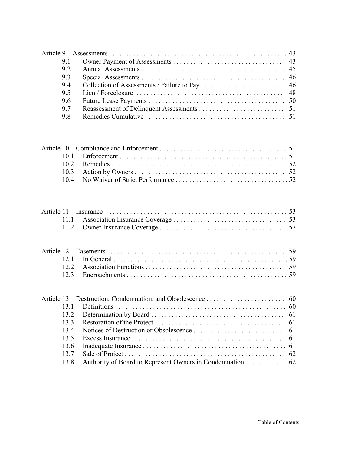| 91  |  |
|-----|--|
| 92  |  |
| 9.3 |  |
| 94  |  |
| 95  |  |
| 96  |  |
| 97  |  |
| 98  |  |

| 134  |                                                           |  |
|------|-----------------------------------------------------------|--|
| 13.5 |                                                           |  |
|      |                                                           |  |
|      |                                                           |  |
| 13.8 | Authority of Board to Represent Owners in Condemnation 62 |  |
|      |                                                           |  |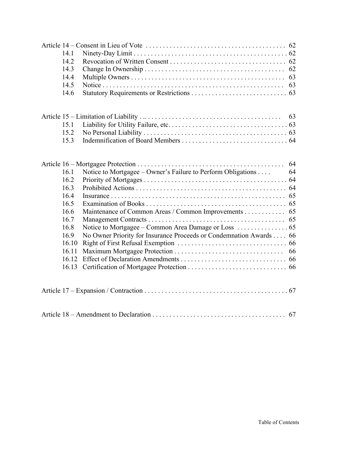| 14.1<br>14.2<br>14.3<br>14.4<br>14.5<br>14.6 |                                                                    |    |
|----------------------------------------------|--------------------------------------------------------------------|----|
|                                              |                                                                    |    |
| 15.1                                         |                                                                    |    |
| 15.2                                         |                                                                    |    |
| 15.3                                         |                                                                    |    |
|                                              |                                                                    |    |
|                                              |                                                                    | 64 |
| 16.1                                         | Notice to Mortgagee – Owner's Failure to Perform Obligations       | 64 |
| 16.2                                         |                                                                    |    |
| 16.3                                         |                                                                    |    |
| 16.4                                         |                                                                    |    |
| 16.5                                         |                                                                    |    |
| 16.6                                         | Maintenance of Common Areas / Common Improvements 65               |    |
| 16.7                                         |                                                                    |    |
| 16.8                                         |                                                                    |    |
| 16.9                                         | No Owner Priority for Insurance Proceeds or Condemnation Awards 66 |    |
| 16.10                                        |                                                                    |    |
| 16.11                                        |                                                                    |    |
| 16.12                                        |                                                                    |    |
| 16.13                                        |                                                                    |    |
|                                              |                                                                    |    |
|                                              |                                                                    |    |
|                                              |                                                                    |    |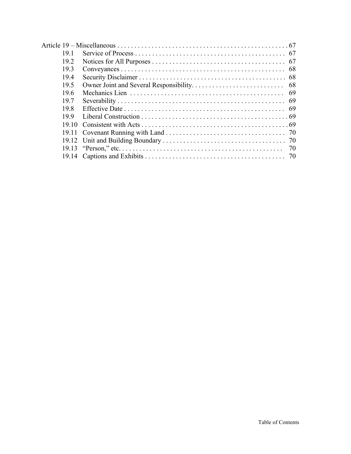| 191   |  |
|-------|--|
| 19.2  |  |
| 19.3  |  |
| 19.4  |  |
| 19.5  |  |
| 196   |  |
| 197   |  |
| 198   |  |
| 199   |  |
| 19.10 |  |
|       |  |
| 19.12 |  |
|       |  |
|       |  |
|       |  |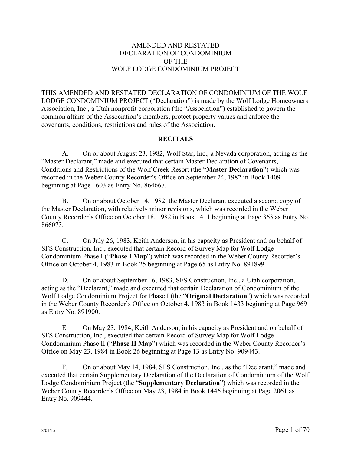## AMENDED AND RESTATED DECLARATION OF CONDOMINIUM OF THE WOLF LODGE CONDOMINIUM PROJECT

THIS AMENDED AND RESTATED DECLARATION OF CONDOMINIUM OF THE WOLF LODGE CONDOMINIUM PROJECT ("Declaration") is made by the Wolf Lodge Homeowners Association, Inc., a Utah nonprofit corporation (the "Association") established to govern the common affairs of the Association's members, protect property values and enforce the covenants, conditions, restrictions and rules of the Association.

## **RECITALS**

A. On or about August 23, 1982, Wolf Star, Inc., a Nevada corporation, acting as the "Master Declarant," made and executed that certain Master Declaration of Covenants, Conditions and Restrictions of the Wolf Creek Resort (the "**Master Declaration**") which was recorded in the Weber County Recorder's Office on September 24, 1982 in Book 1409 beginning at Page 1603 as Entry No. 864667.

B. On or about October 14, 1982, the Master Declarant executed a second copy of the Master Declaration, with relatively minor revisions, which was recorded in the Weber County Recorder's Office on October 18, 1982 in Book 1411 beginning at Page 363 as Entry No. 866073.

C. On July 26, 1983, Keith Anderson, in his capacity as President and on behalf of SFS Construction, Inc., executed that certain Record of Survey Map for Wolf Lodge Condominium Phase I ("**Phase I Map**") which was recorded in the Weber County Recorder's Office on October 4, 1983 in Book 25 beginning at Page 65 as Entry No. 891899.

D. On or about September 16, 1983, SFS Construction, Inc., a Utah corporation, acting as the "Declarant," made and executed that certain Declaration of Condominium of the Wolf Lodge Condominium Project for Phase I (the "**Original Declaration**") which was recorded in the Weber County Recorder's Office on October 4, 1983 in Book 1433 beginning at Page 969 as Entry No. 891900.

E. On May 23, 1984, Keith Anderson, in his capacity as President and on behalf of SFS Construction, Inc., executed that certain Record of Survey Map for Wolf Lodge Condominium Phase II ("**Phase II Map**") which was recorded in the Weber County Recorder's Office on May 23, 1984 in Book 26 beginning at Page 13 as Entry No. 909443.

F. On or about May 14, 1984, SFS Construction, Inc., as the "Declarant," made and executed that certain Supplementary Declaration of the Declaration of Condominium of the Wolf Lodge Condominium Project (the "**Supplementary Declaration**") which was recorded in the Weber County Recorder's Office on May 23, 1984 in Book 1446 beginning at Page 2061 as Entry No. 909444.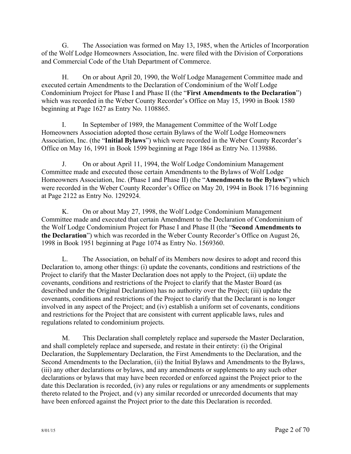G. The Association was formed on May 13, 1985, when the Articles of Incorporation of the Wolf Lodge Homeowners Association, Inc. were filed with the Division of Corporations and Commercial Code of the Utah Department of Commerce.

H. On or about April 20, 1990, the Wolf Lodge Management Committee made and executed certain Amendments to the Declaration of Condominium of the Wolf Lodge Condominium Project for Phase I and Phase II (the "**First Amendments to the Declaration**") which was recorded in the Weber County Recorder's Office on May 15, 1990 in Book 1580 beginning at Page 1627 as Entry No. 1108865.

I. In September of 1989, the Management Committee of the Wolf Lodge Homeowners Association adopted those certain Bylaws of the Wolf Lodge Homeowners Association, Inc. (the "**Initial Bylaws**") which were recorded in the Weber County Recorder's Office on May 16, 1991 in Book 1599 beginning at Page 1864 as Entry No. 1139886.

J. On or about April 11, 1994, the Wolf Lodge Condominium Management Committee made and executed those certain Amendments to the Bylaws of Wolf Lodge Homeowners Association, Inc. (Phase I and Phase II) (the "**Amendments to the Bylaws**") which were recorded in the Weber County Recorder's Office on May 20, 1994 in Book 1716 beginning at Page 2122 as Entry No. 1292924.

K. On or about May 27, 1998, the Wolf Lodge Condominium Management Committee made and executed that certain Amendment to the Declaration of Condominium of the Wolf Lodge Condominium Project for Phase I and Phase II (the "**Second Amendments to the Declaration**") which was recorded in the Weber County Recorder's Office on August 26, 1998 in Book 1951 beginning at Page 1074 as Entry No. 1569360.

L. The Association, on behalf of its Members now desires to adopt and record this Declaration to, among other things: (i) update the covenants, conditions and restrictions of the Project to clarify that the Master Declaration does not apply to the Project, (ii) update the covenants, conditions and restrictions of the Project to clarify that the Master Board (as described under the Original Declaration) has no authority over the Project; (iii) update the covenants, conditions and restrictions of the Project to clarify that the Declarant is no longer involved in any aspect of the Project; and (iv) establish a uniform set of covenants, conditions and restrictions for the Project that are consistent with current applicable laws, rules and regulations related to condominium projects.

M. This Declaration shall completely replace and supersede the Master Declaration, and shall completely replace and supersede, and restate in their entirety: (i) the Original Declaration, the Supplementary Declaration, the First Amendments to the Declaration, and the Second Amendments to the Declaration, (ii) the Initial Bylaws and Amendments to the Bylaws, (iii) any other declarations or bylaws, and any amendments or supplements to any such other declarations or bylaws that may have been recorded or enforced against the Project prior to the date this Declaration is recorded, (iv) any rules or regulations or any amendments or supplements thereto related to the Project, and (v) any similar recorded or unrecorded documents that may have been enforced against the Project prior to the date this Declaration is recorded.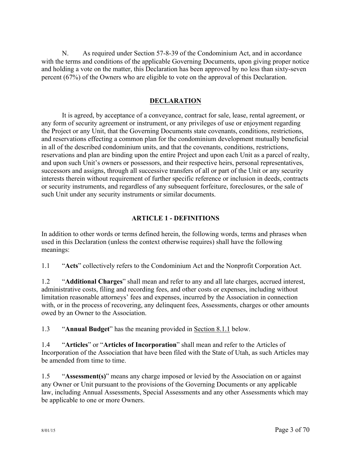N. As required under Section 57-8-39 of the Condominium Act, and in accordance with the terms and conditions of the applicable Governing Documents, upon giving proper notice and holding a vote on the matter, this Declaration has been approved by no less than sixty-seven percent (67%) of the Owners who are eligible to vote on the approval of this Declaration.

## **DECLARATION**

It is agreed, by acceptance of a conveyance, contract for sale, lease, rental agreement, or any form of security agreement or instrument, or any privileges of use or enjoyment regarding the Project or any Unit, that the Governing Documents state covenants, conditions, restrictions, and reservations effecting a common plan for the condominium development mutually beneficial in all of the described condominium units, and that the covenants, conditions, restrictions, reservations and plan are binding upon the entire Project and upon each Unit as a parcel of realty, and upon such Unit's owners or possessors, and their respective heirs, personal representatives, successors and assigns, through all successive transfers of all or part of the Unit or any security interests therein without requirement of further specific reference or inclusion in deeds, contracts or security instruments, and regardless of any subsequent forfeiture, foreclosures, or the sale of such Unit under any security instruments or similar documents.

## **ARTICLE 1 - DEFINITIONS**

In addition to other words or terms defined herein, the following words, terms and phrases when used in this Declaration (unless the context otherwise requires) shall have the following meanings:

1.1 "**Acts**" collectively refers to the Condominium Act and the Nonprofit Corporation Act.

1.2 "**Additional Charges**" shall mean and refer to any and all late charges, accrued interest, administrative costs, filing and recording fees, and other costs or expenses, including without limitation reasonable attorneys' fees and expenses, incurred by the Association in connection with, or in the process of recovering, any delinquent fees, Assessments, charges or other amounts owed by an Owner to the Association.

1.3 "**Annual Budget**" has the meaning provided in Section 8.1.1 below.

1.4 "**Articles**" or "**Articles of Incorporation**" shall mean and refer to the Articles of Incorporation of the Association that have been filed with the State of Utah, as such Articles may be amended from time to time.

1.5 "**Assessment(s)**" means any charge imposed or levied by the Association on or against any Owner or Unit pursuant to the provisions of the Governing Documents or any applicable law, including Annual Assessments, Special Assessments and any other Assessments which may be applicable to one or more Owners.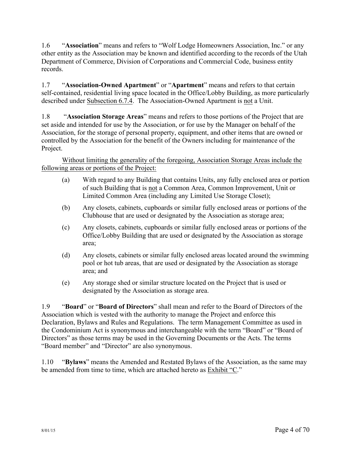1.6 "**Association**" means and refers to "Wolf Lodge Homeowners Association, Inc." or any other entity as the Association may be known and identified according to the records of the Utah Department of Commerce, Division of Corporations and Commercial Code, business entity records.

1.7 "**Association-Owned Apartment**" or "**Apartment**" means and refers to that certain self-contained, residential living space located in the Office/Lobby Building, as more particularly described under Subsection 6.7.4. The Association-Owned Apartment is not a Unit.

1.8 "**Association Storage Areas**" means and refers to those portions of the Project that are set aside and intended for use by the Association, or for use by the Manager on behalf of the Association, for the storage of personal property, equipment, and other items that are owned or controlled by the Association for the benefit of the Owners including for maintenance of the Project.

Without limiting the generality of the foregoing, Association Storage Areas include the following areas or portions of the Project:

- (a) With regard to any Building that contains Units, any fully enclosed area or portion of such Building that is not a Common Area, Common Improvement, Unit or Limited Common Area (including any Limited Use Storage Closet);
- (b) Any closets, cabinets, cupboards or similar fully enclosed areas or portions of the Clubhouse that are used or designated by the Association as storage area;
- (c) Any closets, cabinets, cupboards or similar fully enclosed areas or portions of the Office/Lobby Building that are used or designated by the Association as storage area;
- (d) Any closets, cabinets or similar fully enclosed areas located around the swimming pool or hot tub areas, that are used or designated by the Association as storage area; and
- (e) Any storage shed or similar structure located on the Project that is used or designated by the Association as storage area.

1.9 "**Board**" or "**Board of Directors**" shall mean and refer to the Board of Directors of the Association which is vested with the authority to manage the Project and enforce this Declaration, Bylaws and Rules and Regulations. The term Management Committee as used in the Condominium Act is synonymous and interchangeable with the term "Board" or "Board of Directors" as those terms may be used in the Governing Documents or the Acts. The terms "Board member" and "Director" are also synonymous.

1.10 "**Bylaws**" means the Amended and Restated Bylaws of the Association, as the same may be amended from time to time, which are attached hereto as Exhibit "C."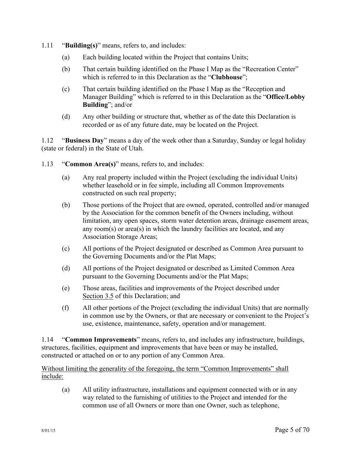- 1.11 "**Building(s)**" means, refers to, and includes:
	- (a) Each building located within the Project that contains Units;
	- (b) That certain building identified on the Phase I Map as the "Recreation Center" which is referred to in this Declaration as the "**Clubhouse**";
	- (c) That certain building identified on the Phase I Map as the "Reception and Manager Building" which is referred to in this Declaration as the "**Office/Lobby Building**"; and/or
	- (d) Any other building or structure that, whether as of the date this Declaration is recorded or as of any future date, may be located on the Project.

1.12 "**Business Day**" means a day of the week other than a Saturday, Sunday or legal holiday (state or federal) in the State of Utah.

- 1.13 "**Common Area(s)**" means, refers to, and includes:
	- (a) Any real property included within the Project (excluding the individual Units) whether leasehold or in fee simple, including all Common Improvements constructed on such real property;
	- (b) Those portions of the Project that are owned, operated, controlled and/or managed by the Association for the common benefit of the Owners including, without limitation, any open spaces, storm water detention areas, drainage easement areas, any room(s) or area(s) in which the laundry facilities are located, and any Association Storage Areas;
	- (c) All portions of the Project designated or described as Common Area pursuant to the Governing Documents and/or the Plat Maps;
	- (d) All portions of the Project designated or described as Limited Common Area pursuant to the Governing Documents and/or the Plat Maps;
	- (e) Those areas, facilities and improvements of the Project described under Section 3.5 of this Declaration; and
	- (f) All other portions of the Project (excluding the individual Units) that are normally in common use by the Owners, or that are necessary or convenient to the Project's use, existence, maintenance, safety, operation and/or management.

1.14 "**Common Improvements**" means, refers to, and includes any infrastructure, buildings, structures, facilities, equipment and improvements that have been or may be installed, constructed or attached on or to any portion of any Common Area.

Without limiting the generality of the foregoing, the term "Common Improvements" shall include:

(a) All utility infrastructure, installations and equipment connected with or in any way related to the furnishing of utilities to the Project and intended for the common use of all Owners or more than one Owner, such as telephone,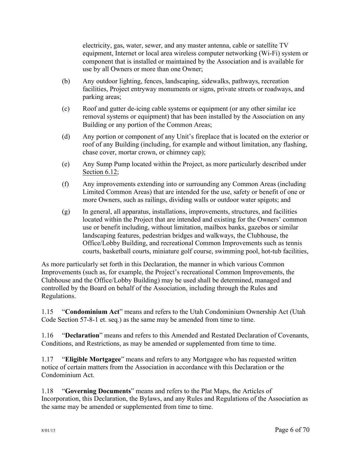electricity, gas, water, sewer, and any master antenna, cable or satellite TV equipment, Internet or local area wireless computer networking (Wi-Fi) system or component that is installed or maintained by the Association and is available for use by all Owners or more than one Owner;

- (b) Any outdoor lighting, fences, landscaping, sidewalks, pathways, recreation facilities, Project entryway monuments or signs, private streets or roadways, and parking areas;
- (c) Roof and gutter de-icing cable systems or equipment (or any other similar ice removal systems or equipment) that has been installed by the Association on any Building or any portion of the Common Areas;
- (d) Any portion or component of any Unit's fireplace that is located on the exterior or roof of any Building (including, for example and without limitation, any flashing, chase cover, mortar crown, or chimney cap);
- (e) Any Sump Pump located within the Project, as more particularly described under Section 6.12;
- (f) Any improvements extending into or surrounding any Common Areas (including Limited Common Areas) that are intended for the use, safety or benefit of one or more Owners, such as railings, dividing walls or outdoor water spigots; and
- (g) In general, all apparatus, installations, improvements, structures, and facilities located within the Project that are intended and existing for the Owners' common use or benefit including, without limitation, mailbox banks, gazebos or similar landscaping features, pedestrian bridges and walkways, the Clubhouse, the Office/Lobby Building, and recreational Common Improvements such as tennis courts, basketball courts, miniature golf course, swimming pool, hot-tub facilities,

As more particularly set forth in this Declaration, the manner in which various Common Improvements (such as, for example, the Project's recreational Common Improvements, the Clubhouse and the Office/Lobby Building) may be used shall be determined, managed and controlled by the Board on behalf of the Association, including through the Rules and Regulations.

1.15 "**Condominium Act**" means and refers to the Utah Condominium Ownership Act (Utah Code Section 57-8-1 et. seq.) as the same may be amended from time to time.

1.16 "**Declaration**" means and refers to this Amended and Restated Declaration of Covenants, Conditions, and Restrictions, as may be amended or supplemented from time to time.

1.17 "**Eligible Mortgagee**" means and refers to any Mortgagee who has requested written notice of certain matters from the Association in accordance with this Declaration or the Condominium Act.

1.18 "**Governing Documents**" means and refers to the Plat Maps, the Articles of Incorporation, this Declaration, the Bylaws, and any Rules and Regulations of the Association as the same may be amended or supplemented from time to time.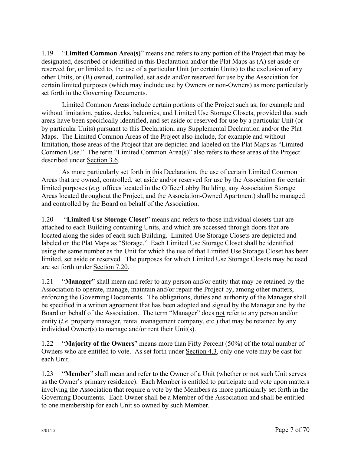1.19 "**Limited Common Area(s)**" means and refers to any portion of the Project that may be designated, described or identified in this Declaration and/or the Plat Maps as (A) set aside or reserved for, or limited to, the use of a particular Unit (or certain Units) to the exclusion of any other Units, or (B) owned, controlled, set aside and/or reserved for use by the Association for certain limited purposes (which may include use by Owners or non-Owners) as more particularly set forth in the Governing Documents.

Limited Common Areas include certain portions of the Project such as, for example and without limitation, patios, decks, balconies, and Limited Use Storage Closets, provided that such areas have been specifically identified, and set aside or reserved for use by a particular Unit (or by particular Units) pursuant to this Declaration, any Supplemental Declaration and/or the Plat Maps. The Limited Common Areas of the Project also include, for example and without limitation, those areas of the Project that are depicted and labeled on the Plat Maps as "Limited Common Use." The term "Limited Common Area(s)" also refers to those areas of the Project described under Section 3.6.

As more particularly set forth in this Declaration, the use of certain Limited Common Areas that are owned, controlled, set aside and/or reserved for use by the Association for certain limited purposes (*e.g.* offices located in the Office/Lobby Building, any Association Storage Areas located throughout the Project, and the Association-Owned Apartment) shall be managed and controlled by the Board on behalf of the Association.

1.20 "**Limited Use Storage Closet**" means and refers to those individual closets that are attached to each Building containing Units, and which are accessed through doors that are located along the sides of each such Building. Limited Use Storage Closets are depicted and labeled on the Plat Maps as "Storage." Each Limited Use Storage Closet shall be identified using the same number as the Unit for which the use of that Limited Use Storage Closet has been limited, set aside or reserved. The purposes for which Limited Use Storage Closets may be used are set forth under Section 7.20.

1.21 "**Manager**" shall mean and refer to any person and/or entity that may be retained by the Association to operate, manage, maintain and/or repair the Project by, among other matters, enforcing the Governing Documents. The obligations, duties and authority of the Manager shall be specified in a written agreement that has been adopted and signed by the Manager and by the Board on behalf of the Association. The term "Manager" does not refer to any person and/or entity *(i.e.* property manager, rental management company, etc.) that may be retained by any individual Owner(s) to manage and/or rent their Unit(s).

1.22 "**Majority of the Owners**" means more than Fifty Percent (50%) of the total number of Owners who are entitled to vote. As set forth under Section 4.3, only one vote may be cast for each Unit.

1.23 "**Member**" shall mean and refer to the Owner of a Unit (whether or not such Unit serves as the Owner's primary residence). Each Member is entitled to participate and vote upon matters involving the Association that require a vote by the Members as more particularly set forth in the Governing Documents. Each Owner shall be a Member of the Association and shall be entitled to one membership for each Unit so owned by such Member.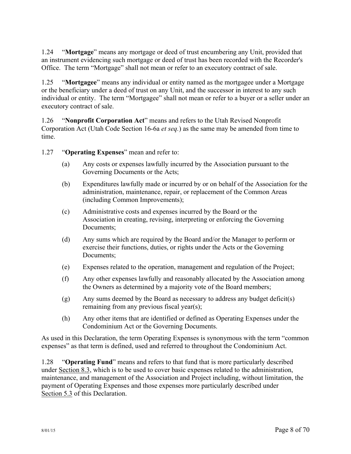1.24 "**Mortgage**" means any mortgage or deed of trust encumbering any Unit, provided that an instrument evidencing such mortgage or deed of trust has been recorded with the Recorder's Office. The term "Mortgage" shall not mean or refer to an executory contract of sale.

1.25 "**Mortgagee**" means any individual or entity named as the mortgagee under a Mortgage or the beneficiary under a deed of trust on any Unit, and the successor in interest to any such individual or entity. The term "Mortgagee" shall not mean or refer to a buyer or a seller under an executory contract of sale.

1.26 "**Nonprofit Corporation Act**" means and refers to the Utah Revised Nonprofit Corporation Act (Utah Code Section 16-6a *et seq.*) as the same may be amended from time to time.

1.27 "**Operating Expenses**" mean and refer to:

- (a) Any costs or expenses lawfully incurred by the Association pursuant to the Governing Documents or the Acts;
- (b) Expenditures lawfully made or incurred by or on behalf of the Association for the administration, maintenance, repair, or replacement of the Common Areas (including Common Improvements);
- (c) Administrative costs and expenses incurred by the Board or the Association in creating, revising, interpreting or enforcing the Governing Documents;
- (d) Any sums which are required by the Board and/or the Manager to perform or exercise their functions, duties, or rights under the Acts or the Governing Documents;
- (e) Expenses related to the operation, management and regulation of the Project;
- (f) Any other expenses lawfully and reasonably allocated by the Association among the Owners as determined by a majority vote of the Board members;
- (g) Any sums deemed by the Board as necessary to address any budget deficit(s) remaining from any previous fiscal year(s);
- (h) Any other items that are identified or defined as Operating Expenses under the Condominium Act or the Governing Documents.

As used in this Declaration, the term Operating Expenses is synonymous with the term "common expenses" as that term is defined, used and referred to throughout the Condominium Act.

1.28 "**Operating Fund**" means and refers to that fund that is more particularly described under Section 8.3, which is to be used to cover basic expenses related to the administration, maintenance, and management of the Association and Project including, without limitation, the payment of Operating Expenses and those expenses more particularly described under Section 5.3 of this Declaration.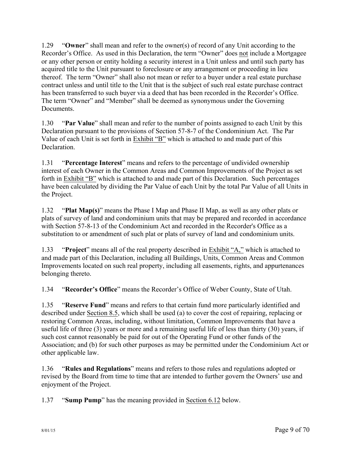1.29 "**Owner**" shall mean and refer to the owner(s) of record of any Unit according to the Recorder's Office. As used in this Declaration, the term "Owner" does not include a Mortgagee or any other person or entity holding a security interest in a Unit unless and until such party has acquired title to the Unit pursuant to foreclosure or any arrangement or proceeding in lieu thereof. The term "Owner" shall also not mean or refer to a buyer under a real estate purchase contract unless and until title to the Unit that is the subject of such real estate purchase contract has been transferred to such buyer via a deed that has been recorded in the Recorder's Office. The term "Owner" and "Member" shall be deemed as synonymous under the Governing **Documents** 

1.30 "**Par Value**" shall mean and refer to the number of points assigned to each Unit by this Declaration pursuant to the provisions of Section 57-8-7 of the Condominium Act. The Par Value of each Unit is set forth in Exhibit "B" which is attached to and made part of this **Declaration** 

1.31 "**Percentage Interest**" means and refers to the percentage of undivided ownership interest of each Owner in the Common Areas and Common Improvements of the Project as set forth in Exhibit "B" which is attached to and made part of this Declaration. Such percentages have been calculated by dividing the Par Value of each Unit by the total Par Value of all Units in the Project.

1.32 "**Plat Map(s)**" means the Phase I Map and Phase II Map, as well as any other plats or plats of survey of land and condominium units that may be prepared and recorded in accordance with Section 57-8-13 of the Condominium Act and recorded in the Recorder's Office as a substitution to or amendment of such plat or plats of survey of land and condominium units.

1.33 "**Project**" means all of the real property described in Exhibit "A," which is attached to and made part of this Declaration, including all Buildings, Units, Common Areas and Common Improvements located on such real property, including all easements, rights, and appurtenances belonging thereto.

1.34 "**Recorder's Office**" means the Recorder's Office of Weber County, State of Utah.

1.35 "**Reserve Fund**" means and refers to that certain fund more particularly identified and described under Section 8.5, which shall be used (a) to cover the cost of repairing, replacing or restoring Common Areas, including, without limitation, Common Improvements that have a useful life of three (3) years or more and a remaining useful life of less than thirty (30) years, if such cost cannot reasonably be paid for out of the Operating Fund or other funds of the Association; and (b) for such other purposes as may be permitted under the Condominium Act or other applicable law.

1.36 "**Rules and Regulations**" means and refers to those rules and regulations adopted or revised by the Board from time to time that are intended to further govern the Owners' use and enjoyment of the Project.

1.37 "**Sump Pump**" has the meaning provided in Section 6.12 below.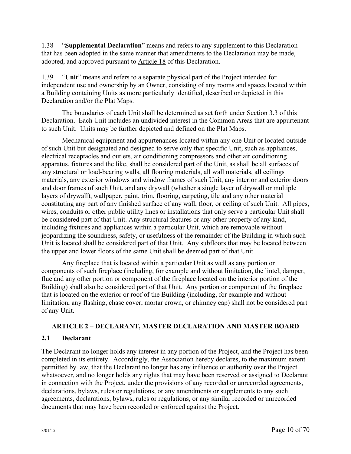1.38 "**Supplemental Declaration**" means and refers to any supplement to this Declaration that has been adopted in the same manner that amendments to the Declaration may be made, adopted, and approved pursuant to Article 18 of this Declaration.

1.39 "**Unit**" means and refers to a separate physical part of the Project intended for independent use and ownership by an Owner, consisting of any rooms and spaces located within a Building containing Units as more particularly identified, described or depicted in this Declaration and/or the Plat Maps.

The boundaries of each Unit shall be determined as set forth under Section 3.3 of this Declaration. Each Unit includes an undivided interest in the Common Areas that are appurtenant to such Unit. Units may be further depicted and defined on the Plat Maps.

Mechanical equipment and appurtenances located within any one Unit or located outside of such Unit but designated and designed to serve only that specific Unit, such as appliances, electrical receptacles and outlets, air conditioning compressors and other air conditioning apparatus, fixtures and the like, shall be considered part of the Unit, as shall be all surfaces of any structural or load-bearing walls, all flooring materials, all wall materials, all ceilings materials, any exterior windows and window frames of such Unit, any interior and exterior doors and door frames of such Unit, and any drywall (whether a single layer of drywall or multiple layers of drywall), wallpaper, paint, trim, flooring, carpeting, tile and any other material constituting any part of any finished surface of any wall, floor, or ceiling of such Unit. All pipes, wires, conduits or other public utility lines or installations that only serve a particular Unit shall be considered part of that Unit. Any structural features or any other property of any kind, including fixtures and appliances within a particular Unit, which are removable without jeopardizing the soundness, safety, or usefulness of the remainder of the Building in which such Unit is located shall be considered part of that Unit. Any subfloors that may be located between the upper and lower floors of the same Unit shall be deemed part of that Unit.

Any fireplace that is located within a particular Unit as well as any portion or components of such fireplace (including, for example and without limitation, the lintel, damper, flue and any other portion or component of the fireplace located on the interior portion of the Building) shall also be considered part of that Unit. Any portion or component of the fireplace that is located on the exterior or roof of the Building (including, for example and without limitation, any flashing, chase cover, mortar crown, or chimney cap) shall not be considered part of any Unit.

## **ARTICLE 2 – DECLARANT, MASTER DECLARATION AND MASTER BOARD**

## **2.1 Declarant**

The Declarant no longer holds any interest in any portion of the Project, and the Project has been completed in its entirety. Accordingly, the Association hereby declares, to the maximum extent permitted by law, that the Declarant no longer has any influence or authority over the Project whatsoever, and no longer holds any rights that may have been reserved or assigned to Declarant in connection with the Project, under the provisions of any recorded or unrecorded agreements, declarations, bylaws, rules or regulations, or any amendments or supplements to any such agreements, declarations, bylaws, rules or regulations, or any similar recorded or unrecorded documents that may have been recorded or enforced against the Project.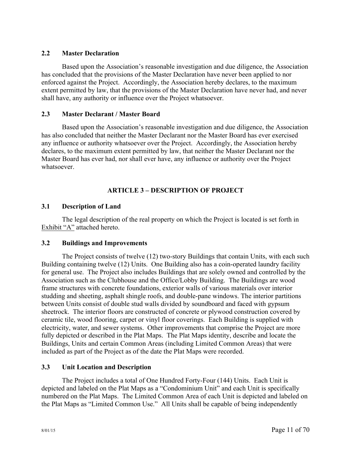## **2.2 Master Declaration**

Based upon the Association's reasonable investigation and due diligence, the Association has concluded that the provisions of the Master Declaration have never been applied to nor enforced against the Project. Accordingly, the Association hereby declares, to the maximum extent permitted by law, that the provisions of the Master Declaration have never had, and never shall have, any authority or influence over the Project whatsoever.

## **2.3 Master Declarant / Master Board**

Based upon the Association's reasonable investigation and due diligence, the Association has also concluded that neither the Master Declarant nor the Master Board has ever exercised any influence or authority whatsoever over the Project. Accordingly, the Association hereby declares, to the maximum extent permitted by law, that neither the Master Declarant nor the Master Board has ever had, nor shall ever have, any influence or authority over the Project whatsoever.

## **ARTICLE 3 – DESCRIPTION OF PROJECT**

## **3.1 Description of Land**

The legal description of the real property on which the Project is located is set forth in Exhibit "A" attached hereto.

## **3.2 Buildings and Improvements**

The Project consists of twelve (12) two-story Buildings that contain Units, with each such Building containing twelve (12) Units. One Building also has a coin-operated laundry facility for general use. The Project also includes Buildings that are solely owned and controlled by the Association such as the Clubhouse and the Office/Lobby Building. The Buildings are wood frame structures with concrete foundations, exterior walls of various materials over interior studding and sheeting, asphalt shingle roofs, and double-pane windows. The interior partitions between Units consist of double stud walls divided by soundboard and faced with gypsum sheetrock. The interior floors are constructed of concrete or plywood construction covered by ceramic tile, wood flooring, carpet or vinyl floor coverings. Each Building is supplied with electricity, water, and sewer systems. Other improvements that comprise the Project are more fully depicted or described in the Plat Maps. The Plat Maps identity, describe and locate the Buildings, Units and certain Common Areas (including Limited Common Areas) that were included as part of the Project as of the date the Plat Maps were recorded.

## **3.3 Unit Location and Description**

The Project includes a total of One Hundred Forty-Four (144) Units. Each Unit is depicted and labeled on the Plat Maps as a "Condominium Unit" and each Unit is specifically numbered on the Plat Maps. The Limited Common Area of each Unit is depicted and labeled on the Plat Maps as "Limited Common Use." All Units shall be capable of being independently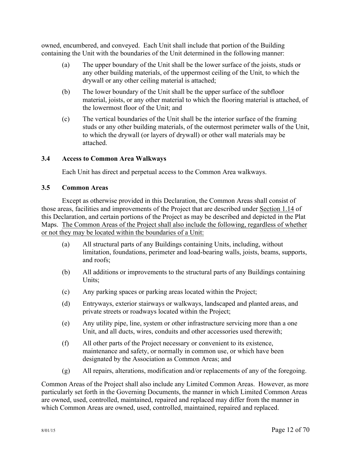owned, encumbered, and conveyed. Each Unit shall include that portion of the Building containing the Unit with the boundaries of the Unit determined in the following manner:

- (a) The upper boundary of the Unit shall be the lower surface of the joists, studs or any other building materials, of the uppermost ceiling of the Unit, to which the drywall or any other ceiling material is attached;
- (b) The lower boundary of the Unit shall be the upper surface of the subfloor material, joists, or any other material to which the flooring material is attached, of the lowermost floor of the Unit; and
- (c) The vertical boundaries of the Unit shall be the interior surface of the framing studs or any other building materials, of the outermost perimeter walls of the Unit, to which the drywall (or layers of drywall) or other wall materials may be attached.

## **3.4 Access to Common Area Walkways**

Each Unit has direct and perpetual access to the Common Area walkways.

## **3.5 Common Areas**

Except as otherwise provided in this Declaration, the Common Areas shall consist of those areas, facilities and improvements of the Project that are described under Section 1.14 of this Declaration, and certain portions of the Project as may be described and depicted in the Plat Maps. The Common Areas of the Project shall also include the following, regardless of whether or not they may be located within the boundaries of a Unit:

- (a) All structural parts of any Buildings containing Units, including, without limitation, foundations, perimeter and load-bearing walls, joists, beams, supports, and roofs;
- (b) All additions or improvements to the structural parts of any Buildings containing Units;
- (c) Any parking spaces or parking areas located within the Project;
- (d) Entryways, exterior stairways or walkways, landscaped and planted areas, and private streets or roadways located within the Project;
- (e) Any utility pipe, line, system or other infrastructure servicing more than a one Unit, and all ducts, wires, conduits and other accessories used therewith;
- (f) All other parts of the Project necessary or convenient to its existence, maintenance and safety, or normally in common use, or which have been designated by the Association as Common Areas; and
- (g) All repairs, alterations, modification and/or replacements of any of the foregoing.

Common Areas of the Project shall also include any Limited Common Areas. However, as more particularly set forth in the Governing Documents, the manner in which Limited Common Areas are owned, used, controlled, maintained, repaired and replaced may differ from the manner in which Common Areas are owned, used, controlled, maintained, repaired and replaced.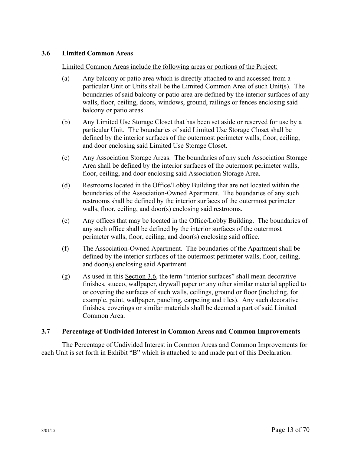## **3.6 Limited Common Areas**

#### Limited Common Areas include the following areas or portions of the Project:

- (a) Any balcony or patio area which is directly attached to and accessed from a particular Unit or Units shall be the Limited Common Area of such Unit(s). The boundaries of said balcony or patio area are defined by the interior surfaces of any walls, floor, ceiling, doors, windows, ground, railings or fences enclosing said balcony or patio areas.
- (b) Any Limited Use Storage Closet that has been set aside or reserved for use by a particular Unit. The boundaries of said Limited Use Storage Closet shall be defined by the interior surfaces of the outermost perimeter walls, floor, ceiling, and door enclosing said Limited Use Storage Closet.
- (c) Any Association Storage Areas. The boundaries of any such Association Storage Area shall be defined by the interior surfaces of the outermost perimeter walls, floor, ceiling, and door enclosing said Association Storage Area.
- (d) Restrooms located in the Office/Lobby Building that are not located within the boundaries of the Association-Owned Apartment. The boundaries of any such restrooms shall be defined by the interior surfaces of the outermost perimeter walls, floor, ceiling, and door(s) enclosing said restrooms.
- (e) Any offices that may be located in the Office/Lobby Building. The boundaries of any such office shall be defined by the interior surfaces of the outermost perimeter walls, floor, ceiling, and door(s) enclosing said office.
- (f) The Association-Owned Apartment. The boundaries of the Apartment shall be defined by the interior surfaces of the outermost perimeter walls, floor, ceiling, and door(s) enclosing said Apartment.
- (g) As used in this Section 3.6, the term "interior surfaces" shall mean decorative finishes, stucco, wallpaper, drywall paper or any other similar material applied to or covering the surfaces of such walls, ceilings, ground or floor (including, for example, paint, wallpaper, paneling, carpeting and tiles). Any such decorative finishes, coverings or similar materials shall be deemed a part of said Limited Common Area.

#### **3.7 Percentage of Undivided Interest in Common Areas and Common Improvements**

The Percentage of Undivided Interest in Common Areas and Common Improvements for each Unit is set forth in Exhibit "B" which is attached to and made part of this Declaration.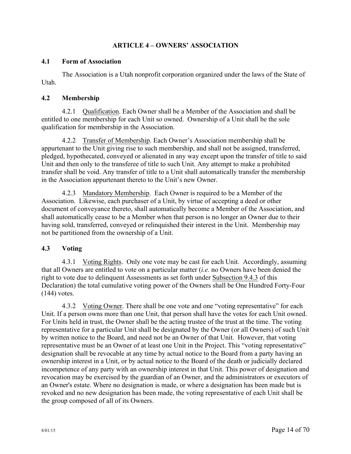## **ARTICLE 4 – OWNERS' ASSOCIATION**

## **4.1 Form of Association**

The Association is a Utah nonprofit corporation organized under the laws of the State of Utah.

## **4.2 Membership**

4.2.1 Qualification. Each Owner shall be a Member of the Association and shall be entitled to one membership for each Unit so owned. Ownership of a Unit shall be the sole qualification for membership in the Association.

4.2.2 Transfer of Membership. Each Owner's Association membership shall be appurtenant to the Unit giving rise to such membership, and shall not be assigned, transferred, pledged, hypothecated, conveyed or alienated in any way except upon the transfer of title to said Unit and then only to the transferee of title to such Unit. Any attempt to make a prohibited transfer shall be void. Any transfer of title to a Unit shall automatically transfer the membership in the Association appurtenant thereto to the Unit's new Owner.

4.2.3 Mandatory Membership. Each Owner is required to be a Member of the Association. Likewise, each purchaser of a Unit, by virtue of accepting a deed or other document of conveyance thereto, shall automatically become a Member of the Association, and shall automatically cease to be a Member when that person is no longer an Owner due to their having sold, transferred, conveyed or relinquished their interest in the Unit. Membership may not be partitioned from the ownership of a Unit.

## **4.3 Voting**

4.3.1 Voting Rights. Only one vote may be cast for each Unit. Accordingly, assuming that all Owners are entitled to vote on a particular matter (*i.e.* no Owners have been denied the right to vote due to delinquent Assessments as set forth under Subsection 9.4.3 of this Declaration) the total cumulative voting power of the Owners shall be One Hundred Forty-Four (144) votes.

4.3.2 Voting Owner. There shall be one vote and one "voting representative" for each Unit. If a person owns more than one Unit, that person shall have the votes for each Unit owned. For Units held in trust, the Owner shall be the acting trustee of the trust at the time. The voting representative for a particular Unit shall be designated by the Owner (or all Owners) of such Unit by written notice to the Board, and need not be an Owner of that Unit. However, that voting representative must be an Owner of at least one Unit in the Project. This "voting representative" designation shall be revocable at any time by actual notice to the Board from a party having an ownership interest in a Unit, or by actual notice to the Board of the death or judicially declared incompetence of any party with an ownership interest in that Unit. This power of designation and revocation may be exercised by the guardian of an Owner, and the administrators or executors of an Owner's estate. Where no designation is made, or where a designation has been made but is revoked and no new designation has been made, the voting representative of each Unit shall be the group composed of all of its Owners.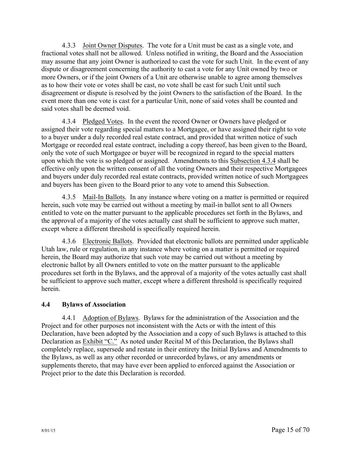4.3.3 Joint Owner Disputes. The vote for a Unit must be cast as a single vote, and fractional votes shall not be allowed. Unless notified in writing, the Board and the Association may assume that any joint Owner is authorized to cast the vote for such Unit. In the event of any dispute or disagreement concerning the authority to cast a vote for any Unit owned by two or more Owners, or if the joint Owners of a Unit are otherwise unable to agree among themselves as to how their vote or votes shall be cast, no vote shall be cast for such Unit until such disagreement or dispute is resolved by the joint Owners to the satisfaction of the Board. In the event more than one vote is cast for a particular Unit, none of said votes shall be counted and said votes shall be deemed void.

4.3.4 Pledged Votes. In the event the record Owner or Owners have pledged or assigned their vote regarding special matters to a Mortgagee, or have assigned their right to vote to a buyer under a duly recorded real estate contract, and provided that written notice of such Mortgage or recorded real estate contract, including a copy thereof, has been given to the Board, only the vote of such Mortgagee or buyer will be recognized in regard to the special matters upon which the vote is so pledged or assigned. Amendments to this Subsection 4.3.4 shall be effective only upon the written consent of all the voting Owners and their respective Mortgagees and buyers under duly recorded real estate contracts, provided written notice of such Mortgagees and buyers has been given to the Board prior to any vote to amend this Subsection.

4.3.5 Mail-In Ballots. In any instance where voting on a matter is permitted or required herein, such vote may be carried out without a meeting by mail-in ballot sent to all Owners entitled to vote on the matter pursuant to the applicable procedures set forth in the Bylaws, and the approval of a majority of the votes actually cast shall be sufficient to approve such matter, except where a different threshold is specifically required herein.

4.3.6 Electronic Ballots. Provided that electronic ballots are permitted under applicable Utah law, rule or regulation, in any instance where voting on a matter is permitted or required herein, the Board may authorize that such vote may be carried out without a meeting by electronic ballot by all Owners entitled to vote on the matter pursuant to the applicable procedures set forth in the Bylaws, and the approval of a majority of the votes actually cast shall be sufficient to approve such matter, except where a different threshold is specifically required herein.

## **4.4 Bylaws of Association**

4.4.1 Adoption of Bylaws. Bylaws for the administration of the Association and the Project and for other purposes not inconsistent with the Acts or with the intent of this Declaration, have been adopted by the Association and a copy of such Bylaws is attached to this Declaration as **Exhibit "C."** As noted under Recital M of this Declaration, the Bylaws shall completely replace, supersede and restate in their entirety the Initial Bylaws and Amendments to the Bylaws, as well as any other recorded or unrecorded bylaws, or any amendments or supplements thereto, that may have ever been applied to enforced against the Association or Project prior to the date this Declaration is recorded.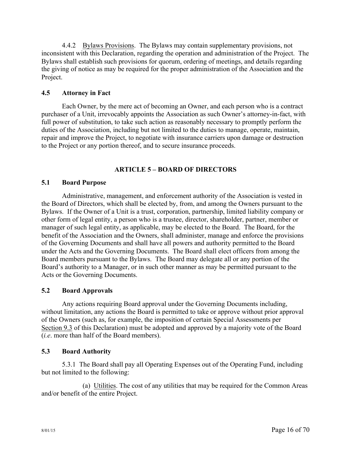4.4.2 Bylaws Provisions. The Bylaws may contain supplementary provisions, not inconsistent with this Declaration, regarding the operation and administration of the Project. The Bylaws shall establish such provisions for quorum, ordering of meetings, and details regarding the giving of notice as may be required for the proper administration of the Association and the Project.

## **4.5 Attorney in Fact**

Each Owner, by the mere act of becoming an Owner, and each person who is a contract purchaser of a Unit, irrevocably appoints the Association as such Owner's attorney-in-fact, with full power of substitution, to take such action as reasonably necessary to promptly perform the duties of the Association, including but not limited to the duties to manage, operate, maintain, repair and improve the Project, to negotiate with insurance carriers upon damage or destruction to the Project or any portion thereof, and to secure insurance proceeds.

## **ARTICLE 5 – BOARD OF DIRECTORS**

## **5.1 Board Purpose**

Administrative, management, and enforcement authority of the Association is vested in the Board of Directors, which shall be elected by, from, and among the Owners pursuant to the Bylaws. If the Owner of a Unit is a trust, corporation, partnership, limited liability company or other form of legal entity, a person who is a trustee, director, shareholder, partner, member or manager of such legal entity, as applicable, may be elected to the Board. The Board, for the benefit of the Association and the Owners, shall administer, manage and enforce the provisions of the Governing Documents and shall have all powers and authority permitted to the Board under the Acts and the Governing Documents. The Board shall elect officers from among the Board members pursuant to the Bylaws. The Board may delegate all or any portion of the Board's authority to a Manager, or in such other manner as may be permitted pursuant to the Acts or the Governing Documents.

## **5.2 Board Approvals**

Any actions requiring Board approval under the Governing Documents including, without limitation, any actions the Board is permitted to take or approve without prior approval of the Owners (such as, for example, the imposition of certain Special Assessments per Section 9.3 of this Declaration) must be adopted and approved by a majority vote of the Board (*i.e*. more than half of the Board members).

## **5.3 Board Authority**

5.3.1 The Board shall pay all Operating Expenses out of the Operating Fund, including but not limited to the following:

(a) Utilities. The cost of any utilities that may be required for the Common Areas and/or benefit of the entire Project.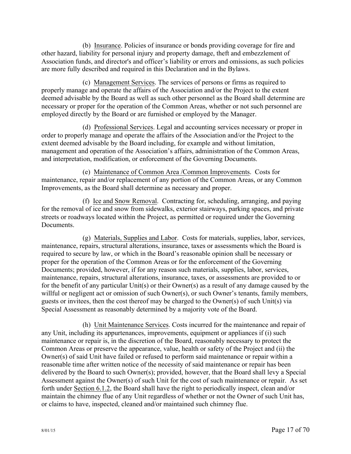(b) Insurance. Policies of insurance or bonds providing coverage for fire and other hazard, liability for personal injury and property damage, theft and embezzlement of Association funds, and director's and officer's liability or errors and omissions, as such policies are more fully described and required in this Declaration and in the Bylaws.

(c) Management Services. The services of persons or firms as required to properly manage and operate the affairs of the Association and/or the Project to the extent deemed advisable by the Board as well as such other personnel as the Board shall determine are necessary or proper for the operation of the Common Areas, whether or not such personnel are employed directly by the Board or are furnished or employed by the Manager.

(d) Professional Services. Legal and accounting services necessary or proper in order to properly manage and operate the affairs of the Association and/or the Project to the extent deemed advisable by the Board including, for example and without limitation, management and operation of the Association's affairs, administration of the Common Areas, and interpretation, modification, or enforcement of the Governing Documents.

(e) Maintenance of Common Area /Common Improvements. Costs for maintenance, repair and/or replacement of any portion of the Common Areas, or any Common Improvements, as the Board shall determine as necessary and proper.

(f) Ice and Snow Removal. Contracting for, scheduling, arranging, and paying for the removal of ice and snow from sidewalks, exterior stairways, parking spaces, and private streets or roadways located within the Project, as permitted or required under the Governing **Documents** 

(g) Materials, Supplies and Labor. Costs for materials, supplies, labor, services, maintenance, repairs, structural alterations, insurance, taxes or assessments which the Board is required to secure by law, or which in the Board's reasonable opinion shall be necessary or proper for the operation of the Common Areas or for the enforcement of the Governing Documents; provided, however, if for any reason such materials, supplies, labor, services, maintenance, repairs, structural alterations, insurance, taxes, or assessments are provided to or for the benefit of any particular Unit(s) or their Owner(s) as a result of any damage caused by the willful or negligent act or omission of such Owner(s), or such Owner's tenants, family members, guests or invitees, then the cost thereof may be charged to the Owner(s) of such Unit(s) via Special Assessment as reasonably determined by a majority vote of the Board.

(h) Unit Maintenance Services. Costs incurred for the maintenance and repair of any Unit, including its appurtenances, improvements, equipment or appliances if (i) such maintenance or repair is, in the discretion of the Board, reasonably necessary to protect the Common Areas or preserve the appearance, value, health or safety of the Project and (ii) the Owner(s) of said Unit have failed or refused to perform said maintenance or repair within a reasonable time after written notice of the necessity of said maintenance or repair has been delivered by the Board to such Owner(s); provided, however, that the Board shall levy a Special Assessment against the Owner(s) of such Unit for the cost of such maintenance or repair. As set forth under Section 6.1.2, the Board shall have the right to periodically inspect, clean and/or maintain the chimney flue of any Unit regardless of whether or not the Owner of such Unit has, or claims to have, inspected, cleaned and/or maintained such chimney flue.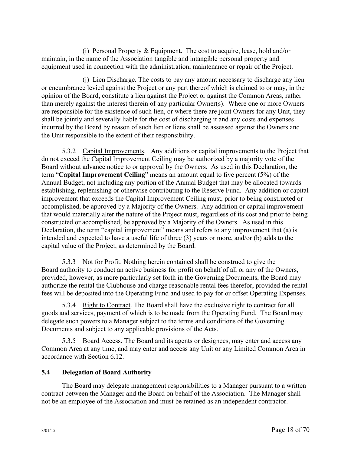(i) Personal Property & Equipment. The cost to acquire, lease, hold and/or maintain, in the name of the Association tangible and intangible personal property and equipment used in connection with the administration, maintenance or repair of the Project.

(j) Lien Discharge. The costs to pay any amount necessary to discharge any lien or encumbrance levied against the Project or any part thereof which is claimed to or may, in the opinion of the Board, constitute a lien against the Project or against the Common Areas, rather than merely against the interest therein of any particular Owner(s). Where one or more Owners are responsible for the existence of such lien, or where there are joint Owners for any Unit, they shall be jointly and severally liable for the cost of discharging it and any costs and expenses incurred by the Board by reason of such lien or liens shall be assessed against the Owners and the Unit responsible to the extent of their responsibility.

5.3.2 Capital Improvements. Any additions or capital improvements to the Project that do not exceed the Capital Improvement Ceiling may be authorized by a majority vote of the Board without advance notice to or approval by the Owners. As used in this Declaration, the term "**Capital Improvement Ceiling**" means an amount equal to five percent (5%) of the Annual Budget, not including any portion of the Annual Budget that may be allocated towards establishing, replenishing or otherwise contributing to the Reserve Fund. Any addition or capital improvement that exceeds the Capital Improvement Ceiling must, prior to being constructed or accomplished, be approved by a Majority of the Owners. Any addition or capital improvement that would materially alter the nature of the Project must, regardless of its cost and prior to being constructed or accomplished, be approved by a Majority of the Owners. As used in this Declaration, the term "capital improvement" means and refers to any improvement that (a) is intended and expected to have a useful life of three (3) years or more, and/or (b) adds to the capital value of the Project, as determined by the Board.

5.3.3 Not for Profit. Nothing herein contained shall be construed to give the Board authority to conduct an active business for profit on behalf of all or any of the Owners, provided, however, as more particularly set forth in the Governing Documents, the Board may authorize the rental the Clubhouse and charge reasonable rental fees therefor, provided the rental fees will be deposited into the Operating Fund and used to pay for or offset Operating Expenses.

5.3.4 Right to Contract. The Board shall have the exclusive right to contract for all goods and services, payment of which is to be made from the Operating Fund. The Board may delegate such powers to a Manager subject to the terms and conditions of the Governing Documents and subject to any applicable provisions of the Acts.

5.3.5 Board Access. The Board and its agents or designees, may enter and access any Common Area at any time, and may enter and access any Unit or any Limited Common Area in accordance with Section 6.12.

## **5.4 Delegation of Board Authority**

The Board may delegate management responsibilities to a Manager pursuant to a written contract between the Manager and the Board on behalf of the Association. The Manager shall not be an employee of the Association and must be retained as an independent contractor.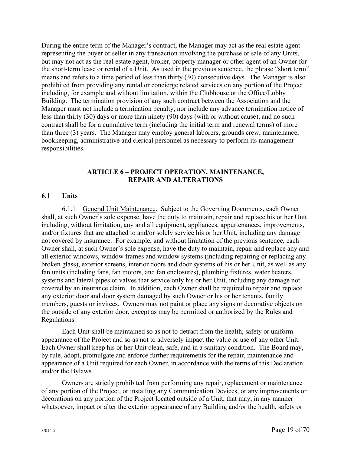During the entire term of the Manager's contract, the Manager may act as the real estate agent representing the buyer or seller in any transaction involving the purchase or sale of any Units, but may not act as the real estate agent, broker, property manager or other agent of an Owner for the short-term lease or rental of a Unit. As used in the previous sentence, the phrase "short term" means and refers to a time period of less than thirty (30) consecutive days. The Manager is also prohibited from providing any rental or concierge related services on any portion of the Project including, for example and without limitation, within the Clubhouse or the Office/Lobby Building. The termination provision of any such contract between the Association and the Manager must not include a termination penalty, nor include any advance termination notice of less than thirty (30) days or more than ninety (90) days (with or without cause), and no such contract shall be for a cumulative term (including the initial term and renewal terms) of more than three (3) years. The Manager may employ general laborers, grounds crew, maintenance, bookkeeping, administrative and clerical personnel as necessary to perform its management responsibilities.

## **ARTICLE 6 – PROJECT OPERATION, MAINTENANCE, REPAIR AND ALTERATIONS**

#### **6.1 Units**

6.1.1 General Unit Maintenance. Subject to the Governing Documents, each Owner shall, at such Owner's sole expense, have the duty to maintain, repair and replace his or her Unit including, without limitation, any and all equipment, appliances, appurtenances, improvements, and/or fixtures that are attached to and/or solely service his or her Unit, including any damage not covered by insurance. For example, and without limitation of the previous sentence, each Owner shall, at such Owner's sole expense, have the duty to maintain, repair and replace any and all exterior windows, window frames and window systems (including repairing or replacing any broken glass), exterior screens, interior doors and door systems of his or her Unit, as well as any fan units (including fans, fan motors, and fan enclosures), plumbing fixtures, water heaters, systems and lateral pipes or valves that service only his or her Unit, including any damage not covered by an insurance claim. In addition, each Owner shall be required to repair and replace any exterior door and door system damaged by such Owner or his or her tenants, family members, guests or invitees. Owners may not paint or place any signs or decorative objects on the outside of any exterior door, except as may be permitted or authorized by the Rules and Regulations.

Each Unit shall be maintained so as not to detract from the health, safety or uniform appearance of the Project and so as not to adversely impact the value or use of any other Unit. Each Owner shall keep his or her Unit clean, safe, and in a sanitary condition. The Board may, by rule, adopt, promulgate and enforce further requirements for the repair, maintenance and appearance of a Unit required for each Owner, in accordance with the terms of this Declaration and/or the Bylaws.

Owners are strictly prohibited from performing any repair, replacement or maintenance of any portion of the Project, or installing any Communication Devices, or any improvements or decorations on any portion of the Project located outside of a Unit, that may, in any manner whatsoever, impact or alter the exterior appearance of any Building and/or the health, safety or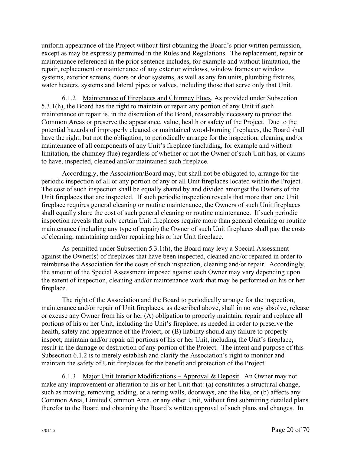uniform appearance of the Project without first obtaining the Board's prior written permission, except as may be expressly permitted in the Rules and Regulations. The replacement, repair or maintenance referenced in the prior sentence includes, for example and without limitation, the repair, replacement or maintenance of any exterior windows, window frames or window systems, exterior screens, doors or door systems, as well as any fan units, plumbing fixtures, water heaters, systems and lateral pipes or valves, including those that serve only that Unit.

6.1.2 Maintenance of Fireplaces and Chimney Flues. As provided under Subsection 5.3.1(h), the Board has the right to maintain or repair any portion of any Unit if such maintenance or repair is, in the discretion of the Board, reasonably necessary to protect the Common Areas or preserve the appearance, value, health or safety of the Project. Due to the potential hazards of improperly cleaned or maintained wood-burning fireplaces, the Board shall have the right, but not the obligation, to periodically arrange for the inspection, cleaning and/or maintenance of all components of any Unit's fireplace (including, for example and without limitation, the chimney flue) regardless of whether or not the Owner of such Unit has, or claims to have, inspected, cleaned and/or maintained such fireplace.

Accordingly, the Association/Board may, but shall not be obligated to, arrange for the periodic inspection of all or any portion of any or all Unit fireplaces located within the Project. The cost of such inspection shall be equally shared by and divided amongst the Owners of the Unit fireplaces that are inspected. If such periodic inspection reveals that more than one Unit fireplace requires general cleaning or routine maintenance, the Owners of such Unit fireplaces shall equally share the cost of such general cleaning or routine maintenance. If such periodic inspection reveals that only certain Unit fireplaces require more than general cleaning or routine maintenance (including any type of repair) the Owner of such Unit fireplaces shall pay the costs of cleaning, maintaining and/or repairing his or her Unit fireplace.

As permitted under Subsection 5.3.1(h), the Board may levy a Special Assessment against the Owner(s) of fireplaces that have been inspected, cleaned and/or repaired in order to reimburse the Association for the costs of such inspection, cleaning and/or repair. Accordingly, the amount of the Special Assessment imposed against each Owner may vary depending upon the extent of inspection, cleaning and/or maintenance work that may be performed on his or her fireplace.

The right of the Association and the Board to periodically arrange for the inspection, maintenance and/or repair of Unit fireplaces, as described above, shall in no way absolve, release or excuse any Owner from his or her (A) obligation to properly maintain, repair and replace all portions of his or her Unit, including the Unit's fireplace, as needed in order to preserve the health, safety and appearance of the Project, or (B) liability should any failure to properly inspect, maintain and/or repair all portions of his or her Unit, including the Unit's fireplace, result in the damage or destruction of any portion of the Project. The intent and purpose of this Subsection 6.1.2 is to merely establish and clarify the Association's right to monitor and maintain the safety of Unit fireplaces for the benefit and protection of the Project.

6.1.3 Major Unit Interior Modifications – Approval & Deposit.An Owner may not make any improvement or alteration to his or her Unit that: (a) constitutes a structural change, such as moving, removing, adding, or altering walls, doorways, and the like, or (b) affects any Common Area, Limited Common Area, or any other Unit, without first submitting detailed plans therefor to the Board and obtaining the Board's written approval of such plans and changes. In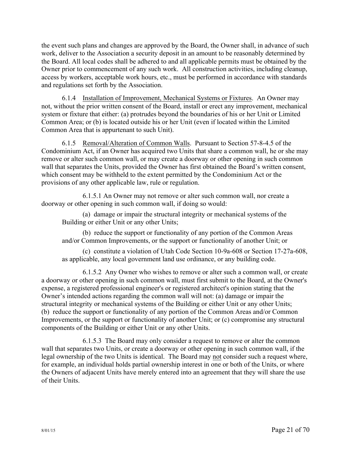the event such plans and changes are approved by the Board, the Owner shall, in advance of such work, deliver to the Association a security deposit in an amount to be reasonably determined by the Board. All local codes shall be adhered to and all applicable permits must be obtained by the Owner prior to commencement of any such work. All construction activities, including cleanup, access by workers, acceptable work hours, etc., must be performed in accordance with standards and regulations set forth by the Association.

6.1.4 Installation of Improvement, Mechanical Systems or Fixtures. An Owner may not, without the prior written consent of the Board, install or erect any improvement, mechanical system or fixture that either: (a) protrudes beyond the boundaries of his or her Unit or Limited Common Area; or (b) is located outside his or her Unit (even if located within the Limited Common Area that is appurtenant to such Unit).

6.1.5 Removal/Alteration of Common Walls. Pursuant to Section 57-8-4.5 of the Condominium Act, if an Owner has acquired two Units that share a common wall, he or she may remove or alter such common wall, or may create a doorway or other opening in such common wall that separates the Units, provided the Owner has first obtained the Board's written consent, which consent may be withheld to the extent permitted by the Condominium Act or the provisions of any other applicable law, rule or regulation.

6.1.5.1 An Owner may not remove or alter such common wall, nor create a doorway or other opening in such common wall, if doing so would:

(a) damage or impair the structural integrity or mechanical systems of the Building or either Unit or any other Units;

(b) reduce the support or functionality of any portion of the Common Areas and/or Common Improvements, or the support or functionality of another Unit; or

(c) constitute a violation of Utah Code Section 10-9a-608 or Section 17-27a-608, as applicable, any local government land use ordinance, or any building code.

6.1.5.2 Any Owner who wishes to remove or alter such a common wall, or create a doorway or other opening in such common wall, must first submit to the Board, at the Owner's expense, a registered professional engineer's or registered architect's opinion stating that the Owner's intended actions regarding the common wall will not: (a) damage or impair the structural integrity or mechanical systems of the Building or either Unit or any other Units; (b) reduce the support or functionality of any portion of the Common Areas and/or Common Improvements, or the support or functionality of another Unit; or (c) compromise any structural components of the Building or either Unit or any other Units.

6.1.5.3 The Board may only consider a request to remove or alter the common wall that separates two Units, or create a doorway or other opening in such common wall, if the legal ownership of the two Units is identical. The Board may not consider such a request where, for example, an individual holds partial ownership interest in one or both of the Units, or where the Owners of adjacent Units have merely entered into an agreement that they will share the use of their Units.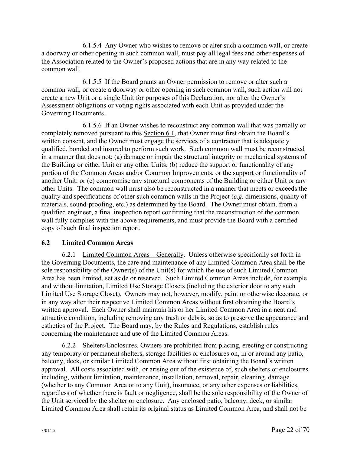6.1.5.4 Any Owner who wishes to remove or alter such a common wall, or create a doorway or other opening in such common wall, must pay all legal fees and other expenses of the Association related to the Owner's proposed actions that are in any way related to the common wall.

6.1.5.5 If the Board grants an Owner permission to remove or alter such a common wall, or create a doorway or other opening in such common wall, such action will not create a new Unit or a single Unit for purposes of this Declaration, nor alter the Owner's Assessment obligations or voting rights associated with each Unit as provided under the Governing Documents.

6.1.5.6 If an Owner wishes to reconstruct any common wall that was partially or completely removed pursuant to this Section 6.1, that Owner must first obtain the Board's written consent, and the Owner must engage the services of a contractor that is adequately qualified, bonded and insured to perform such work. Such common wall must be reconstructed in a manner that does not: (a) damage or impair the structural integrity or mechanical systems of the Building or either Unit or any other Units; (b) reduce the support or functionality of any portion of the Common Areas and/or Common Improvements, or the support or functionality of another Unit; or (c) compromise any structural components of the Building or either Unit or any other Units. The common wall must also be reconstructed in a manner that meets or exceeds the quality and specifications of other such common walls in the Project (*e.g.* dimensions, quality of materials, sound-proofing, etc.) as determined by the Board. The Owner must obtain, from a qualified engineer, a final inspection report confirming that the reconstruction of the common wall fully complies with the above requirements, and must provide the Board with a certified copy of such final inspection report.

## **6.2 Limited Common Areas**

6.2.1 Limited Common Areas – Generally. Unless otherwise specifically set forth in the Governing Documents, the care and maintenance of any Limited Common Area shall be the sole responsibility of the Owner(s) of the Unit(s) for which the use of such Limited Common Area has been limited, set aside or reserved. Such Limited Common Areas include, for example and without limitation, Limited Use Storage Closets (including the exterior door to any such Limited Use Storage Closet). Owners may not, however, modify, paint or otherwise decorate, or in any way alter their respective Limited Common Areas without first obtaining the Board's written approval. Each Owner shall maintain his or her Limited Common Area in a neat and attractive condition, including removing any trash or debris, so as to preserve the appearance and esthetics of the Project. The Board may, by the Rules and Regulations, establish rules concerning the maintenance and use of the Limited Common Areas.

6.2.2 Shelters/Enclosures. Owners are prohibited from placing, erecting or constructing any temporary or permanent shelters, storage facilities or enclosures on, in or around any patio, balcony, deck, or similar Limited Common Area without first obtaining the Board's written approval. All costs associated with, or arising out of the existence of, such shelters or enclosures including, without limitation, maintenance, installation, removal, repair, cleaning, damage (whether to any Common Area or to any Unit), insurance, or any other expenses or liabilities, regardless of whether there is fault or negligence, shall be the sole responsibility of the Owner of the Unit serviced by the shelter or enclosure. Any enclosed patio, balcony, deck, or similar Limited Common Area shall retain its original status as Limited Common Area, and shall not be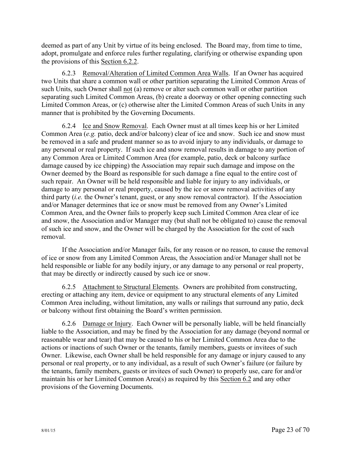deemed as part of any Unit by virtue of its being enclosed. The Board may, from time to time, adopt, promulgate and enforce rules further regulating, clarifying or otherwise expanding upon the provisions of this Section 6.2.2.

6.2.3 Removal/Alteration of Limited Common Area Walls. If an Owner has acquired two Units that share a common wall or other partition separating the Limited Common Areas of such Units, such Owner shall not (a) remove or alter such common wall or other partition separating such Limited Common Areas, (b) create a doorway or other opening connecting such Limited Common Areas, or (c) otherwise alter the Limited Common Areas of such Units in any manner that is prohibited by the Governing Documents.

6.2.4 Ice and Snow Removal. Each Owner must at all times keep his or her Limited Common Area (*e.g.* patio, deck and/or balcony) clear of ice and snow. Such ice and snow must be removed in a safe and prudent manner so as to avoid injury to any individuals, or damage to any personal or real property. If such ice and snow removal results in damage to any portion of any Common Area or Limited Common Area (for example, patio, deck or balcony surface damage caused by ice chipping) the Association may repair such damage and impose on the Owner deemed by the Board as responsible for such damage a fine equal to the entire cost of such repair. An Owner will be held responsible and liable for injury to any individuals, or damage to any personal or real property, caused by the ice or snow removal activities of any third party (*i.e.* the Owner's tenant, guest, or any snow removal contractor). If the Association and/or Manager determines that ice or snow must be removed from any Owner's Limited Common Area, and the Owner fails to properly keep such Limited Common Area clear of ice and snow, the Association and/or Manager may (but shall not be obligated to) cause the removal of such ice and snow, and the Owner will be charged by the Association for the cost of such removal.

If the Association and/or Manager fails, for any reason or no reason, to cause the removal of ice or snow from any Limited Common Areas, the Association and/or Manager shall not be held responsible or liable for any bodily injury, or any damage to any personal or real property, that may be directly or indirectly caused by such ice or snow.

6.2.5 Attachment to Structural Elements. Owners are prohibited from constructing, erecting or attaching any item, device or equipment to any structural elements of any Limited Common Area including, without limitation, any walls or railings that surround any patio, deck or balcony without first obtaining the Board's written permission.

6.2.6 Damage or Injury. Each Owner will be personally liable, will be held financially liable to the Association, and may be fined by the Association for any damage (beyond normal or reasonable wear and tear) that may be caused to his or her Limited Common Area due to the actions or inactions of such Owner or the tenants, family members, guests or invitees of such Owner. Likewise, each Owner shall be held responsible for any damage or injury caused to any personal or real property, or to any individual, as a result of such Owner's failure (or failure by the tenants, family members, guests or invitees of such Owner) to properly use, care for and/or maintain his or her Limited Common Area(s) as required by this Section 6.2 and any other provisions of the Governing Documents.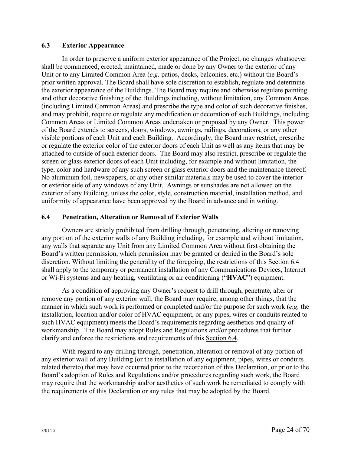## **6.3 Exterior Appearance**

In order to preserve a uniform exterior appearance of the Project, no changes whatsoever shall be commenced, erected, maintained, made or done by any Owner to the exterior of any Unit or to any Limited Common Area (*e.g.* patios, decks, balconies, etc.) without the Board's prior written approval. The Board shall have sole discretion to establish, regulate and determine the exterior appearance of the Buildings. The Board may require and otherwise regulate painting and other decorative finishing of the Buildings including, without limitation, any Common Areas (including Limited Common Areas) and prescribe the type and color of such decorative finishes, and may prohibit, require or regulate any modification or decoration of such Buildings, including Common Areas or Limited Common Areas undertaken or proposed by any Owner. This power of the Board extends to screens, doors, windows, awnings, railings, decorations, or any other visible portions of each Unit and each Building. Accordingly, the Board may restrict, prescribe or regulate the exterior color of the exterior doors of each Unit as well as any items that may be attached to outside of such exterior doors. The Board may also restrict, prescribe or regulate the screen or glass exterior doors of each Unit including, for example and without limitation, the type, color and hardware of any such screen or glass exterior doors and the maintenance thereof. No aluminum foil, newspapers, or any other similar materials may be used to cover the interior or exterior side of any windows of any Unit. Awnings or sunshades are not allowed on the exterior of any Building, unless the color, style, construction material, installation method, and uniformity of appearance have been approved by the Board in advance and in writing.

## **6.4 Penetration, Alteration or Removal of Exterior Walls**

Owners are strictly prohibited from drilling through, penetrating, altering or removing any portion of the exterior walls of any Building including, for example and without limitation, any walls that separate any Unit from any Limited Common Area without first obtaining the Board's written permission, which permission may be granted or denied in the Board's sole discretion. Without limiting the generality of the foregoing, the restrictions of this Section 6.4 shall apply to the temporary or permanent installation of any Communications Devices, Internet or Wi-Fi systems and any heating, ventilating or air conditioning ("**HVAC**") equipment.

As a condition of approving any Owner's request to drill through, penetrate, alter or remove any portion of any exterior wall, the Board may require, among other things, that the manner in which such work is performed or completed and/or the purpose for such work (*e.g.* the installation, location and/or color of HVAC equipment, or any pipes, wires or conduits related to such HVAC equipment) meets the Board's requirements regarding aesthetics and quality of workmanship. The Board may adopt Rules and Regulations and/or procedures that further clarify and enforce the restrictions and requirements of this Section 6.4.

With regard to any drilling through, penetration, alteration or removal of any portion of any exterior wall of any Building (or the installation of any equipment, pipes, wires or conduits related thereto) that may have occurred prior to the recordation of this Declaration, or prior to the Board's adoption of Rules and Regulations and/or procedures regarding such work, the Board may require that the workmanship and/or aesthetics of such work be remediated to comply with the requirements of this Declaration or any rules that may be adopted by the Board.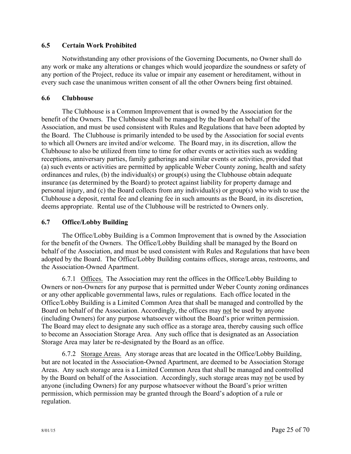## **6.5 Certain Work Prohibited**

Notwithstanding any other provisions of the Governing Documents, no Owner shall do any work or make any alterations or changes which would jeopardize the soundness or safety of any portion of the Project, reduce its value or impair any easement or hereditament, without in every such case the unanimous written consent of all the other Owners being first obtained.

### **6.6 Clubhouse**

The Clubhouse is a Common Improvement that is owned by the Association for the benefit of the Owners. The Clubhouse shall be managed by the Board on behalf of the Association, and must be used consistent with Rules and Regulations that have been adopted by the Board. The Clubhouse is primarily intended to be used by the Association for social events to which all Owners are invited and/or welcome. The Board may, in its discretion, allow the Clubhouse to also be utilized from time to time for other events or activities such as wedding receptions, anniversary parties, family gatherings and similar events or activities, provided that (a) such events or activities are permitted by applicable Weber County zoning, health and safety ordinances and rules, (b) the individual(s) or group(s) using the Clubhouse obtain adequate insurance (as determined by the Board) to protect against liability for property damage and personal injury, and (c) the Board collects from any individual(s) or group(s) who wish to use the Clubhouse a deposit, rental fee and cleaning fee in such amounts as the Board, in its discretion, deems appropriate. Rental use of the Clubhouse will be restricted to Owners only.

## **6.7 Office/Lobby Building**

The Office/Lobby Building is a Common Improvement that is owned by the Association for the benefit of the Owners. The Office/Lobby Building shall be managed by the Board on behalf of the Association, and must be used consistent with Rules and Regulations that have been adopted by the Board. The Office/Lobby Building contains offices, storage areas, restrooms, and the Association-Owned Apartment.

6.7.1 Offices. The Association may rent the offices in the Office/Lobby Building to Owners or non-Owners for any purpose that is permitted under Weber County zoning ordinances or any other applicable governmental laws, rules or regulations. Each office located in the Office/Lobby Building is a Limited Common Area that shall be managed and controlled by the Board on behalf of the Association. Accordingly, the offices may not be used by anyone (including Owners) for any purpose whatsoever without the Board's prior written permission. The Board may elect to designate any such office as a storage area, thereby causing such office to become an Association Storage Area. Any such office that is designated as an Association Storage Area may later be re-designated by the Board as an office.

6.7.2 Storage Areas. Any storage areas that are located in the Office/Lobby Building, but are not located in the Association-Owned Apartment, are deemed to be Association Storage Areas. Any such storage area is a Limited Common Area that shall be managed and controlled by the Board on behalf of the Association. Accordingly, such storage areas may not be used by anyone (including Owners) for any purpose whatsoever without the Board's prior written permission, which permission may be granted through the Board's adoption of a rule or regulation.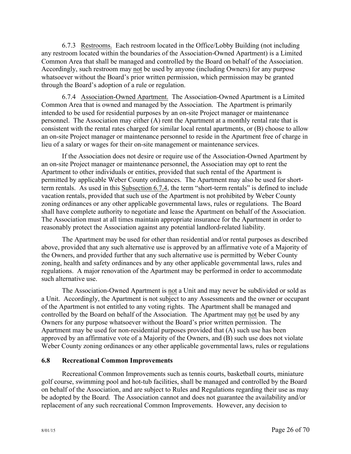6.7.3 Restrooms. Each restroom located in the Office/Lobby Building (not including any restroom located within the boundaries of the Association-Owned Apartment) is a Limited Common Area that shall be managed and controlled by the Board on behalf of the Association. Accordingly, such restroom may not be used by anyone (including Owners) for any purpose whatsoever without the Board's prior written permission, which permission may be granted through the Board's adoption of a rule or regulation.

6.7.4 Association-Owned Apartment. The Association-Owned Apartment is a Limited Common Area that is owned and managed by the Association. The Apartment is primarily intended to be used for residential purposes by an on-site Project manager or maintenance personnel. The Association may either (A) rent the Apartment at a monthly rental rate that is consistent with the rental rates charged for similar local rental apartments, or (B) choose to allow an on-site Project manager or maintenance personnel to reside in the Apartment free of charge in lieu of a salary or wages for their on-site management or maintenance services.

If the Association does not desire or require use of the Association-Owned Apartment by an on-site Project manager or maintenance personnel, the Association may opt to rent the Apartment to other individuals or entities, provided that such rental of the Apartment is permitted by applicable Weber County ordinances. The Apartment may also be used for shortterm rentals. As used in this Subsection 6.7.4, the term "short-term rentals" is defined to include vacation rentals, provided that such use of the Apartment is not prohibited by Weber County zoning ordinances or any other applicable governmental laws, rules or regulations. The Board shall have complete authority to negotiate and lease the Apartment on behalf of the Association. The Association must at all times maintain appropriate insurance for the Apartment in order to reasonably protect the Association against any potential landlord-related liability.

The Apartment may be used for other than residential and/or rental purposes as described above, provided that any such alternative use is approved by an affirmative vote of a Majority of the Owners, and provided further that any such alternative use is permitted by Weber County zoning, health and safety ordinances and by any other applicable governmental laws, rules and regulations. A major renovation of the Apartment may be performed in order to accommodate such alternative use.

The Association-Owned Apartment is not a Unit and may never be subdivided or sold as a Unit. Accordingly, the Apartment is not subject to any Assessments and the owner or occupant of the Apartment is not entitled to any voting rights. The Apartment shall be managed and controlled by the Board on behalf of the Association. The Apartment may not be used by any Owners for any purpose whatsoever without the Board's prior written permission. The Apartment may be used for non-residential purposes provided that (A) such use has been approved by an affirmative vote of a Majority of the Owners, and (B) such use does not violate Weber County zoning ordinances or any other applicable governmental laws, rules or regulations

#### **6.8 Recreational Common Improvements**

Recreational Common Improvements such as tennis courts, basketball courts, miniature golf course, swimming pool and hot-tub facilities, shall be managed and controlled by the Board on behalf of the Association, and are subject to Rules and Regulations regarding their use as may be adopted by the Board. The Association cannot and does not guarantee the availability and/or replacement of any such recreational Common Improvements. However, any decision to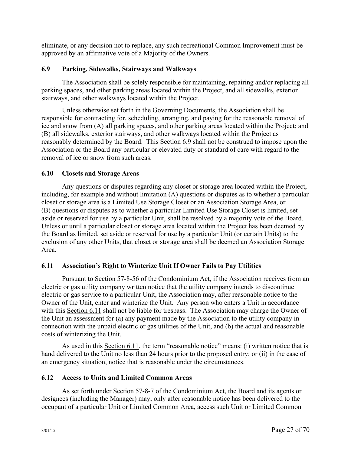eliminate, or any decision not to replace, any such recreational Common Improvement must be approved by an affirmative vote of a Majority of the Owners.

## **6.9 Parking, Sidewalks, Stairways and Walkways**

The Association shall be solely responsible for maintaining, repairing and/or replacing all parking spaces, and other parking areas located within the Project, and all sidewalks, exterior stairways, and other walkways located within the Project.

Unless otherwise set forth in the Governing Documents, the Association shall be responsible for contracting for, scheduling, arranging, and paying for the reasonable removal of ice and snow from (A) all parking spaces, and other parking areas located within the Project; and (B) all sidewalks, exterior stairways, and other walkways located within the Project as reasonably determined by the Board. This Section 6.9 shall not be construed to impose upon the Association or the Board any particular or elevated duty or standard of care with regard to the removal of ice or snow from such areas.

## **6.10 Closets and Storage Areas**

Any questions or disputes regarding any closet or storage area located within the Project, including, for example and without limitation (A) questions or disputes as to whether a particular closet or storage area is a Limited Use Storage Closet or an Association Storage Area, or (B) questions or disputes as to whether a particular Limited Use Storage Closet is limited, set aside or reserved for use by a particular Unit, shall be resolved by a majority vote of the Board. Unless or until a particular closet or storage area located within the Project has been deemed by the Board as limited, set aside or reserved for use by a particular Unit (or certain Units) to the exclusion of any other Units, that closet or storage area shall be deemed an Association Storage Area.

## **6.11 Association's Right to Winterize Unit If Owner Fails to Pay Utilities**

Pursuant to Section 57-8-56 of the Condominium Act, if the Association receives from an electric or gas utility company written notice that the utility company intends to discontinue electric or gas service to a particular Unit, the Association may, after reasonable notice to the Owner of the Unit, enter and winterize the Unit. Any person who enters a Unit in accordance with this Section 6.11 shall not be liable for trespass. The Association may charge the Owner of the Unit an assessment for (a) any payment made by the Association to the utility company in connection with the unpaid electric or gas utilities of the Unit, and (b) the actual and reasonable costs of winterizing the Unit.

As used in this Section 6.11, the term "reasonable notice" means: (i) written notice that is hand delivered to the Unit no less than 24 hours prior to the proposed entry; or (ii) in the case of an emergency situation, notice that is reasonable under the circumstances.

## **6.12 Access to Units and Limited Common Areas**

As set forth under Section 57-8-7 of the Condominium Act, the Board and its agents or designees (including the Manager) may, only after reasonable notice has been delivered to the occupant of a particular Unit or Limited Common Area, access such Unit or Limited Common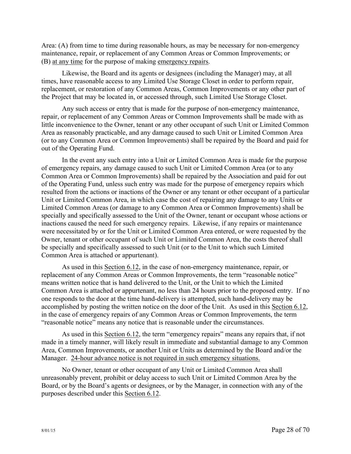Area: (A) from time to time during reasonable hours, as may be necessary for non-emergency maintenance, repair, or replacement of any Common Areas or Common Improvements; or (B) at any time for the purpose of making emergency repairs.

Likewise, the Board and its agents or designees (including the Manager) may, at all times, have reasonable access to any Limited Use Storage Closet in order to perform repair, replacement, or restoration of any Common Areas, Common Improvements or any other part of the Project that may be located in, or accessed through, such Limited Use Storage Closet.

Any such access or entry that is made for the purpose of non-emergency maintenance, repair, or replacement of any Common Areas or Common Improvements shall be made with as little inconvenience to the Owner, tenant or any other occupant of such Unit or Limited Common Area as reasonably practicable, and any damage caused to such Unit or Limited Common Area (or to any Common Area or Common Improvements) shall be repaired by the Board and paid for out of the Operating Fund.

In the event any such entry into a Unit or Limited Common Area is made for the purpose of emergency repairs, any damage caused to such Unit or Limited Common Area (or to any Common Area or Common Improvements) shall be repaired by the Association and paid for out of the Operating Fund, unless such entry was made for the purpose of emergency repairs which resulted from the actions or inactions of the Owner or any tenant or other occupant of a particular Unit or Limited Common Area, in which case the cost of repairing any damage to any Units or Limited Common Areas (or damage to any Common Area or Common Improvements) shall be specially and specifically assessed to the Unit of the Owner, tenant or occupant whose actions or inactions caused the need for such emergency repairs. Likewise, if any repairs or maintenance were necessitated by or for the Unit or Limited Common Area entered, or were requested by the Owner, tenant or other occupant of such Unit or Limited Common Area, the costs thereof shall be specially and specifically assessed to such Unit (or to the Unit to which such Limited Common Area is attached or appurtenant).

As used in this Section 6.12, in the case of non-emergency maintenance, repair, or replacement of any Common Areas or Common Improvements, the term "reasonable notice" means written notice that is hand delivered to the Unit, or the Unit to which the Limited Common Area is attached or appurtenant, no less than 24 hours prior to the proposed entry. If no one responds to the door at the time hand-delivery is attempted, such hand-delivery may be accomplished by posting the written notice on the door of the Unit. As used in this Section 6.12, in the case of emergency repairs of any Common Areas or Common Improvements, the term "reasonable notice" means any notice that is reasonable under the circumstances.

As used in this Section 6.12, the term "emergency repairs" means any repairs that, if not made in a timely manner, will likely result in immediate and substantial damage to any Common Area, Common Improvements, or another Unit or Units as determined by the Board and/or the Manager. 24-hour advance notice is not required in such emergency situations.

No Owner, tenant or other occupant of any Unit or Limited Common Area shall unreasonably prevent, prohibit or delay access to such Unit or Limited Common Area by the Board, or by the Board's agents or designees, or by the Manager, in connection with any of the purposes described under this Section 6.12.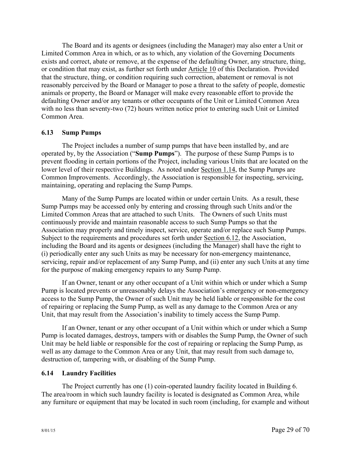The Board and its agents or designees (including the Manager) may also enter a Unit or Limited Common Area in which, or as to which, any violation of the Governing Documents exists and correct, abate or remove, at the expense of the defaulting Owner, any structure, thing, or condition that may exist, as further set forth under Article 10 of this Declaration. Provided that the structure, thing, or condition requiring such correction, abatement or removal is not reasonably perceived by the Board or Manager to pose a threat to the safety of people, domestic animals or property, the Board or Manager will make every reasonable effort to provide the defaulting Owner and/or any tenants or other occupants of the Unit or Limited Common Area with no less than seventy-two (72) hours written notice prior to entering such Unit or Limited Common Area.

#### **6.13 Sump Pumps**

The Project includes a number of sump pumps that have been installed by, and are operated by, by the Association ("**Sump Pumps**"). The purpose of these Sump Pumps is to prevent flooding in certain portions of the Project, including various Units that are located on the lower level of their respective Buildings. As noted under Section 1.14, the Sump Pumps are Common Improvements. Accordingly, the Association is responsible for inspecting, servicing, maintaining, operating and replacing the Sump Pumps.

Many of the Sump Pumps are located within or under certain Units. As a result, these Sump Pumps may be accessed only by entering and crossing through such Units and/or the Limited Common Areas that are attached to such Units. The Owners of such Units must continuously provide and maintain reasonable access to such Sump Pumps so that the Association may properly and timely inspect, service, operate and/or replace such Sump Pumps. Subject to the requirements and procedures set forth under Section 6.12, the Association, including the Board and its agents or designees (including the Manager) shall have the right to (i) periodically enter any such Units as may be necessary for non-emergency maintenance, servicing, repair and/or replacement of any Sump Pump, and (ii) enter any such Units at any time for the purpose of making emergency repairs to any Sump Pump.

If an Owner, tenant or any other occupant of a Unit within which or under which a Sump Pump is located prevents or unreasonably delays the Association's emergency or non-emergency access to the Sump Pump, the Owner of such Unit may be held liable or responsible for the cost of repairing or replacing the Sump Pump, as well as any damage to the Common Area or any Unit, that may result from the Association's inability to timely access the Sump Pump.

If an Owner, tenant or any other occupant of a Unit within which or under which a Sump Pump is located damages, destroys, tampers with or disables the Sump Pump, the Owner of such Unit may be held liable or responsible for the cost of repairing or replacing the Sump Pump, as well as any damage to the Common Area or any Unit, that may result from such damage to, destruction of, tampering with, or disabling of the Sump Pump.

#### **6.14 Laundry Facilities**

The Project currently has one (1) coin-operated laundry facility located in Building 6. The area/room in which such laundry facility is located is designated as Common Area, while any furniture or equipment that may be located in such room (including, for example and without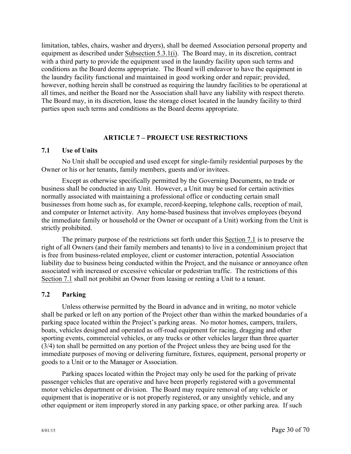limitation, tables, chairs, washer and dryers), shall be deemed Association personal property and equipment as described under Subsection 5.3.1(i). The Board may, in its discretion, contract with a third party to provide the equipment used in the laundry facility upon such terms and conditions as the Board deems appropriate. The Board will endeavor to have the equipment in the laundry facility functional and maintained in good working order and repair; provided, however, nothing herein shall be construed as requiring the laundry facilities to be operational at all times, and neither the Board nor the Association shall have any liability with respect thereto. The Board may, in its discretion, lease the storage closet located in the laundry facility to third parties upon such terms and conditions as the Board deems appropriate.

#### **ARTICLE 7 – PROJECT USE RESTRICTIONS**

#### **7.1 Use of Units**

No Unit shall be occupied and used except for single-family residential purposes by the Owner or his or her tenants, family members, guests and/or invitees.

Except as otherwise specifically permitted by the Governing Documents, no trade or business shall be conducted in any Unit. However, a Unit may be used for certain activities normally associated with maintaining a professional office or conducting certain small businesses from home such as, for example, record-keeping, telephone calls, reception of mail, and computer or Internet activity. Any home-based business that involves employees (beyond the immediate family or household or the Owner or occupant of a Unit) working from the Unit is strictly prohibited.

The primary purpose of the restrictions set forth under this Section 7.1 is to preserve the right of all Owners (and their family members and tenants) to live in a condominium project that is free from business-related employee, client or customer interaction, potential Association liability due to business being conducted within the Project, and the nuisance or annoyance often associated with increased or excessive vehicular or pedestrian traffic. The restrictions of this Section 7.1 shall not prohibit an Owner from leasing or renting a Unit to a tenant.

#### **7.2 Parking**

Unless otherwise permitted by the Board in advance and in writing, no motor vehicle shall be parked or left on any portion of the Project other than within the marked boundaries of a parking space located within the Project's parking areas. No motor homes, campers, trailers, boats, vehicles designed and operated as off-road equipment for racing, dragging and other sporting events, commercial vehicles, or any trucks or other vehicles larger than three quarter (3/4) ton shall be permitted on any portion of the Project unless they are being used for the immediate purposes of moving or delivering furniture, fixtures, equipment, personal property or goods to a Unit or to the Manager or Association.

Parking spaces located within the Project may only be used for the parking of private passenger vehicles that are operative and have been properly registered with a governmental motor vehicles department or division. The Board may require removal of any vehicle or equipment that is inoperative or is not properly registered, or any unsightly vehicle, and any other equipment or item improperly stored in any parking space, or other parking area. If such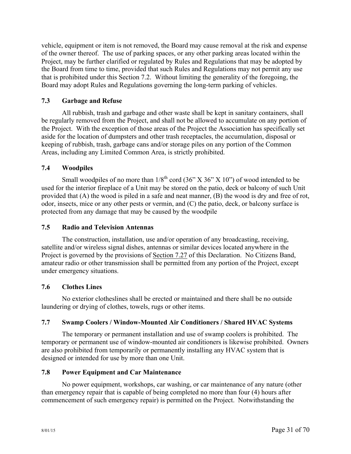vehicle, equipment or item is not removed, the Board may cause removal at the risk and expense of the owner thereof. The use of parking spaces, or any other parking areas located within the Project, may be further clarified or regulated by Rules and Regulations that may be adopted by the Board from time to time, provided that such Rules and Regulations may not permit any use that is prohibited under this Section 7.2. Without limiting the generality of the foregoing, the Board may adopt Rules and Regulations governing the long-term parking of vehicles.

### **7.3 Garbage and Refuse**

All rubbish, trash and garbage and other waste shall be kept in sanitary containers, shall be regularly removed from the Project, and shall not be allowed to accumulate on any portion of the Project. With the exception of those areas of the Project the Association has specifically set aside for the location of dumpsters and other trash receptacles, the accumulation, disposal or keeping of rubbish, trash, garbage cans and/or storage piles on any portion of the Common Areas, including any Limited Common Area, is strictly prohibited.

### **7.4 Woodpiles**

Small woodpiles of no more than  $1/8^{th}$  cord (36" X 36" X 10") of wood intended to be used for the interior fireplace of a Unit may be stored on the patio, deck or balcony of such Unit provided that (A) the wood is piled in a safe and neat manner, (B) the wood is dry and free of rot, odor, insects, mice or any other pests or vermin, and (C) the patio, deck, or balcony surface is protected from any damage that may be caused by the woodpile

#### **7.5 Radio and Television Antennas**

The construction, installation, use and/or operation of any broadcasting, receiving, satellite and/or wireless signal dishes, antennas or similar devices located anywhere in the Project is governed by the provisions of Section 7.27 of this Declaration. No Citizens Band, amateur radio or other transmission shall be permitted from any portion of the Project, except under emergency situations.

#### **7.6 Clothes Lines**

No exterior clotheslines shall be erected or maintained and there shall be no outside laundering or drying of clothes, towels, rugs or other items.

#### **7.7 Swamp Coolers / Window-Mounted Air Conditioners / Shared HVAC Systems**

The temporary or permanent installation and use of swamp coolers is prohibited. The temporary or permanent use of window-mounted air conditioners is likewise prohibited. Owners are also prohibited from temporarily or permanently installing any HVAC system that is designed or intended for use by more than one Unit.

#### **7.8 Power Equipment and Car Maintenance**

No power equipment, workshops, car washing, or car maintenance of any nature (other than emergency repair that is capable of being completed no more than four (4) hours after commencement of such emergency repair) is permitted on the Project. Notwithstanding the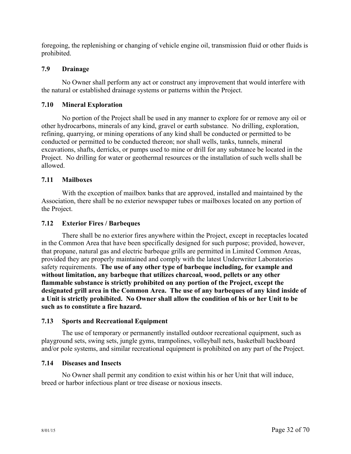foregoing, the replenishing or changing of vehicle engine oil, transmission fluid or other fluids is prohibited.

## **7.9 Drainage**

No Owner shall perform any act or construct any improvement that would interfere with the natural or established drainage systems or patterns within the Project.

### **7.10 Mineral Exploration**

No portion of the Project shall be used in any manner to explore for or remove any oil or other hydrocarbons, minerals of any kind, gravel or earth substance. No drilling, exploration, refining, quarrying, or mining operations of any kind shall be conducted or permitted to be conducted or permitted to be conducted thereon; nor shall wells, tanks, tunnels, mineral excavations, shafts, derricks, or pumps used to mine or drill for any substance be located in the Project. No drilling for water or geothermal resources or the installation of such wells shall be allowed.

### **7.11 Mailboxes**

With the exception of mailbox banks that are approved, installed and maintained by the Association, there shall be no exterior newspaper tubes or mailboxes located on any portion of the Project.

#### **7.12 Exterior Fires / Barbeques**

There shall be no exterior fires anywhere within the Project, except in receptacles located in the Common Area that have been specifically designed for such purpose; provided, however, that propane, natural gas and electric barbeque grills are permitted in Limited Common Areas, provided they are properly maintained and comply with the latest Underwriter Laboratories safety requirements. **The use of any other type of barbeque including, for example and without limitation, any barbeque that utilizes charcoal, wood, pellets or any other flammable substance is strictly prohibited on any portion of the Project, except the designated grill area in the Common Area. The use of any barbeques of any kind inside of a Unit is strictly prohibited. No Owner shall allow the condition of his or her Unit to be such as to constitute a fire hazard.**

#### **7.13 Sports and Recreational Equipment**

The use of temporary or permanently installed outdoor recreational equipment, such as playground sets, swing sets, jungle gyms, trampolines, volleyball nets, basketball backboard and/or pole systems, and similar recreational equipment is prohibited on any part of the Project.

#### **7.14 Diseases and Insects**

No Owner shall permit any condition to exist within his or her Unit that will induce, breed or harbor infectious plant or tree disease or noxious insects.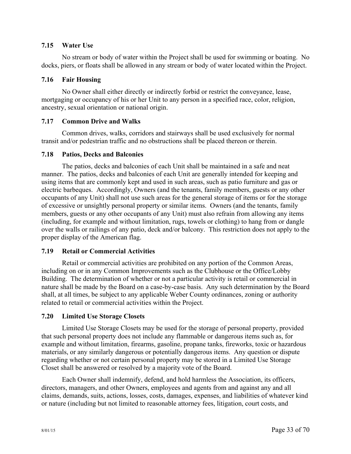### **7.15 Water Use**

No stream or body of water within the Project shall be used for swimming or boating. No docks, piers, or floats shall be allowed in any stream or body of water located within the Project.

### **7.16 Fair Housing**

No Owner shall either directly or indirectly forbid or restrict the conveyance, lease, mortgaging or occupancy of his or her Unit to any person in a specified race, color, religion, ancestry, sexual orientation or national origin.

### **7.17 Common Drive and Walks**

Common drives, walks, corridors and stairways shall be used exclusively for normal transit and/or pedestrian traffic and no obstructions shall be placed thereon or therein.

### **7.18 Patios, Decks and Balconies**

The patios, decks and balconies of each Unit shall be maintained in a safe and neat manner. The patios, decks and balconies of each Unit are generally intended for keeping and using items that are commonly kept and used in such areas, such as patio furniture and gas or electric barbeques. Accordingly, Owners (and the tenants, family members, guests or any other occupants of any Unit) shall not use such areas for the general storage of items or for the storage of excessive or unsightly personal property or similar items. Owners (and the tenants, family members, guests or any other occupants of any Unit) must also refrain from allowing any items (including, for example and without limitation, rugs, towels or clothing) to hang from or dangle over the walls or railings of any patio, deck and/or balcony. This restriction does not apply to the proper display of the American flag.

## **7.19 Retail or Commercial Activities**

Retail or commercial activities are prohibited on any portion of the Common Areas, including on or in any Common Improvements such as the Clubhouse or the Office/Lobby Building. The determination of whether or not a particular activity is retail or commercial in nature shall be made by the Board on a case-by-case basis. Any such determination by the Board shall, at all times, be subject to any applicable Weber County ordinances, zoning or authority related to retail or commercial activities within the Project.

## **7.20 Limited Use Storage Closets**

Limited Use Storage Closets may be used for the storage of personal property, provided that such personal property does not include any flammable or dangerous items such as, for example and without limitation, firearms, gasoline, propane tanks, fireworks, toxic or hazardous materials, or any similarly dangerous or potentially dangerous items. Any question or dispute regarding whether or not certain personal property may be stored in a Limited Use Storage Closet shall be answered or resolved by a majority vote of the Board.

Each Owner shall indemnify, defend, and hold harmless the Association, its officers, directors, managers, and other Owners, employees and agents from and against any and all claims, demands, suits, actions, losses, costs, damages, expenses, and liabilities of whatever kind or nature (including but not limited to reasonable attorney fees, litigation, court costs, and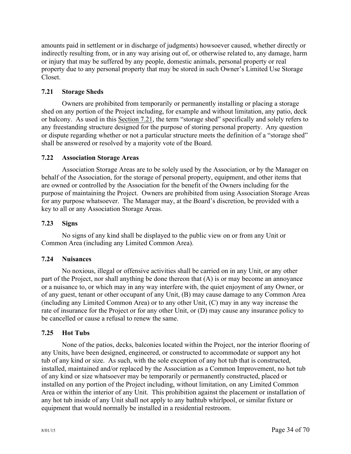amounts paid in settlement or in discharge of judgments) howsoever caused, whether directly or indirectly resulting from, or in any way arising out of, or otherwise related to, any damage, harm or injury that may be suffered by any people, domestic animals, personal property or real property due to any personal property that may be stored in such Owner's Limited Use Storage Closet.

## **7.21 Storage Sheds**

Owners are prohibited from temporarily or permanently installing or placing a storage shed on any portion of the Project including, for example and without limitation, any patio, deck or balcony. As used in this Section 7.21, the term "storage shed" specifically and solely refers to any freestanding structure designed for the purpose of storing personal property. Any question or dispute regarding whether or not a particular structure meets the definition of a "storage shed" shall be answered or resolved by a majority vote of the Board.

## **7.22 Association Storage Areas**

Association Storage Areas are to be solely used by the Association, or by the Manager on behalf of the Association, for the storage of personal property, equipment, and other items that are owned or controlled by the Association for the benefit of the Owners including for the purpose of maintaining the Project. Owners are prohibited from using Association Storage Areas for any purpose whatsoever. The Manager may, at the Board's discretion, be provided with a key to all or any Association Storage Areas.

# **7.23 Signs**

No signs of any kind shall be displayed to the public view on or from any Unit or Common Area (including any Limited Common Area).

# **7.24 Nuisances**

No noxious, illegal or offensive activities shall be carried on in any Unit, or any other part of the Project, nor shall anything be done thereon that (A) is or may become an annoyance or a nuisance to, or which may in any way interfere with, the quiet enjoyment of any Owner, or of any guest, tenant or other occupant of any Unit, (B) may cause damage to any Common Area (including any Limited Common Area) or to any other Unit, (C) may in any way increase the rate of insurance for the Project or for any other Unit, or (D) may cause any insurance policy to be cancelled or cause a refusal to renew the same.

## **7.25 Hot Tubs**

None of the patios, decks, balconies located within the Project, nor the interior flooring of any Units, have been designed, engineered, or constructed to accommodate or support any hot tub of any kind or size. As such, with the sole exception of any hot tub that is constructed, installed, maintained and/or replaced by the Association as a Common Improvement, no hot tub of any kind or size whatsoever may be temporarily or permanently constructed, placed or installed on any portion of the Project including, without limitation, on any Limited Common Area or within the interior of any Unit. This prohibition against the placement or installation of any hot tub inside of any Unit shall not apply to any bathtub whirlpool, or similar fixture or equipment that would normally be installed in a residential restroom.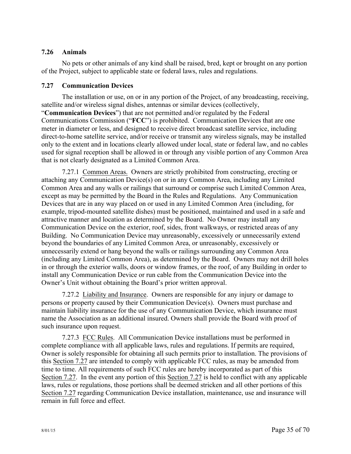## **7.26 Animals**

No pets or other animals of any kind shall be raised, bred, kept or brought on any portion of the Project, subject to applicable state or federal laws, rules and regulations.

### **7.27 Communication Devices**

The installation or use, on or in any portion of the Project, of any broadcasting, receiving, satellite and/or wireless signal dishes, antennas or similar devices (collectively, "**Communication Devices**") that are not permitted and/or regulated by the Federal Communications Commission ("**FCC**") is prohibited. Communication Devices that are one

meter in diameter or less, and designed to receive direct broadcast satellite service, including direct-to-home satellite service, and/or receive or transmit any wireless signals, may be installed only to the extent and in locations clearly allowed under local, state or federal law, and no cables used for signal reception shall be allowed in or through any visible portion of any Common Area that is not clearly designated as a Limited Common Area.

7.27.1 Common Areas. Owners are strictly prohibited from constructing, erecting or attaching any Communication Device(s) on or in any Common Area, including any Limited Common Area and any walls or railings that surround or comprise such Limited Common Area, except as may be permitted by the Board in the Rules and Regulations. Any Communication Devices that are in any way placed on or used in any Limited Common Area (including, for example, tripod-mounted satellite dishes) must be positioned, maintained and used in a safe and attractive manner and location as determined by the Board. No Owner may install any Communication Device on the exterior, roof, sides, front walkways, or restricted areas of any Building. No Communication Device may unreasonably, excessively or unnecessarily extend beyond the boundaries of any Limited Common Area, or unreasonably, excessively or unnecessarily extend or hang beyond the walls or railings surrounding any Common Area (including any Limited Common Area), as determined by the Board. Owners may not drill holes in or through the exterior walls, doors or window frames, or the roof, of any Building in order to install any Communication Device or run cable from the Communication Device into the Owner's Unit without obtaining the Board's prior written approval.

7.27.2 Liability and Insurance. Owners are responsible for any injury or damage to persons or property caused by their Communication Device(s). Owners must purchase and maintain liability insurance for the use of any Communication Device, which insurance must name the Association as an additional insured. Owners shall provide the Board with proof of such insurance upon request.

7.27.3 FCC Rules. All Communication Device installations must be performed in complete compliance with all applicable laws, rules and regulations. If permits are required, Owner is solely responsible for obtaining all such permits prior to installation. The provisions of this Section 7.27 are intended to comply with applicable FCC rules, as may be amended from time to time. All requirements of such FCC rules are hereby incorporated as part of this Section 7.27. In the event any portion of this Section 7.27 is held to conflict with any applicable laws, rules or regulations, those portions shall be deemed stricken and all other portions of this Section 7.27 regarding Communication Device installation, maintenance, use and insurance will remain in full force and effect.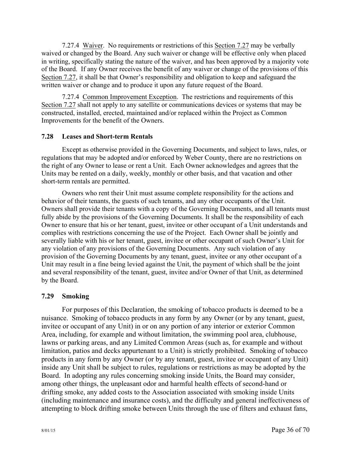7.27.4 Waiver. No requirements or restrictions of this Section 7.27 may be verbally waived or changed by the Board. Any such waiver or change will be effective only when placed in writing, specifically stating the nature of the waiver, and has been approved by a majority vote of the Board. If any Owner receives the benefit of any waiver or change of the provisions of this Section 7.27, it shall be that Owner's responsibility and obligation to keep and safeguard the written waiver or change and to produce it upon any future request of the Board.

7.27.4 Common Improvement Exception. The restrictions and requirements of this Section 7.27 shall not apply to any satellite or communications devices or systems that may be constructed, installed, erected, maintained and/or replaced within the Project as Common Improvements for the benefit of the Owners.

### **7.28 Leases and Short-term Rentals**

Except as otherwise provided in the Governing Documents, and subject to laws, rules, or regulations that may be adopted and/or enforced by Weber County, there are no restrictions on the right of any Owner to lease or rent a Unit. Each Owner acknowledges and agrees that the Units may be rented on a daily, weekly, monthly or other basis, and that vacation and other short-term rentals are permitted.

Owners who rent their Unit must assume complete responsibility for the actions and behavior of their tenants, the guests of such tenants, and any other occupants of the Unit. Owners shall provide their tenants with a copy of the Governing Documents, and all tenants must fully abide by the provisions of the Governing Documents. It shall be the responsibility of each Owner to ensure that his or her tenant, guest, invitee or other occupant of a Unit understands and complies with restrictions concerning the use of the Project. Each Owner shall be jointly and severally liable with his or her tenant, guest, invitee or other occupant of such Owner's Unit for any violation of any provisions of the Governing Documents. Any such violation of any provision of the Governing Documents by any tenant, guest, invitee or any other occupant of a Unit may result in a fine being levied against the Unit, the payment of which shall be the joint and several responsibility of the tenant, guest, invitee and/or Owner of that Unit, as determined by the Board.

## **7.29 Smoking**

For purposes of this Declaration, the smoking of tobacco products is deemed to be a nuisance. Smoking of tobacco products in any form by any Owner (or by any tenant, guest, invitee or occupant of any Unit) in or on any portion of any interior or exterior Common Area, including, for example and without limitation, the swimming pool area, clubhouse, lawns or parking areas, and any Limited Common Areas (such as, for example and without limitation, patios and decks appurtenant to a Unit) is strictly prohibited. Smoking of tobacco products in any form by any Owner (or by any tenant, guest, invitee or occupant of any Unit) inside any Unit shall be subject to rules, regulations or restrictions as may be adopted by the Board. In adopting any rules concerning smoking inside Units, the Board may consider, among other things, the unpleasant odor and harmful health effects of second-hand or drifting smoke, any added costs to the Association associated with smoking inside Units (including maintenance and insurance costs), and the difficulty and general ineffectiveness of attempting to block drifting smoke between Units through the use of filters and exhaust fans,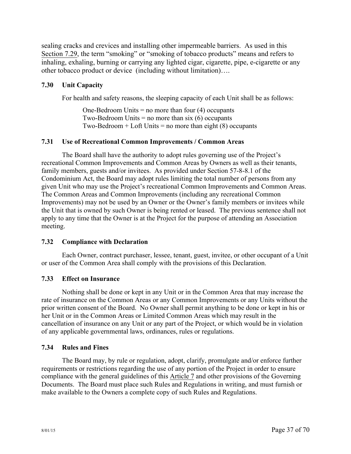sealing cracks and crevices and installing other impermeable barriers. As used in this Section 7.29, the term "smoking" or "smoking of tobacco products" means and refers to inhaling, exhaling, burning or carrying any lighted cigar, cigarette, pipe, e-cigarette or any other tobacco product or device (including without limitation)….

#### **7.30 Unit Capacity**

For health and safety reasons, the sleeping capacity of each Unit shall be as follows:

One-Bedroom Units  $=$  no more than four (4) occupants Two-Bedroom Units  $=$  no more than six (6) occupants Two-Bedroom  $+$  Loft Units  $=$  no more than eight (8) occupants

#### **7.31 Use of Recreational Common Improvements / Common Areas**

The Board shall have the authority to adopt rules governing use of the Project's recreational Common Improvements and Common Areas by Owners as well as their tenants, family members, guests and/or invitees. As provided under Section 57-8-8.1 of the Condominium Act, the Board may adopt rules limiting the total number of persons from any given Unit who may use the Project's recreational Common Improvements and Common Areas. The Common Areas and Common Improvements (including any recreational Common Improvements) may not be used by an Owner or the Owner's family members or invitees while the Unit that is owned by such Owner is being rented or leased. The previous sentence shall not apply to any time that the Owner is at the Project for the purpose of attending an Association meeting.

#### **7.32 Compliance with Declaration**

Each Owner, contract purchaser, lessee, tenant, guest, invitee, or other occupant of a Unit or user of the Common Area shall comply with the provisions of this Declaration.

#### **7.33 Effect on Insurance**

Nothing shall be done or kept in any Unit or in the Common Area that may increase the rate of insurance on the Common Areas or any Common Improvements or any Units without the prior written consent of the Board. No Owner shall permit anything to be done or kept in his or her Unit or in the Common Areas or Limited Common Areas which may result in the cancellation of insurance on any Unit or any part of the Project, or which would be in violation of any applicable governmental laws, ordinances, rules or regulations.

#### **7.34 Rules and Fines**

The Board may, by rule or regulation, adopt, clarify, promulgate and/or enforce further requirements or restrictions regarding the use of any portion of the Project in order to ensure compliance with the general guidelines of this Article 7 and other provisions of the Governing Documents. The Board must place such Rules and Regulations in writing, and must furnish or make available to the Owners a complete copy of such Rules and Regulations.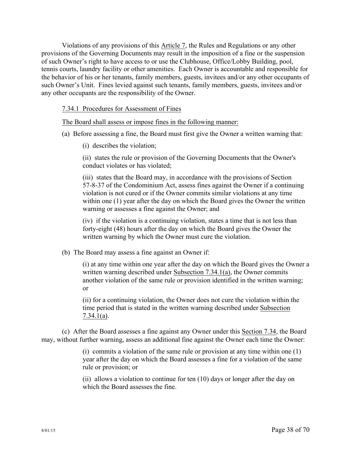Violations of any provisions of this Article 7, the Rules and Regulations or any other provisions of the Governing Documents may result in the imposition of a fine or the suspension of such Owner's right to have access to or use the Clubhouse, Office/Lobby Building, pool, tennis courts, laundry facility or other amenities. Each Owner is accountable and responsible for the behavior of his or her tenants, family members, guests, invitees and/or any other occupants of such Owner's Unit. Fines levied against such tenants, family members, guests, invitees and/or any other occupants are the responsibility of the Owner.

#### 7.34.1 Procedures for Assessment of Fines

The Board shall assess or impose fines in the following manner:

- (a) Before assessing a fine, the Board must first give the Owner a written warning that:
	- (i) describes the violation;

(ii) states the rule or provision of the Governing Documents that the Owner's conduct violates or has violated;

(iii) states that the Board may, in accordance with the provisions of Section 57-8-37 of the Condominium Act, assess fines against the Owner if a continuing violation is not cured or if the Owner commits similar violations at any time within one (1) year after the day on which the Board gives the Owner the written warning or assesses a fine against the Owner; and

(iv) if the violation is a continuing violation, states a time that is not less than forty-eight (48) hours after the day on which the Board gives the Owner the written warning by which the Owner must cure the violation.

(b) The Board may assess a fine against an Owner if:

(i) at any time within one year after the day on which the Board gives the Owner a written warning described under Subsection 7.34.1(a), the Owner commits another violation of the same rule or provision identified in the written warning; or

(ii) for a continuing violation, the Owner does not cure the violation within the time period that is stated in the written warning described under Subsection 7.34.1(a).

(c) After the Board assesses a fine against any Owner under this Section 7.34, the Board may, without further warning, assess an additional fine against the Owner each time the Owner:

> (i) commits a violation of the same rule or provision at any time within one (1) year after the day on which the Board assesses a fine for a violation of the same rule or provision; or

(ii) allows a violation to continue for ten (10) days or longer after the day on which the Board assesses the fine.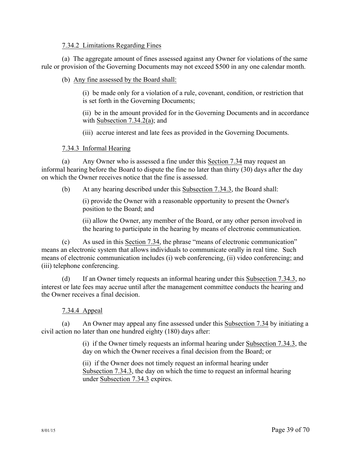#### 7.34.2 Limitations Regarding Fines

(a) The aggregate amount of fines assessed against any Owner for violations of the same rule or provision of the Governing Documents may not exceed \$500 in any one calendar month.

#### (b) Any fine assessed by the Board shall:

(i) be made only for a violation of a rule, covenant, condition, or restriction that is set forth in the Governing Documents;

(ii) be in the amount provided for in the Governing Documents and in accordance with Subsection 7.34.2(a); and

(iii) accrue interest and late fees as provided in the Governing Documents.

#### 7.34.3 Informal Hearing

(a) Any Owner who is assessed a fine under this Section 7.34 may request an informal hearing before the Board to dispute the fine no later than thirty (30) days after the day on which the Owner receives notice that the fine is assessed.

(b) At any hearing described under this Subsection 7.34.3, the Board shall:

(i) provide the Owner with a reasonable opportunity to present the Owner's position to the Board; and

(ii) allow the Owner, any member of the Board, or any other person involved in the hearing to participate in the hearing by means of electronic communication.

(c) As used in this Section 7.34, the phrase "means of electronic communication" means an electronic system that allows individuals to communicate orally in real time. Such means of electronic communication includes (i) web conferencing, (ii) video conferencing; and (iii) telephone conferencing.

(d) If an Owner timely requests an informal hearing under this Subsection 7.34.3, no interest or late fees may accrue until after the management committee conducts the hearing and the Owner receives a final decision.

#### 7.34.4 Appeal

(a) An Owner may appeal any fine assessed under this Subsection 7.34 by initiating a civil action no later than one hundred eighty (180) days after:

> (i) if the Owner timely requests an informal hearing under Subsection 7.34.3, the day on which the Owner receives a final decision from the Board; or

(ii) if the Owner does not timely request an informal hearing under Subsection 7.34.3, the day on which the time to request an informal hearing under Subsection 7.34.3 expires.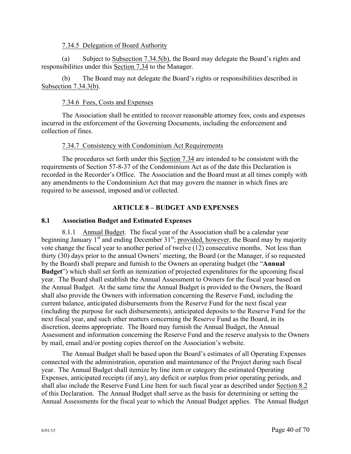#### 7.34.5 Delegation of Board Authority

(a) Subject to Subsection 7.34.5(b), the Board may delegate the Board's rights and responsibilities under this Section 7.34 to the Manager.

(b) The Board may not delegate the Board's rights or responsibilities described in Subsection 7.34.3(b).

### 7.34.6 Fees, Costs and Expenses

The Association shall be entitled to recover reasonable attorney fees, costs and expenses incurred in the enforcement of the Governing Documents, including the enforcement and collection of fines.

### 7.34.7 Consistency with Condominium Act Requirements

The procedures set forth under this Section 7.34 are intended to be consistent with the requirements of Section 57-8-37 of the Condominium Act as of the date this Declaration is recorded in the Recorder's Office. The Association and the Board must at all times comply with any amendments to the Condominium Act that may govern the manner in which fines are required to be assessed, imposed and/or collected.

## **ARTICLE 8 – BUDGET AND EXPENSES**

### **8.1 Association Budget and Estimated Expenses**

8.1.1 Annual Budget. The fiscal year of the Association shall be a calendar year beginning January  $1<sup>st</sup>$  and ending December  $31<sup>st</sup>$ ; provided, however, the Board may by majority vote change the fiscal year to another period of twelve (12) consecutive months. Not less than thirty (30) days prior to the annual Owners' meeting, the Board (or the Manager, if so requested by the Board) shall prepare and furnish to the Owners an operating budget (the "**Annual Budget**") which shall set forth an itemization of projected expenditures for the upcoming fiscal year. The Board shall establish the Annual Assessment to Owners for the fiscal year based on the Annual Budget. At the same time the Annual Budget is provided to the Owners, the Board shall also provide the Owners with information concerning the Reserve Fund, including the current balance, anticipated disbursements from the Reserve Fund for the next fiscal year (including the purpose for such disbursements), anticipated deposits to the Reserve Fund for the next fiscal year, and such other matters concerning the Reserve Fund as the Board, in its discretion, deems appropriate. The Board may furnish the Annual Budget, the Annual Assessment and information concerning the Reserve Fund and the reserve analysis to the Owners by mail, email and/or posting copies thereof on the Association's website.

The Annual Budget shall be based upon the Board's estimates of all Operating Expenses connected with the administration, operation and maintenance of the Project during such fiscal year. The Annual Budget shall itemize by line item or category the estimated Operating Expenses, anticipated receipts (if any), any deficit or surplus from prior operating periods, and shall also include the Reserve Fund Line Item for such fiscal year as described under Section 8.2 of this Declaration. The Annual Budget shall serve as the basis for determining or setting the Annual Assessments for the fiscal year to which the Annual Budget applies. The Annual Budget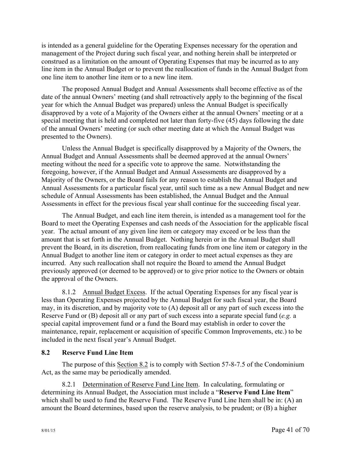is intended as a general guideline for the Operating Expenses necessary for the operation and management of the Project during such fiscal year, and nothing herein shall be interpreted or construed as a limitation on the amount of Operating Expenses that may be incurred as to any line item in the Annual Budget or to prevent the reallocation of funds in the Annual Budget from one line item to another line item or to a new line item.

The proposed Annual Budget and Annual Assessments shall become effective as of the date of the annual Owners' meeting (and shall retroactively apply to the beginning of the fiscal year for which the Annual Budget was prepared) unless the Annual Budget is specifically disapproved by a vote of a Majority of the Owners either at the annual Owners' meeting or at a special meeting that is held and completed not later than forty-five (45) days following the date of the annual Owners' meeting (or such other meeting date at which the Annual Budget was presented to the Owners).

Unless the Annual Budget is specifically disapproved by a Majority of the Owners, the Annual Budget and Annual Assessments shall be deemed approved at the annual Owners' meeting without the need for a specific vote to approve the same. Notwithstanding the foregoing, however, if the Annual Budget and Annual Assessments are disapproved by a Majority of the Owners, or the Board fails for any reason to establish the Annual Budget and Annual Assessments for a particular fiscal year, until such time as a new Annual Budget and new schedule of Annual Assessments has been established, the Annual Budget and the Annual Assessments in effect for the previous fiscal year shall continue for the succeeding fiscal year.

The Annual Budget, and each line item therein, is intended as a management tool for the Board to meet the Operating Expenses and cash needs of the Association for the applicable fiscal year. The actual amount of any given line item or category may exceed or be less than the amount that is set forth in the Annual Budget. Nothing herein or in the Annual Budget shall prevent the Board, in its discretion, from reallocating funds from one line item or category in the Annual Budget to another line item or category in order to meet actual expenses as they are incurred. Any such reallocation shall not require the Board to amend the Annual Budget previously approved (or deemed to be approved) or to give prior notice to the Owners or obtain the approval of the Owners.

8.1.2 Annual Budget Excess. If the actual Operating Expenses for any fiscal year is less than Operating Expenses projected by the Annual Budget for such fiscal year, the Board may, in its discretion, and by majority vote to (A) deposit all or any part of such excess into the Reserve Fund or (B) deposit all or any part of such excess into a separate special fund (*e.g.* a special capital improvement fund or a fund the Board may establish in order to cover the maintenance, repair, replacement or acquisition of specific Common Improvements, etc.) to be included in the next fiscal year's Annual Budget.

## **8.2 Reserve Fund Line Item**

The purpose of this Section 8.2 is to comply with Section 57-8-7.5 of the Condominium Act, as the same may be periodically amended.

8.2.1 Determination of Reserve Fund Line Item. In calculating, formulating or determining its Annual Budget, the Association must include a "**Reserve Fund Line Item**" which shall be used to fund the Reserve Fund. The Reserve Fund Line Item shall be in: (A) an amount the Board determines, based upon the reserve analysis, to be prudent; or (B) a higher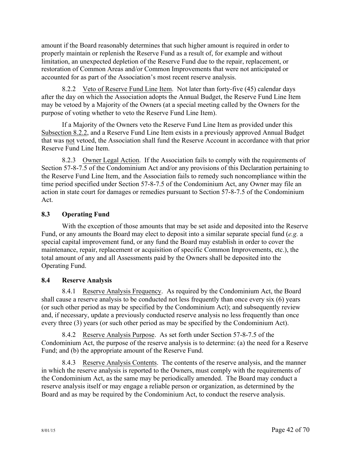amount if the Board reasonably determines that such higher amount is required in order to properly maintain or replenish the Reserve Fund as a result of, for example and without limitation, an unexpected depletion of the Reserve Fund due to the repair, replacement, or restoration of Common Areas and/or Common Improvements that were not anticipated or accounted for as part of the Association's most recent reserve analysis.

8.2.2 Veto of Reserve Fund Line Item. Not later than forty-five (45) calendar days after the day on which the Association adopts the Annual Budget, the Reserve Fund Line Item may be vetoed by a Majority of the Owners (at a special meeting called by the Owners for the purpose of voting whether to veto the Reserve Fund Line Item).

If a Majority of the Owners veto the Reserve Fund Line Item as provided under this Subsection 8.2.2, and a Reserve Fund Line Item exists in a previously approved Annual Budget that was not vetoed, the Association shall fund the Reserve Account in accordance with that prior Reserve Fund Line Item.

8.2.3 Owner Legal Action. If the Association fails to comply with the requirements of Section 57-8-7.5 of the Condominium Act and/or any provisions of this Declaration pertaining to the Reserve Fund Line Item, and the Association fails to remedy such noncompliance within the time period specified under Section 57-8-7.5 of the Condominium Act, any Owner may file an action in state court for damages or remedies pursuant to Section 57-8-7.5 of the Condominium Act.

# **8.3 Operating Fund**

With the exception of those amounts that may be set aside and deposited into the Reserve Fund, or any amounts the Board may elect to deposit into a similar separate special fund (*e.g.* a special capital improvement fund, or any fund the Board may establish in order to cover the maintenance, repair, replacement or acquisition of specific Common Improvements, etc.), the total amount of any and all Assessments paid by the Owners shall be deposited into the Operating Fund.

# **8.4 Reserve Analysis**

8.4.1 Reserve Analysis Frequency. As required by the Condominium Act, the Board shall cause a reserve analysis to be conducted not less frequently than once every six (6) years (or such other period as may be specified by the Condominium Act); and subsequently review and, if necessary, update a previously conducted reserve analysis no less frequently than once every three (3) years (or such other period as may be specified by the Condominium Act).

8.4.2 Reserve Analysis Purpose. As set forth under Section 57-8-7.5 of the Condominium Act, the purpose of the reserve analysis is to determine: (a) the need for a Reserve Fund; and (b) the appropriate amount of the Reserve Fund.

8.4.3 Reserve Analysis Contents. The contents of the reserve analysis, and the manner in which the reserve analysis is reported to the Owners, must comply with the requirements of the Condominium Act, as the same may be periodically amended. The Board may conduct a reserve analysis itself or may engage a reliable person or organization, as determined by the Board and as may be required by the Condominium Act, to conduct the reserve analysis.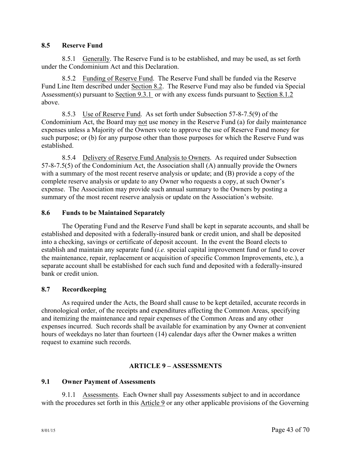### **8.5 Reserve Fund**

8.5.1 Generally. The Reserve Fund is to be established, and may be used, as set forth under the Condominium Act and this Declaration.

8.5.2 Funding of Reserve Fund. The Reserve Fund shall be funded via the Reserve Fund Line Item described under Section 8.2. The Reserve Fund may also be funded via Special Assessment(s) pursuant to Section 9.3.1 or with any excess funds pursuant to Section 8.1.2 above.

8.5.3 Use of Reserve Fund. As set forth under Subsection 57-8-7.5(9) of the Condominium Act, the Board may not use money in the Reserve Fund (a) for daily maintenance expenses unless a Majority of the Owners vote to approve the use of Reserve Fund money for such purpose; or (b) for any purpose other than those purposes for which the Reserve Fund was established.

8.5.4 Delivery of Reserve Fund Analysis to Owners. As required under Subsection 57-8-7.5(5) of the Condominium Act, the Association shall (A) annually provide the Owners with a summary of the most recent reserve analysis or update; and (B) provide a copy of the complete reserve analysis or update to any Owner who requests a copy, at such Owner's expense. The Association may provide such annual summary to the Owners by posting a summary of the most recent reserve analysis or update on the Association's website.

### **8.6 Funds to be Maintained Separately**

The Operating Fund and the Reserve Fund shall be kept in separate accounts, and shall be established and deposited with a federally-insured bank or credit union, and shall be deposited into a checking, savings or certificate of deposit account. In the event the Board elects to establish and maintain any separate fund (*i.e.* special capital improvement fund or fund to cover the maintenance, repair, replacement or acquisition of specific Common Improvements, etc.), a separate account shall be established for each such fund and deposited with a federally-insured bank or credit union.

## **8.7 Recordkeeping**

As required under the Acts, the Board shall cause to be kept detailed, accurate records in chronological order, of the receipts and expenditures affecting the Common Areas, specifying and itemizing the maintenance and repair expenses of the Common Areas and any other expenses incurred. Such records shall be available for examination by any Owner at convenient hours of weekdays no later than fourteen (14) calendar days after the Owner makes a written request to examine such records.

## **ARTICLE 9 – ASSESSMENTS**

## **9.1 Owner Payment of Assessments**

9.1.1 Assessments. Each Owner shall pay Assessments subject to and in accordance with the procedures set forth in this Article 9 or any other applicable provisions of the Governing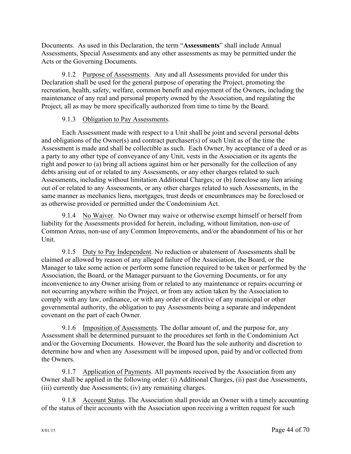Documents. As used in this Declaration, the term "**Assessments**" shall include Annual Assessments, Special Assessments and any other assessments as may be permitted under the Acts or the Governing Documents.

9.1.2 Purpose of Assessments. Any and all Assessments provided for under this Declaration shall be used for the general purpose of operating the Project, promoting the recreation, health, safety, welfare, common benefit and enjoyment of the Owners, including the maintenance of any real and personal property owned by the Association, and regulating the Project, all as may be more specifically authorized from time to time by the Board.

## 9.1.3 Obligation to Pay Assessments.

Each Assessment made with respect to a Unit shall be joint and several personal debts and obligations of the Owner(s) and contract purchaser(s) of such Unit as of the time the Assessment is made and shall be collectible as such. Each Owner, by acceptance of a deed or as a party to any other type of conveyance of any Unit, vests in the Association or its agents the right and power to (a) bring all actions against him or her personally for the collection of any debts arising out of or related to any Assessments, or any other charges related to such Assessments, including without limitation Additional Charges; or (b) foreclose any lien arising out of or related to any Assessments, or any other charges related to such Assessments, in the same manner as mechanics liens, mortgages, trust deeds or encumbrances may be foreclosed or as otherwise provided or permitted under the Condominium Act.

9.1.4 No Waiver. No Owner may waive or otherwise exempt himself or herself from liability for the Assessments provided for herein, including, without limitation, non-use of Common Areas, non-use of any Common Improvements, and/or the abandonment of his or her Unit.

9.1.5 Duty to Pay Independent. No reduction or abatement of Assessments shall be claimed or allowed by reason of any alleged failure of the Association, the Board, or the Manager to take some action or perform some function required to be taken or performed by the Association, the Board, or the Manager pursuant to the Governing Documents, or for any inconvenience to any Owner arising from or related to any maintenance or repairs occurring or not occurring anywhere within the Project, or from any action taken by the Association to comply with any law, ordinance, or with any order or directive of any municipal or other governmental authority, the obligation to pay Assessments being a separate and independent covenant on the part of each Owner.

9.1.6 Imposition of Assessments. The dollar amount of, and the purpose for, any Assessment shall be determined pursuant to the procedures set forth in the Condominium Act and/or the Governing Documents. However, the Board has the sole authority and discretion to determine how and when any Assessment will be imposed upon, paid by and/or collected from the Owners.

9.1.7 Application of Payments. All payments received by the Association from any Owner shall be applied in the following order: (i) Additional Charges, (ii) past due Assessments, (iii) currently due Assessments; (iv) any remaining charges.

9.1.8 Account Status. The Association shall provide an Owner with a timely accounting of the status of their accounts with the Association upon receiving a written request for such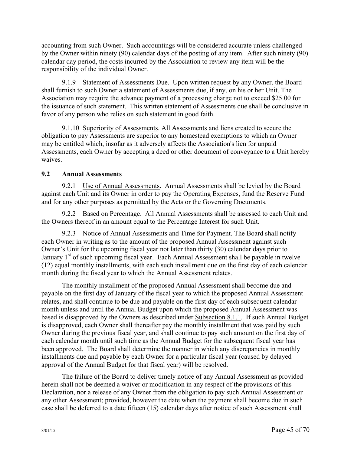accounting from such Owner. Such accountings will be considered accurate unless challenged by the Owner within ninety (90) calendar days of the posting of any item. After such ninety (90) calendar day period, the costs incurred by the Association to review any item will be the responsibility of the individual Owner.

9.1.9 Statement of Assessments Due. Upon written request by any Owner, the Board shall furnish to such Owner a statement of Assessments due, if any, on his or her Unit. The Association may require the advance payment of a processing charge not to exceed \$25.00 for the issuance of such statement. This written statement of Assessments due shall be conclusive in favor of any person who relies on such statement in good faith.

9.1.10 Superiority of Assessments. All Assessments and liens created to secure the obligation to pay Assessments are superior to any homestead exemptions to which an Owner may be entitled which, insofar as it adversely affects the Association's lien for unpaid Assessments, each Owner by accepting a deed or other document of conveyance to a Unit hereby waives.

## **9.2 Annual Assessments**

9.2.1 Use of Annual Assessments. Annual Assessments shall be levied by the Board against each Unit and its Owner in order to pay the Operating Expenses, fund the Reserve Fund and for any other purposes as permitted by the Acts or the Governing Documents.

9.2.2 Based on Percentage. All Annual Assessments shall be assessed to each Unit and the Owners thereof in an amount equal to the Percentage Interest for such Unit.

9.2.3 Notice of Annual Assessments and Time for Payment. The Board shall notify each Owner in writing as to the amount of the proposed Annual Assessment against such Owner's Unit for the upcoming fiscal year not later than thirty (30) calendar days prior to January  $1<sup>st</sup>$  of such upcoming fiscal year. Each Annual Assessment shall be payable in twelve (12) equal monthly installments, with each such installment due on the first day of each calendar month during the fiscal year to which the Annual Assessment relates.

The monthly installment of the proposed Annual Assessment shall become due and payable on the first day of January of the fiscal year to which the proposed Annual Assessment relates, and shall continue to be due and payable on the first day of each subsequent calendar month unless and until the Annual Budget upon which the proposed Annual Assessment was based is disapproved by the Owners as described under Subsection 8.1.1. If such Annual Budget is disapproved, each Owner shall thereafter pay the monthly installment that was paid by such Owner during the previous fiscal year, and shall continue to pay such amount on the first day of each calendar month until such time as the Annual Budget for the subsequent fiscal year has been approved. The Board shall determine the manner in which any discrepancies in monthly installments due and payable by each Owner for a particular fiscal year (caused by delayed approval of the Annual Budget for that fiscal year) will be resolved.

The failure of the Board to deliver timely notice of any Annual Assessment as provided herein shall not be deemed a waiver or modification in any respect of the provisions of this Declaration, nor a release of any Owner from the obligation to pay such Annual Assessment or any other Assessment; provided, however the date when the payment shall become due in such case shall be deferred to a date fifteen (15) calendar days after notice of such Assessment shall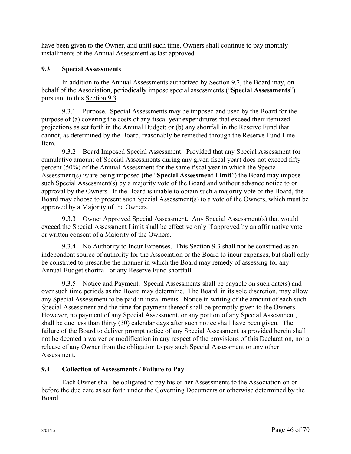have been given to the Owner, and until such time, Owners shall continue to pay monthly installments of the Annual Assessment as last approved.

## **9.3 Special Assessments**

In addition to the Annual Assessments authorized by Section 9.2, the Board may, on behalf of the Association, periodically impose special assessments ("**Special Assessments**") pursuant to this Section 9.3.

9.3.1 Purpose. Special Assessments may be imposed and used by the Board for the purpose of (a) covering the costs of any fiscal year expenditures that exceed their itemized projections as set forth in the Annual Budget; or (b) any shortfall in the Reserve Fund that cannot, as determined by the Board, reasonably be remedied through the Reserve Fund Line Item.

9.3.2 Board Imposed Special Assessment. Provided that any Special Assessment (or cumulative amount of Special Assessments during any given fiscal year) does not exceed fifty percent (50%) of the Annual Assessment for the same fiscal year in which the Special Assessment(s) is/are being imposed (the "**Special Assessment Limit**") the Board may impose such Special Assessment(s) by a majority vote of the Board and without advance notice to or approval by the Owners. If the Board is unable to obtain such a majority vote of the Board, the Board may choose to present such Special Assessment(s) to a vote of the Owners, which must be approved by a Majority of the Owners.

9.3.3 Owner Approved Special Assessment. Any Special Assessment(s) that would exceed the Special Assessment Limit shall be effective only if approved by an affirmative vote or written consent of a Majority of the Owners.

9.3.4 No Authority to Incur Expenses. This Section 9.3 shall not be construed as an independent source of authority for the Association or the Board to incur expenses, but shall only be construed to prescribe the manner in which the Board may remedy of assessing for any Annual Budget shortfall or any Reserve Fund shortfall.

9.3.5 Notice and Payment. Special Assessments shall be payable on such date(s) and over such time periods as the Board may determine. The Board, in its sole discretion, may allow any Special Assessment to be paid in installments. Notice in writing of the amount of each such Special Assessment and the time for payment thereof shall be promptly given to the Owners. However, no payment of any Special Assessment, or any portion of any Special Assessment, shall be due less than thirty (30) calendar days after such notice shall have been given. The failure of the Board to deliver prompt notice of any Special Assessment as provided herein shall not be deemed a waiver or modification in any respect of the provisions of this Declaration, nor a release of any Owner from the obligation to pay such Special Assessment or any other **Assessment** 

## **9.4 Collection of Assessments / Failure to Pay**

Each Owner shall be obligated to pay his or her Assessments to the Association on or before the due date as set forth under the Governing Documents or otherwise determined by the Board.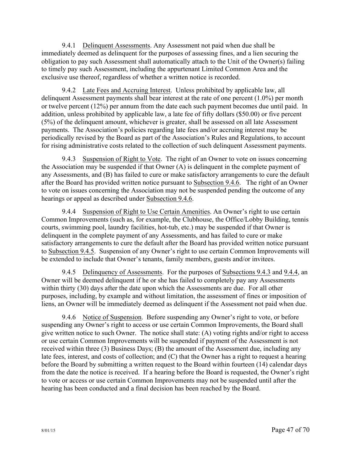9.4.1 Delinquent Assessments. Any Assessment not paid when due shall be immediately deemed as delinquent for the purposes of assessing fines, and a lien securing the obligation to pay such Assessment shall automatically attach to the Unit of the Owner(s) failing to timely pay such Assessment, including the appurtenant Limited Common Area and the exclusive use thereof, regardless of whether a written notice is recorded.

9.4.2 Late Fees and Accruing Interest. Unless prohibited by applicable law, all delinquent Assessment payments shall bear interest at the rate of one percent (1.0%) per month or twelve percent (12%) per annum from the date each such payment becomes due until paid. In addition, unless prohibited by applicable law, a late fee of fifty dollars (\$50.00) or five percent (5%) of the delinquent amount, whichever is greater, shall be assessed on all late Assessment payments. The Association's policies regarding late fees and/or accruing interest may be periodically revised by the Board as part of the Association's Rules and Regulations, to account for rising administrative costs related to the collection of such delinquent Assessment payments.

9.4.3 Suspension of Right to Vote. The right of an Owner to vote on issues concerning the Association may be suspended if that Owner (A) is delinquent in the complete payment of any Assessments, and (B) has failed to cure or make satisfactory arrangements to cure the default after the Board has provided written notice pursuant to Subsection 9.4.6. The right of an Owner to vote on issues concerning the Association may not be suspended pending the outcome of any hearings or appeal as described under Subsection 9.4.6.

9.4.4 Suspension of Right to Use Certain Amenities. An Owner's right to use certain Common Improvements (such as, for example, the Clubhouse, the Office/Lobby Building, tennis courts, swimming pool, laundry facilities, hot-tub, etc.) may be suspended if that Owner is delinquent in the complete payment of any Assessments, and has failed to cure or make satisfactory arrangements to cure the default after the Board has provided written notice pursuant to Subsection 9.4.5. Suspension of any Owner's right to use certain Common Improvements will be extended to include that Owner's tenants, family members, guests and/or invitees.

9.4.5 Delinquency of Assessments. For the purposes of Subsections 9.4.3 and 9.4.4, an Owner will be deemed delinquent if he or she has failed to completely pay any Assessments within thirty (30) days after the date upon which the Assessments are due. For all other purposes, including, by example and without limitation, the assessment of fines or imposition of liens, an Owner will be immediately deemed as delinquent if the Assessment not paid when due.

9.4.6 Notice of Suspension. Before suspending any Owner's right to vote, or before suspending any Owner's right to access or use certain Common Improvements, the Board shall give written notice to such Owner. The notice shall state: (A) voting rights and/or right to access or use certain Common Improvements will be suspended if payment of the Assessment is not received within three (3) Business Days; (B) the amount of the Assessment due, including any late fees, interest, and costs of collection; and (C) that the Owner has a right to request a hearing before the Board by submitting a written request to the Board within fourteen (14) calendar days from the date the notice is received. If a hearing before the Board is requested, the Owner's right to vote or access or use certain Common Improvements may not be suspended until after the hearing has been conducted and a final decision has been reached by the Board.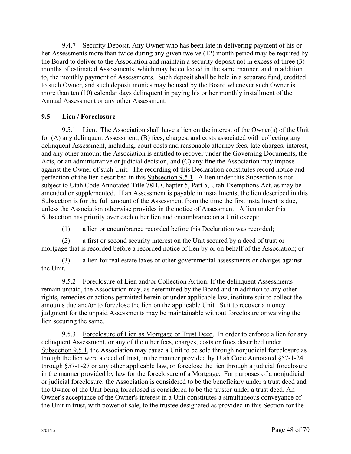9.4.7 Security Deposit. Any Owner who has been late in delivering payment of his or her Assessments more than twice during any given twelve (12) month period may be required by the Board to deliver to the Association and maintain a security deposit not in excess of three (3) months of estimated Assessments, which may be collected in the same manner, and in addition to, the monthly payment of Assessments. Such deposit shall be held in a separate fund, credited to such Owner, and such deposit monies may be used by the Board whenever such Owner is more than ten (10) calendar days delinquent in paying his or her monthly installment of the Annual Assessment or any other Assessment.

# **9.5 Lien / Foreclosure**

9.5.1 Lien. The Association shall have a lien on the interest of the Owner(s) of the Unit for (A) any delinquent Assessment, (B) fees, charges, and costs associated with collecting any delinquent Assessment, including, court costs and reasonable attorney fees, late charges, interest, and any other amount the Association is entitled to recover under the Governing Documents, the Acts, or an administrative or judicial decision, and (C) any fine the Association may impose against the Owner of such Unit. The recording of this Declaration constitutes record notice and perfection of the lien described in this Subsection 9.5.1. A lien under this Subsection is not subject to Utah Code Annotated Title 78B, Chapter 5, Part 5, Utah Exemptions Act, as may be amended or supplemented. If an Assessment is payable in installments, the lien described in this Subsection is for the full amount of the Assessment from the time the first installment is due, unless the Association otherwise provides in the notice of Assessment. A lien under this Subsection has priority over each other lien and encumbrance on a Unit except:

(1) a lien or encumbrance recorded before this Declaration was recorded;

(2) a first or second security interest on the Unit secured by a deed of trust or mortgage that is recorded before a recorded notice of lien by or on behalf of the Association; or

(3) a lien for real estate taxes or other governmental assessments or charges against the Unit.

9.5.2 Foreclosure of Lien and/or Collection Action. If the delinquent Assessments remain unpaid, the Association may, as determined by the Board and in addition to any other rights, remedies or actions permitted herein or under applicable law, institute suit to collect the amounts due and/or to foreclose the lien on the applicable Unit. Suit to recover a money judgment for the unpaid Assessments may be maintainable without foreclosure or waiving the lien securing the same.

9.5.3 Foreclosure of Lien as Mortgage or Trust Deed. In order to enforce a lien for any delinquent Assessment, or any of the other fees, charges, costs or fines described under Subsection 9.5.1, the Association may cause a Unit to be sold through nonjudicial foreclosure as though the lien were a deed of trust, in the manner provided by Utah Code Annotated §57-1-24 through §57-1-27 or any other applicable law, or foreclose the lien through a judicial foreclosure in the manner provided by law for the foreclosure of a Mortgage. For purposes of a nonjudicial or judicial foreclosure, the Association is considered to be the beneficiary under a trust deed and the Owner of the Unit being foreclosed is considered to be the trustor under a trust deed. An Owner's acceptance of the Owner's interest in a Unit constitutes a simultaneous conveyance of the Unit in trust, with power of sale, to the trustee designated as provided in this Section for the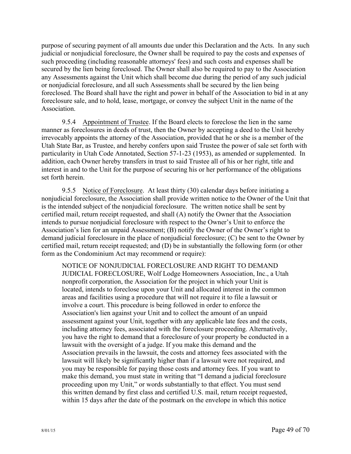purpose of securing payment of all amounts due under this Declaration and the Acts. In any such judicial or nonjudicial foreclosure, the Owner shall be required to pay the costs and expenses of such proceeding (including reasonable attorneys' fees) and such costs and expenses shall be secured by the lien being foreclosed. The Owner shall also be required to pay to the Association any Assessments against the Unit which shall become due during the period of any such judicial or nonjudicial foreclosure, and all such Assessments shall be secured by the lien being foreclosed. The Board shall have the right and power in behalf of the Association to bid in at any foreclosure sale, and to hold, lease, mortgage, or convey the subject Unit in the name of the **Association** 

9.5.4 Appointment of Trustee. If the Board elects to foreclose the lien in the same manner as foreclosures in deeds of trust, then the Owner by accepting a deed to the Unit hereby irrevocably appoints the attorney of the Association, provided that he or she is a member of the Utah State Bar, as Trustee, and hereby confers upon said Trustee the power of sale set forth with particularity in Utah Code Annotated, Section 57-1-23 (1953), as amended or supplemented. In addition, each Owner hereby transfers in trust to said Trustee all of his or her right, title and interest in and to the Unit for the purpose of securing his or her performance of the obligations set forth herein.

9.5.5 Notice of Foreclosure. At least thirty (30) calendar days before initiating a nonjudicial foreclosure, the Association shall provide written notice to the Owner of the Unit that is the intended subject of the nonjudicial foreclosure. The written notice shall be sent by certified mail, return receipt requested, and shall (A) notify the Owner that the Association intends to pursue nonjudicial foreclosure with respect to the Owner's Unit to enforce the Association's lien for an unpaid Assessment; (B) notify the Owner of the Owner's right to demand judicial foreclosure in the place of nonjudicial foreclosure; (C) be sent to the Owner by certified mail, return receipt requested; and (D) be in substantially the following form (or other form as the Condominium Act may recommend or require):

NOTICE OF NONJUDICIAL FORECLOSURE AND RIGHT TO DEMAND JUDICIAL FORECLOSURE, Wolf Lodge Homeowners Association, Inc., a Utah nonprofit corporation, the Association for the project in which your Unit is located, intends to foreclose upon your Unit and allocated interest in the common areas and facilities using a procedure that will not require it to file a lawsuit or involve a court. This procedure is being followed in order to enforce the Association's lien against your Unit and to collect the amount of an unpaid assessment against your Unit, together with any applicable late fees and the costs, including attorney fees, associated with the foreclosure proceeding. Alternatively, you have the right to demand that a foreclosure of your property be conducted in a lawsuit with the oversight of a judge. If you make this demand and the Association prevails in the lawsuit, the costs and attorney fees associated with the lawsuit will likely be significantly higher than if a lawsuit were not required, and you may be responsible for paying those costs and attorney fees. If you want to make this demand, you must state in writing that "I demand a judicial foreclosure proceeding upon my Unit," or words substantially to that effect. You must send this written demand by first class and certified U.S. mail, return receipt requested, within 15 days after the date of the postmark on the envelope in which this notice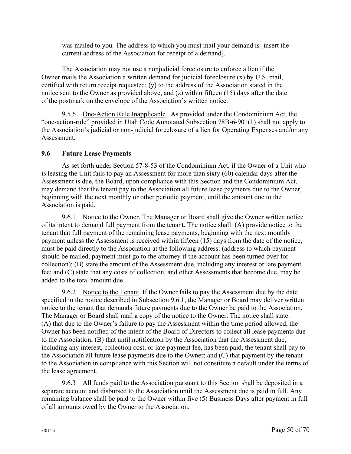was mailed to you. The address to which you must mail your demand is [insert the current address of the Association for receipt of a demand].

The Association may not use a nonjudicial foreclosure to enforce a lien if the Owner mails the Association a written demand for judicial foreclosure (x) by U.S. mail, certified with return receipt requested; (y) to the address of the Association stated in the notice sent to the Owner as provided above, and (z) within fifteen (15) days after the date of the postmark on the envelope of the Association's written notice.

9.5.6 One-Action Rule Inapplicable. As provided under the Condominium Act, the "one-action-rule" provided in Utah Code Annotated Subsection 78B-6-901(1) shall not apply to the Association's judicial or non-judicial foreclosure of a lien for Operating Expenses and/or any **Assessment** 

# **9.6 Future Lease Payments**

As set forth under Section 57-8-53 of the Condominium Act, if the Owner of a Unit who is leasing the Unit fails to pay an Assessment for more than sixty (60) calendar days after the Assessment is due, the Board, upon compliance with this Section and the Condominium Act, may demand that the tenant pay to the Association all future lease payments due to the Owner, beginning with the next monthly or other periodic payment, until the amount due to the Association is paid.

9.6.1 Notice to the Owner. The Manager or Board shall give the Owner written notice of its intent to demand full payment from the tenant. The notice shall: (A) provide notice to the tenant that full payment of the remaining lease payments, beginning with the next monthly payment unless the Assessment is received within fifteen (15) days from the date of the notice, must be paid directly to the Association at the following address: (address to which payment should be mailed, payment must go to the attorney if the account has been turned over for collection); (B) state the amount of the Assessment due, including any interest or late payment fee; and (C) state that any costs of collection, and other Assessments that become due, may be added to the total amount due.

9.6.2 Notice to the Tenant. If the Owner fails to pay the Assessment due by the date specified in the notice described in Subsection 9.6.1, the Manager or Board may deliver written notice to the tenant that demands future payments due to the Owner be paid to the Association. The Manager or Board shall mail a copy of the notice to the Owner. The notice shall state: (A) that due to the Owner's failure to pay the Assessment within the time period allowed, the Owner has been notified of the intent of the Board of Directors to collect all lease payments due to the Association; (B) that until notification by the Association that the Assessment due, including any interest, collection cost, or late payment fee, has been paid, the tenant shall pay to the Association all future lease payments due to the Owner; and (C) that payment by the tenant to the Association in compliance with this Section will not constitute a default under the terms of the lease agreement.

9.6.3 All funds paid to the Association pursuant to this Section shall be deposited in a separate account and disbursed to the Association until the Assessment due is paid in full. Any remaining balance shall be paid to the Owner within five (5) Business Days after payment in full of all amounts owed by the Owner to the Association.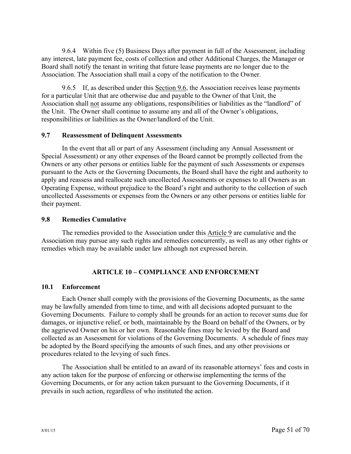9.6.4 Within five (5) Business Days after payment in full of the Assessment, including any interest, late payment fee, costs of collection and other Additional Charges, the Manager or Board shall notify the tenant in writing that future lease payments are no longer due to the Association. The Association shall mail a copy of the notification to the Owner.

9.6.5 If, as described under this Section 9.6, the Association receives lease payments for a particular Unit that are otherwise due and payable to the Owner of that Unit, the Association shall not assume any obligations, responsibilities or liabilities as the "landlord" of the Unit. The Owner shall continue to assume any and all of the Owner's obligations, responsibilities or liabilities as the Owner/landlord of the Unit.

### **9.7 Reassessment of Delinquent Assessments**

In the event that all or part of any Assessment (including any Annual Assessment or Special Assessment) or any other expenses of the Board cannot be promptly collected from the Owners or any other persons or entities liable for the payment of such Assessments or expenses pursuant to the Acts or the Governing Documents, the Board shall have the right and authority to apply and reassess and reallocate such uncollected Assessments or expenses to all Owners as an Operating Expense, without prejudice to the Board's right and authority to the collection of such uncollected Assessments or expenses from the Owners or any other persons or entities liable for their payment.

#### **9.8 Remedies Cumulative**

The remedies provided to the Association under this Article 9 are cumulative and the Association may pursue any such rights and remedies concurrently, as well as any other rights or remedies which may be available under law although not expressed herein.

## **ARTICLE 10 – COMPLIANCE AND ENFORCEMENT**

#### **10.1 Enforcement**

Each Owner shall comply with the provisions of the Governing Documents, as the same may be lawfully amended from time to time, and with all decisions adopted pursuant to the Governing Documents. Failure to comply shall be grounds for an action to recover sums due for damages, or injunctive relief, or both, maintainable by the Board on behalf of the Owners, or by the aggrieved Owner on his or her own. Reasonable fines may be levied by the Board and collected as an Assessment for violations of the Governing Documents. A schedule of fines may be adopted by the Board specifying the amounts of such fines, and any other provisions or procedures related to the levying of such fines.

The Association shall be entitled to an award of its reasonable attorneys' fees and costs in any action taken for the purpose of enforcing or otherwise implementing the terms of the Governing Documents, or for any action taken pursuant to the Governing Documents, if it prevails in such action, regardless of who instituted the action.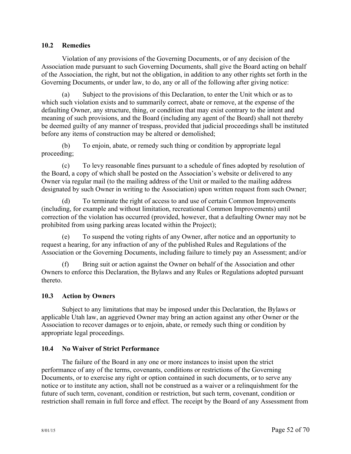### **10.2 Remedies**

Violation of any provisions of the Governing Documents, or of any decision of the Association made pursuant to such Governing Documents, shall give the Board acting on behalf of the Association, the right, but not the obligation, in addition to any other rights set forth in the Governing Documents, or under law, to do, any or all of the following after giving notice:

(a) Subject to the provisions of this Declaration, to enter the Unit which or as to which such violation exists and to summarily correct, abate or remove, at the expense of the defaulting Owner, any structure, thing, or condition that may exist contrary to the intent and meaning of such provisions, and the Board (including any agent of the Board) shall not thereby be deemed guilty of any manner of trespass, provided that judicial proceedings shall be instituted before any items of construction may be altered or demolished;

(b) To enjoin, abate, or remedy such thing or condition by appropriate legal proceeding;

(c) To levy reasonable fines pursuant to a schedule of fines adopted by resolution of the Board, a copy of which shall be posted on the Association's website or delivered to any Owner via regular mail (to the mailing address of the Unit or mailed to the mailing address designated by such Owner in writing to the Association) upon written request from such Owner;

(d) To terminate the right of access to and use of certain Common Improvements (including, for example and without limitation, recreational Common Improvements) until correction of the violation has occurred (provided, however, that a defaulting Owner may not be prohibited from using parking areas located within the Project);

(e) To suspend the voting rights of any Owner, after notice and an opportunity to request a hearing, for any infraction of any of the published Rules and Regulations of the Association or the Governing Documents, including failure to timely pay an Assessment; and/or

(f) Bring suit or action against the Owner on behalf of the Association and other Owners to enforce this Declaration, the Bylaws and any Rules or Regulations adopted pursuant thereto.

## **10.3 Action by Owners**

Subject to any limitations that may be imposed under this Declaration, the Bylaws or applicable Utah law, an aggrieved Owner may bring an action against any other Owner or the Association to recover damages or to enjoin, abate, or remedy such thing or condition by appropriate legal proceedings.

#### **10.4 No Waiver of Strict Performance**

The failure of the Board in any one or more instances to insist upon the strict performance of any of the terms, covenants, conditions or restrictions of the Governing Documents, or to exercise any right or option contained in such documents, or to serve any notice or to institute any action, shall not be construed as a waiver or a relinquishment for the future of such term, covenant, condition or restriction, but such term, covenant, condition or restriction shall remain in full force and effect. The receipt by the Board of any Assessment from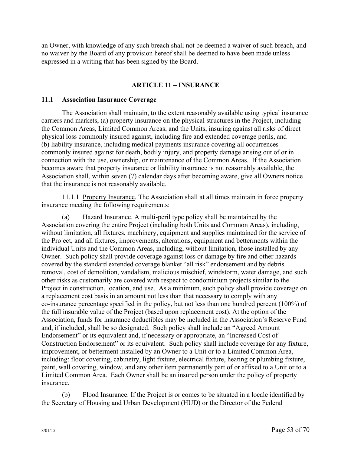an Owner, with knowledge of any such breach shall not be deemed a waiver of such breach, and no waiver by the Board of any provision hereof shall be deemed to have been made unless expressed in a writing that has been signed by the Board.

## **ARTICLE 11 – INSURANCE**

### **11.1 Association Insurance Coverage**

The Association shall maintain, to the extent reasonably available using typical insurance carriers and markets, (a) property insurance on the physical structures in the Project, including the Common Areas, Limited Common Areas, and the Units, insuring against all risks of direct physical loss commonly insured against, including fire and extended coverage perils, and (b) liability insurance, including medical payments insurance covering all occurrences commonly insured against for death, bodily injury, and property damage arising out of or in connection with the use, ownership, or maintenance of the Common Areas. If the Association becomes aware that property insurance or liability insurance is not reasonably available, the Association shall, within seven (7) calendar days after becoming aware, give all Owners notice that the insurance is not reasonably available.

11.1.1 Property Insurance. The Association shall at all times maintain in force property insurance meeting the following requirements:

(a) Hazard Insurance. A multi-peril type policy shall be maintained by the Association covering the entire Project (including both Units and Common Areas), including, without limitation, all fixtures, machinery, equipment and supplies maintained for the service of the Project, and all fixtures, improvements, alterations, equipment and betterments within the individual Units and the Common Areas, including, without limitation, those installed by any Owner. Such policy shall provide coverage against loss or damage by fire and other hazards covered by the standard extended coverage blanket "all risk" endorsement and by debris removal, cost of demolition, vandalism, malicious mischief, windstorm, water damage, and such other risks as customarily are covered with respect to condominium projects similar to the Project in construction, location, and use. As a minimum, such policy shall provide coverage on a replacement cost basis in an amount not less than that necessary to comply with any co-insurance percentage specified in the policy, but not less than one hundred percent (100%) of the full insurable value of the Project (based upon replacement cost). At the option of the Association, funds for insurance deductibles may be included in the Association's Reserve Fund and, if included, shall be so designated. Such policy shall include an "Agreed Amount Endorsement" or its equivalent and, if necessary or appropriate, an "Increased Cost of Construction Endorsement" or its equivalent. Such policy shall include coverage for any fixture, improvement, or betterment installed by an Owner to a Unit or to a Limited Common Area, including: floor covering, cabinetry, light fixture, electrical fixture, heating or plumbing fixture, paint, wall covering, window, and any other item permanently part of or affixed to a Unit or to a Limited Common Area. Each Owner shall be an insured person under the policy of property insurance.

(b) Flood Insurance. If the Project is or comes to be situated in a locale identified by the Secretary of Housing and Urban Development (HUD) or the Director of the Federal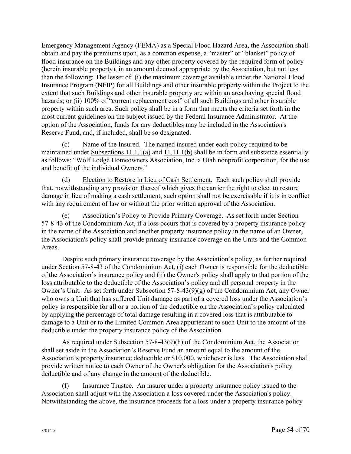Emergency Management Agency (FEMA) as a Special Flood Hazard Area, the Association shall obtain and pay the premiums upon, as a common expense, a "master" or "blanket" policy of flood insurance on the Buildings and any other property covered by the required form of policy (herein insurable property), in an amount deemed appropriate by the Association, but not less than the following: The lesser of: (i) the maximum coverage available under the National Flood Insurance Program (NFIP) for all Buildings and other insurable property within the Project to the extent that such Buildings and other insurable property are within an area having special flood hazards; or (ii) 100% of "current replacement cost" of all such Buildings and other insurable property within such area. Such policy shall be in a form that meets the criteria set forth in the most current guidelines on the subject issued by the Federal Insurance Administrator. At the option of the Association, funds for any deductibles may be included in the Association's Reserve Fund, and, if included, shall be so designated.

(c) Name of the Insured. The named insured under each policy required to be maintained under Subsections 11.1.1(a) and 11.11.1(b) shall be in form and substance essentially as follows: "Wolf Lodge Homeowners Association, Inc. a Utah nonprofit corporation, for the use and benefit of the individual Owners."

(d) Election to Restore in Lieu of Cash Settlement. Each such policy shall provide that, notwithstanding any provision thereof which gives the carrier the right to elect to restore damage in lieu of making a cash settlement, such option shall not be exercisable if it is in conflict with any requirement of law or without the prior written approval of the Association.

(e) Association's Policy to Provide Primary Coverage. As set forth under Section 57-8-43 of the Condominium Act, if a loss occurs that is covered by a property insurance policy in the name of the Association and another property insurance policy in the name of an Owner, the Association's policy shall provide primary insurance coverage on the Units and the Common Areas.

Despite such primary insurance coverage by the Association's policy, as further required under Section 57-8-43 of the Condominium Act, (i) each Owner is responsible for the deductible of the Association's insurance policy and (ii) the Owner's policy shall apply to that portion of the loss attributable to the deductible of the Association's policy and all personal property in the Owner's Unit. As set forth under Subsection 57-8-43(9)(g) of the Condominium Act, any Owner who owns a Unit that has suffered Unit damage as part of a covered loss under the Association's policy is responsible for all or a portion of the deductible on the Association's policy calculated by applying the percentage of total damage resulting in a covered loss that is attributable to damage to a Unit or to the Limited Common Area appurtenant to such Unit to the amount of the deductible under the property insurance policy of the Association.

As required under Subsection 57-8-43(9)(h) of the Condominium Act, the Association shall set aside in the Association's Reserve Fund an amount equal to the amount of the Association's property insurance deductible or \$10,000, whichever is less. The Association shall provide written notice to each Owner of the Owner's obligation for the Association's policy deductible and of any change in the amount of the deductible.

(f) Insurance Trustee. An insurer under a property insurance policy issued to the Association shall adjust with the Association a loss covered under the Association's policy. Notwithstanding the above, the insurance proceeds for a loss under a property insurance policy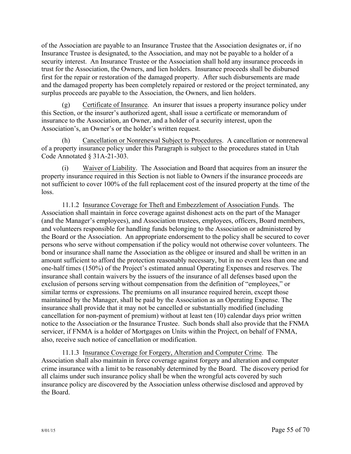of the Association are payable to an Insurance Trustee that the Association designates or, if no Insurance Trustee is designated, to the Association, and may not be payable to a holder of a security interest. An Insurance Trustee or the Association shall hold any insurance proceeds in trust for the Association, the Owners, and lien holders. Insurance proceeds shall be disbursed first for the repair or restoration of the damaged property. After such disbursements are made and the damaged property has been completely repaired or restored or the project terminated, any surplus proceeds are payable to the Association, the Owners, and lien holders.

(g) Certificate of Insurance. An insurer that issues a property insurance policy under this Section, or the insurer's authorized agent, shall issue a certificate or memorandum of insurance to the Association, an Owner, and a holder of a security interest, upon the Association's, an Owner's or the holder's written request.

(h) Cancellation or Nonrenewal Subject to Procedures. A cancellation or nonrenewal of a property insurance policy under this Paragraph is subject to the procedures stated in Utah Code Annotated § 31A-21-303.

(i) Waiver of Liability. The Association and Board that acquires from an insurer the property insurance required in this Section is not liable to Owners if the insurance proceeds are not sufficient to cover 100% of the full replacement cost of the insured property at the time of the loss.

11.1.2 Insurance Coverage for Theft and Embezzlement of Association Funds. The Association shall maintain in force coverage against dishonest acts on the part of the Manager (and the Manager's employees), and Association trustees, employees, officers, Board members, and volunteers responsible for handling funds belonging to the Association or administered by the Board or the Association. An appropriate endorsement to the policy shall be secured to cover persons who serve without compensation if the policy would not otherwise cover volunteers. The bond or insurance shall name the Association as the obligee or insured and shall be written in an amount sufficient to afford the protection reasonably necessary, but in no event less than one and one-half times (150%) of the Project's estimated annual Operating Expenses and reserves. The insurance shall contain waivers by the issuers of the insurance of all defenses based upon the exclusion of persons serving without compensation from the definition of "employees," or similar terms or expressions. The premiums on all insurance required herein, except those maintained by the Manager, shall be paid by the Association as an Operating Expense. The insurance shall provide that it may not be cancelled or substantially modified (including cancellation for non-payment of premium) without at least ten (10) calendar days prior written notice to the Association or the Insurance Trustee. Such bonds shall also provide that the FNMA servicer, if FNMA is a holder of Mortgages on Units within the Project, on behalf of FNMA, also, receive such notice of cancellation or modification.

11.1.3 Insurance Coverage for Forgery, Alteration and Computer Crime. The Association shall also maintain in force coverage against forgery and alteration and computer crime insurance with a limit to be reasonably determined by the Board. The discovery period for all claims under such insurance policy shall be when the wrongful acts covered by such insurance policy are discovered by the Association unless otherwise disclosed and approved by the Board.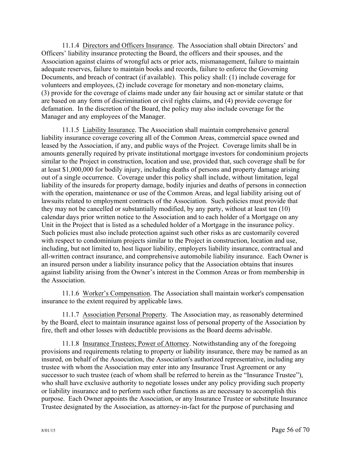11.1.4 Directors and Officers Insurance. The Association shall obtain Directors' and Officers' liability insurance protecting the Board, the officers and their spouses, and the Association against claims of wrongful acts or prior acts, mismanagement, failure to maintain adequate reserves, failure to maintain books and records, failure to enforce the Governing Documents, and breach of contract (if available). This policy shall: (1) include coverage for volunteers and employees, (2) include coverage for monetary and non-monetary claims, (3) provide for the coverage of claims made under any fair housing act or similar statute or that are based on any form of discrimination or civil rights claims, and (4) provide coverage for defamation. In the discretion of the Board, the policy may also include coverage for the Manager and any employees of the Manager.

11.1.5 Liability Insurance. The Association shall maintain comprehensive general liability insurance coverage covering all of the Common Areas, commercial space owned and leased by the Association, if any, and public ways of the Project. Coverage limits shall be in amounts generally required by private institutional mortgage investors for condominium projects similar to the Project in construction, location and use, provided that, such coverage shall be for at least \$1,000,000 for bodily injury, including deaths of persons and property damage arising out of a single occurrence. Coverage under this policy shall include, without limitation, legal liability of the insureds for property damage, bodily injuries and deaths of persons in connection with the operation, maintenance or use of the Common Areas, and legal liability arising out of lawsuits related to employment contracts of the Association. Such policies must provide that they may not be cancelled or substantially modified, by any party, without at least ten (10) calendar days prior written notice to the Association and to each holder of a Mortgage on any Unit in the Project that is listed as a scheduled holder of a Mortgage in the insurance policy. Such policies must also include protection against such other risks as are customarily covered with respect to condominium projects similar to the Project in construction, location and use, including, but not limited to, host liquor liability, employers liability insurance, contractual and all-written contract insurance, and comprehensive automobile liability insurance. Each Owner is an insured person under a liability insurance policy that the Association obtains that insures against liability arising from the Owner's interest in the Common Areas or from membership in the Association.

11.1.6 Worker's Compensation. The Association shall maintain worker's compensation insurance to the extent required by applicable laws.

11.1.7 Association Personal Property. The Association may, as reasonably determined by the Board, elect to maintain insurance against loss of personal property of the Association by fire, theft and other losses with deductible provisions as the Board deems advisable.

11.1.8 Insurance Trustees; Power of Attorney. Notwithstanding any of the foregoing provisions and requirements relating to property or liability insurance, there may be named as an insured, on behalf of the Association, the Association's authorized representative, including any trustee with whom the Association may enter into any Insurance Trust Agreement or any successor to such trustee (each of whom shall be referred to herein as the "Insurance Trustee"), who shall have exclusive authority to negotiate losses under any policy providing such property or liability insurance and to perform such other functions as are necessary to accomplish this purpose. Each Owner appoints the Association, or any Insurance Trustee or substitute Insurance Trustee designated by the Association, as attorney-in-fact for the purpose of purchasing and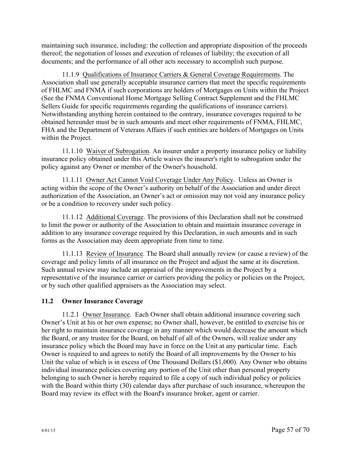maintaining such insurance, including: the collection and appropriate disposition of the proceeds thereof; the negotiation of losses and execution of releases of liability; the execution of all documents; and the performance of all other acts necessary to accomplish such purpose.

11.1.9 Qualifications of Insurance Carriers & General Coverage Requirements. The Association shall use generally acceptable insurance carriers that meet the specific requirements of FHLMC and FNMA if such corporations are holders of Mortgages on Units within the Project (See the FNMA Conventional Home Mortgage Selling Contract Supplement and the FHLMC Sellers Guide for specific requirements regarding the qualifications of insurance carriers). Notwithstanding anything herein contained to the contrary, insurance coverages required to be obtained hereunder must be in such amounts and meet other requirements of FNMA, FHLMC, FHA and the Department of Veterans Affairs if such entities are holders of Mortgages on Units within the Project.

11.1.10 Waiver of Subrogation. An insurer under a property insurance policy or liability insurance policy obtained under this Article waives the insurer's right to subrogation under the policy against any Owner or member of the Owner's household.

11.1.11 Owner Act Cannot Void Coverage Under Any Policy. Unless an Owner is acting within the scope of the Owner's authority on behalf of the Association and under direct authorization of the Association, an Owner's act or omission may not void any insurance policy or be a condition to recovery under such policy.

11.1.12 Additional Coverage. The provisions of this Declaration shall not be construed to limit the power or authority of the Association to obtain and maintain insurance coverage in addition to any insurance coverage required by this Declaration, in such amounts and in such forms as the Association may deem appropriate from time to time.

11.1.13 Review of Insurance. The Board shall annually review (or cause a review) of the coverage and policy limits of all insurance on the Project and adjust the same at its discretion. Such annual review may include an appraisal of the improvements in the Project by a representative of the insurance carrier or carriers providing the policy or policies on the Project, or by such other qualified appraisers as the Association may select.

## **11.2 Owner Insurance Coverage**

11.2.1 Owner Insurance. Each Owner shall obtain additional insurance covering such Owner's Unit at his or her own expense; no Owner shall, however, be entitled to exercise his or her right to maintain insurance coverage in any manner which would decrease the amount which the Board, or any trustee for the Board, on behalf of all of the Owners, will realize under any insurance policy which the Board may have in force on the Unit at any particular time. Each Owner is required to and agrees to notify the Board of all improvements by the Owner to his Unit the value of which is in excess of One Thousand Dollars (\$1,000). Any Owner who obtains individual insurance policies covering any portion of the Unit other than personal property belonging to such Owner is hereby required to file a copy of such individual policy or policies with the Board within thirty (30) calendar days after purchase of such insurance, whereupon the Board may review its effect with the Board's insurance broker, agent or carrier.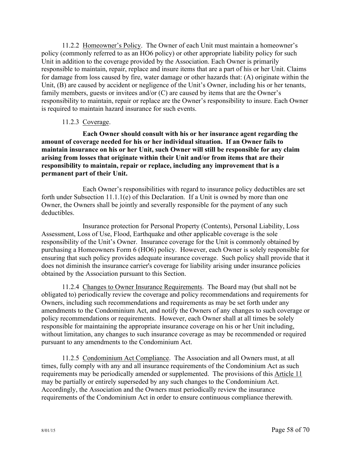11.2.2 Homeowner's Policy. The Owner of each Unit must maintain a homeowner's policy (commonly referred to as an HO6 policy) or other appropriate liability policy for such Unit in addition to the coverage provided by the Association. Each Owner is primarily responsible to maintain, repair, replace and insure items that are a part of his or her Unit. Claims for damage from loss caused by fire, water damage or other hazards that: (A) originate within the Unit, (B) are caused by accident or negligence of the Unit's Owner, including his or her tenants, family members, guests or invitees and/or (C) are caused by items that are the Owner's responsibility to maintain, repair or replace are the Owner's responsibility to insure. Each Owner is required to maintain hazard insurance for such events.

### 11.2.3 Coverage.

**Each Owner should consult with his or her insurance agent regarding the amount of coverage needed for his or her individual situation. If an Owner fails to maintain insurance on his or her Unit, such Owner will still be responsible for any claim arising from losses that originate within their Unit and/or from items that are their responsibility to maintain, repair or replace, including any improvement that is a permanent part of their Unit.** 

Each Owner's responsibilities with regard to insurance policy deductibles are set forth under Subsection 11.1.1(e) of this Declaration. If a Unit is owned by more than one Owner, the Owners shall be jointly and severally responsible for the payment of any such deductibles.

Insurance protection for Personal Property (Contents), Personal Liability, Loss Assessment, Loss of Use, Flood, Earthquake and other applicable coverage is the sole responsibility of the Unit's Owner. Insurance coverage for the Unit is commonly obtained by purchasing a Homeowners Form 6 (HO6) policy. However, each Owner is solely responsible for ensuring that such policy provides adequate insurance coverage. Such policy shall provide that it does not diminish the insurance carrier's coverage for liability arising under insurance policies obtained by the Association pursuant to this Section.

11.2.4 Changes to Owner Insurance Requirements. The Board may (but shall not be obligated to) periodically review the coverage and policy recommendations and requirements for Owners, including such recommendations and requirements as may be set forth under any amendments to the Condominium Act, and notify the Owners of any changes to such coverage or policy recommendations or requirements. However, each Owner shall at all times be solely responsible for maintaining the appropriate insurance coverage on his or her Unit including, without limitation, any changes to such insurance coverage as may be recommended or required pursuant to any amendments to the Condominium Act.

11.2.5 Condominium Act Compliance. The Association and all Owners must, at all times, fully comply with any and all insurance requirements of the Condominium Act as such requirements may be periodically amended or supplemented. The provisions of this Article 11 may be partially or entirely superseded by any such changes to the Condominium Act. Accordingly, the Association and the Owners must periodically review the insurance requirements of the Condominium Act in order to ensure continuous compliance therewith.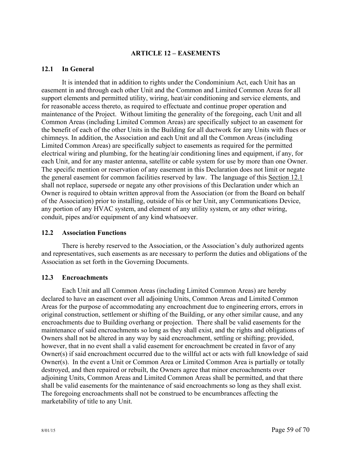### **ARTICLE 12 – EASEMENTS**

#### **12.1 In General**

It is intended that in addition to rights under the Condominium Act, each Unit has an easement in and through each other Unit and the Common and Limited Common Areas for all support elements and permitted utility, wiring, heat/air conditioning and service elements, and for reasonable access thereto, as required to effectuate and continue proper operation and maintenance of the Project. Without limiting the generality of the foregoing, each Unit and all Common Areas (including Limited Common Areas) are specifically subject to an easement for the benefit of each of the other Units in the Building for all ductwork for any Units with flues or chimneys. In addition, the Association and each Unit and all the Common Areas (including Limited Common Areas) are specifically subject to easements as required for the permitted electrical wiring and plumbing, for the heating/air conditioning lines and equipment, if any, for each Unit, and for any master antenna, satellite or cable system for use by more than one Owner. The specific mention or reservation of any easement in this Declaration does not limit or negate the general easement for common facilities reserved by law. The language of this Section 12.1 shall not replace, supersede or negate any other provisions of this Declaration under which an Owner is required to obtain written approval from the Association (or from the Board on behalf of the Association) prior to installing, outside of his or her Unit, any Communications Device, any portion of any HVAC system, and element of any utility system, or any other wiring, conduit, pipes and/or equipment of any kind whatsoever.

#### **12.2 Association Functions**

There is hereby reserved to the Association, or the Association's duly authorized agents and representatives, such easements as are necessary to perform the duties and obligations of the Association as set forth in the Governing Documents.

#### **12.3 Encroachments**

Each Unit and all Common Areas (including Limited Common Areas) are hereby declared to have an easement over all adjoining Units, Common Areas and Limited Common Areas for the purpose of accommodating any encroachment due to engineering errors, errors in original construction, settlement or shifting of the Building, or any other similar cause, and any encroachments due to Building overhang or projection. There shall be valid easements for the maintenance of said encroachments so long as they shall exist, and the rights and obligations of Owners shall not be altered in any way by said encroachment, settling or shifting; provided, however, that in no event shall a valid easement for encroachment be created in favor of any Owner(s) if said encroachment occurred due to the willful act or acts with full knowledge of said Owner(s). In the event a Unit or Common Area or Limited Common Area is partially or totally destroyed, and then repaired or rebuilt, the Owners agree that minor encroachments over adjoining Units, Common Areas and Limited Common Areas shall be permitted, and that there shall be valid easements for the maintenance of said encroachments so long as they shall exist. The foregoing encroachments shall not be construed to be encumbrances affecting the marketability of title to any Unit.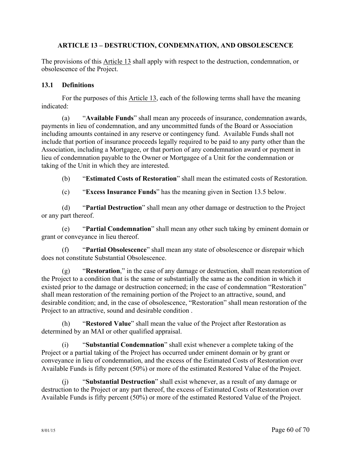## **ARTICLE 13 – DESTRUCTION, CONDEMNATION, AND OBSOLESCENCE**

The provisions of this Article 13 shall apply with respect to the destruction, condemnation, or obsolescence of the Project.

### **13.1 Definitions**

For the purposes of this Article 13, each of the following terms shall have the meaning indicated:

(a) "**Available Funds**" shall mean any proceeds of insurance, condemnation awards, payments in lieu of condemnation, and any uncommitted funds of the Board or Association including amounts contained in any reserve or contingency fund. Available Funds shall not include that portion of insurance proceeds legally required to be paid to any party other than the Association, including a Mortgagee, or that portion of any condemnation award or payment in lieu of condemnation payable to the Owner or Mortgagee of a Unit for the condemnation or taking of the Unit in which they are interested.

(b) "**Estimated Costs of Restoration**" shall mean the estimated costs of Restoration.

(c) "**Excess Insurance Funds**" has the meaning given in Section 13.5 below.

(d) "**Partial Destruction**" shall mean any other damage or destruction to the Project or any part thereof.

(e) "**Partial Condemnation**" shall mean any other such taking by eminent domain or grant or conveyance in lieu thereof.

(f) "**Partial Obsolescence**" shall mean any state of obsolescence or disrepair which does not constitute Substantial Obsolescence.

(g) "**Restoration**," in the case of any damage or destruction, shall mean restoration of the Project to a condition that is the same or substantially the same as the condition in which it existed prior to the damage or destruction concerned; in the case of condemnation "Restoration" shall mean restoration of the remaining portion of the Project to an attractive, sound, and desirable condition; and, in the case of obsolescence, "Restoration" shall mean restoration of the Project to an attractive, sound and desirable condition .

(h) "**Restored Value**" shall mean the value of the Project after Restoration as determined by an MAI or other qualified appraisal.

(i) "**Substantial Condemnation**" shall exist whenever a complete taking of the Project or a partial taking of the Project has occurred under eminent domain or by grant or conveyance in lieu of condemnation, and the excess of the Estimated Costs of Restoration over Available Funds is fifty percent (50%) or more of the estimated Restored Value of the Project.

(j) "**Substantial Destruction**" shall exist whenever, as a result of any damage or destruction to the Project or any part thereof, the excess of Estimated Costs of Restoration over Available Funds is fifty percent (50%) or more of the estimated Restored Value of the Project.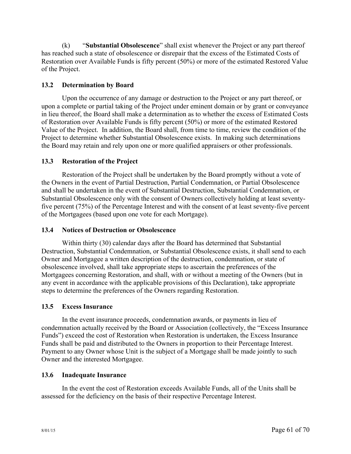(k) "**Substantial Obsolescence**" shall exist whenever the Project or any part thereof has reached such a state of obsolescence or disrepair that the excess of the Estimated Costs of Restoration over Available Funds is fifty percent (50%) or more of the estimated Restored Value of the Project.

## **13.2 Determination by Board**

Upon the occurrence of any damage or destruction to the Project or any part thereof, or upon a complete or partial taking of the Project under eminent domain or by grant or conveyance in lieu thereof, the Board shall make a determination as to whether the excess of Estimated Costs of Restoration over Available Funds is fifty percent (50%) or more of the estimated Restored Value of the Project. In addition, the Board shall, from time to time, review the condition of the Project to determine whether Substantial Obsolescence exists. In making such determinations the Board may retain and rely upon one or more qualified appraisers or other professionals.

## **13.3 Restoration of the Project**

Restoration of the Project shall be undertaken by the Board promptly without a vote of the Owners in the event of Partial Destruction, Partial Condemnation, or Partial Obsolescence and shall be undertaken in the event of Substantial Destruction, Substantial Condemnation, or Substantial Obsolescence only with the consent of Owners collectively holding at least seventyfive percent (75%) of the Percentage Interest and with the consent of at least seventy-five percent of the Mortgagees (based upon one vote for each Mortgage).

## **13.4 Notices of Destruction or Obsolescence**

Within thirty (30) calendar days after the Board has determined that Substantial Destruction, Substantial Condemnation, or Substantial Obsolescence exists, it shall send to each Owner and Mortgagee a written description of the destruction, condemnation, or state of obsolescence involved, shall take appropriate steps to ascertain the preferences of the Mortgagees concerning Restoration, and shall, with or without a meeting of the Owners (but in any event in accordance with the applicable provisions of this Declaration), take appropriate steps to determine the preferences of the Owners regarding Restoration.

## **13.5 Excess Insurance**

In the event insurance proceeds, condemnation awards, or payments in lieu of condemnation actually received by the Board or Association (collectively, the "Excess Insurance Funds") exceed the cost of Restoration when Restoration is undertaken, the Excess Insurance Funds shall be paid and distributed to the Owners in proportion to their Percentage Interest. Payment to any Owner whose Unit is the subject of a Mortgage shall be made jointly to such Owner and the interested Mortgagee.

## **13.6 Inadequate Insurance**

In the event the cost of Restoration exceeds Available Funds, all of the Units shall be assessed for the deficiency on the basis of their respective Percentage Interest.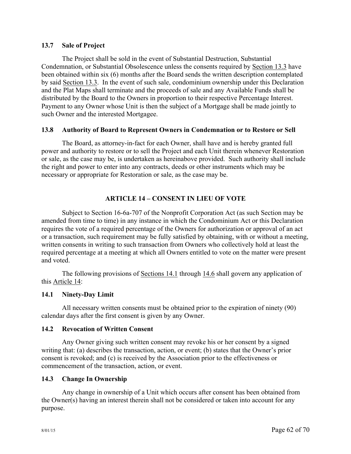### **13.7 Sale of Project**

The Project shall be sold in the event of Substantial Destruction, Substantial Condemnation, or Substantial Obsolescence unless the consents required by Section 13.3 have been obtained within six (6) months after the Board sends the written description contemplated by said Section 13.3. In the event of such sale, condominium ownership under this Declaration and the Plat Maps shall terminate and the proceeds of sale and any Available Funds shall be distributed by the Board to the Owners in proportion to their respective Percentage Interest. Payment to any Owner whose Unit is then the subject of a Mortgage shall be made jointly to such Owner and the interested Mortgagee.

### **13.8 Authority of Board to Represent Owners in Condemnation or to Restore or Sell**

The Board, as attorney-in-fact for each Owner, shall have and is hereby granted full power and authority to restore or to sell the Project and each Unit therein whenever Restoration or sale, as the case may be, is undertaken as hereinabove provided. Such authority shall include the right and power to enter into any contracts, deeds or other instruments which may be necessary or appropriate for Restoration or sale, as the case may be.

## **ARTICLE 14 – CONSENT IN LIEU OF VOTE**

Subject to Section 16-6a-707 of the Nonprofit Corporation Act (as such Section may be amended from time to time) in any instance in which the Condominium Act or this Declaration requires the vote of a required percentage of the Owners for authorization or approval of an act or a transaction, such requirement may be fully satisfied by obtaining, with or without a meeting, written consents in writing to such transaction from Owners who collectively hold at least the required percentage at a meeting at which all Owners entitled to vote on the matter were present and voted.

The following provisions of <u>Sections 14.1</u> through 14.6 shall govern any application of this Article 14:

## **14.1 Ninety-Day Limit**

All necessary written consents must be obtained prior to the expiration of ninety (90) calendar days after the first consent is given by any Owner.

#### **14.2 Revocation of Written Consent**

Any Owner giving such written consent may revoke his or her consent by a signed writing that: (a) describes the transaction, action, or event; (b) states that the Owner's prior consent is revoked; and (c) is received by the Association prior to the effectiveness or commencement of the transaction, action, or event.

## **14.3 Change In Ownership**

Any change in ownership of a Unit which occurs after consent has been obtained from the Owner(s) having an interest therein shall not be considered or taken into account for any purpose.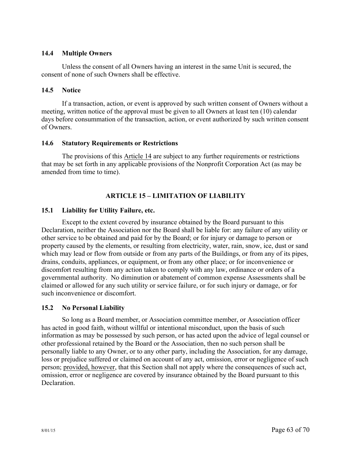### **14.4 Multiple Owners**

Unless the consent of all Owners having an interest in the same Unit is secured, the consent of none of such Owners shall be effective.

### **14.5 Notice**

If a transaction, action, or event is approved by such written consent of Owners without a meeting, written notice of the approval must be given to all Owners at least ten (10) calendar days before consummation of the transaction, action, or event authorized by such written consent of Owners.

### **14.6 Statutory Requirements or Restrictions**

The provisions of this Article 14 are subject to any further requirements or restrictions that may be set forth in any applicable provisions of the Nonprofit Corporation Act (as may be amended from time to time).

# **ARTICLE 15 – LIMITATION OF LIABILITY**

## **15.1 Liability for Utility Failure, etc.**

Except to the extent covered by insurance obtained by the Board pursuant to this Declaration, neither the Association nor the Board shall be liable for: any failure of any utility or other service to be obtained and paid for by the Board; or for injury or damage to person or property caused by the elements, or resulting from electricity, water, rain, snow, ice, dust or sand which may lead or flow from outside or from any parts of the Buildings, or from any of its pipes, drains, conduits, appliances, or equipment, or from any other place; or for inconvenience or discomfort resulting from any action taken to comply with any law, ordinance or orders of a governmental authority. No diminution or abatement of common expense Assessments shall be claimed or allowed for any such utility or service failure, or for such injury or damage, or for such inconvenience or discomfort.

#### **15.2 No Personal Liability**

So long as a Board member, or Association committee member, or Association officer has acted in good faith, without willful or intentional misconduct, upon the basis of such information as may be possessed by such person, or has acted upon the advice of legal counsel or other professional retained by the Board or the Association, then no such person shall be personally liable to any Owner, or to any other party, including the Association, for any damage, loss or prejudice suffered or claimed on account of any act, omission, error or negligence of such person; provided, however, that this Section shall not apply where the consequences of such act, omission, error or negligence are covered by insurance obtained by the Board pursuant to this **Declaration**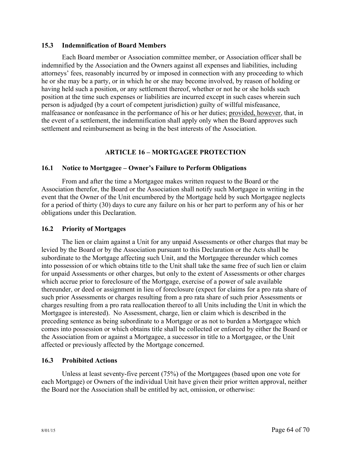#### **15.3 Indemnification of Board Members**

Each Board member or Association committee member, or Association officer shall be indemnified by the Association and the Owners against all expenses and liabilities, including attorneys' fees, reasonably incurred by or imposed in connection with any proceeding to which he or she may be a party, or in which he or she may become involved, by reason of holding or having held such a position, or any settlement thereof, whether or not he or she holds such position at the time such expenses or liabilities are incurred except in such cases wherein such person is adjudged (by a court of competent jurisdiction) guilty of willful misfeasance, malfeasance or nonfeasance in the performance of his or her duties; provided, however, that, in the event of a settlement, the indemnification shall apply only when the Board approves such settlement and reimbursement as being in the best interests of the Association.

## **ARTICLE 16 – MORTGAGEE PROTECTION**

#### **16.1 Notice to Mortgagee – Owner's Failure to Perform Obligations**

From and after the time a Mortgagee makes written request to the Board or the Association therefor, the Board or the Association shall notify such Mortgagee in writing in the event that the Owner of the Unit encumbered by the Mortgage held by such Mortgagee neglects for a period of thirty (30) days to cure any failure on his or her part to perform any of his or her obligations under this Declaration.

#### **16.2 Priority of Mortgages**

The lien or claim against a Unit for any unpaid Assessments or other charges that may be levied by the Board or by the Association pursuant to this Declaration or the Acts shall be subordinate to the Mortgage affecting such Unit, and the Mortgagee thereunder which comes into possession of or which obtains title to the Unit shall take the same free of such lien or claim for unpaid Assessments or other charges, but only to the extent of Assessments or other charges which accrue prior to foreclosure of the Mortgage, exercise of a power of sale available thereunder, or deed or assignment in lieu of foreclosure (expect for claims for a pro rata share of such prior Assessments or charges resulting from a pro rata share of such prior Assessments or charges resulting from a pro rata reallocation thereof to all Units including the Unit in which the Mortgagee is interested). No Assessment, charge, lien or claim which is described in the preceding sentence as being subordinate to a Mortgage or as not to burden a Mortgagee which comes into possession or which obtains title shall be collected or enforced by either the Board or the Association from or against a Mortgagee, a successor in title to a Mortgagee, or the Unit affected or previously affected by the Mortgage concerned.

#### **16.3 Prohibited Actions**

Unless at least seventy-five percent (75%) of the Mortgagees (based upon one vote for each Mortgage) or Owners of the individual Unit have given their prior written approval, neither the Board nor the Association shall be entitled by act, omission, or otherwise: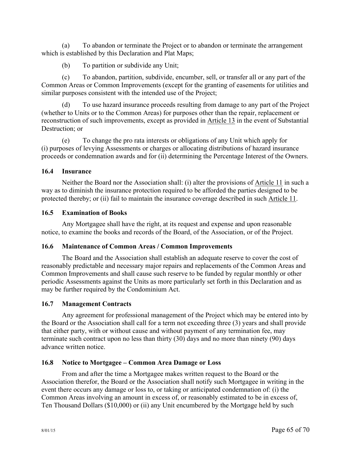(a) To abandon or terminate the Project or to abandon or terminate the arrangement which is established by this Declaration and Plat Maps;

(b) To partition or subdivide any Unit;

(c) To abandon, partition, subdivide, encumber, sell, or transfer all or any part of the Common Areas or Common Improvements (except for the granting of easements for utilities and similar purposes consistent with the intended use of the Project;

(d) To use hazard insurance proceeds resulting from damage to any part of the Project (whether to Units or to the Common Areas) for purposes other than the repair, replacement or reconstruction of such improvements, except as provided in Article 13 in the event of Substantial Destruction; or

(e) To change the pro rata interests or obligations of any Unit which apply for (i) purposes of levying Assessments or charges or allocating distributions of hazard insurance proceeds or condemnation awards and for (ii) determining the Percentage Interest of the Owners.

## **16.4 Insurance**

Neither the Board nor the Association shall: (i) alter the provisions of Article 11 in such a way as to diminish the insurance protection required to be afforded the parties designed to be protected thereby; or (ii) fail to maintain the insurance coverage described in such Article 11.

# **16.5 Examination of Books**

Any Mortgagee shall have the right, at its request and expense and upon reasonable notice, to examine the books and records of the Board, of the Association, or of the Project.

## **16.6 Maintenance of Common Areas / Common Improvements**

The Board and the Association shall establish an adequate reserve to cover the cost of reasonably predictable and necessary major repairs and replacements of the Common Areas and Common Improvements and shall cause such reserve to be funded by regular monthly or other periodic Assessments against the Units as more particularly set forth in this Declaration and as may be further required by the Condominium Act.

## **16.7 Management Contracts**

Any agreement for professional management of the Project which may be entered into by the Board or the Association shall call for a term not exceeding three (3) years and shall provide that either party, with or without cause and without payment of any termination fee, may terminate such contract upon no less than thirty (30) days and no more than ninety (90) days advance written notice.

## **16.8 Notice to Mortgagee – Common Area Damage or Loss**

From and after the time a Mortgagee makes written request to the Board or the Association therefor, the Board or the Association shall notify such Mortgagee in writing in the event there occurs any damage or loss to, or taking or anticipated condemnation of: (i) the Common Areas involving an amount in excess of, or reasonably estimated to be in excess of, Ten Thousand Dollars (\$10,000) or (ii) any Unit encumbered by the Mortgage held by such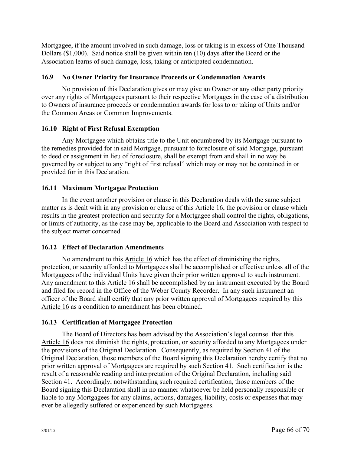Mortgagee, if the amount involved in such damage, loss or taking is in excess of One Thousand Dollars (\$1,000). Said notice shall be given within ten (10) days after the Board or the Association learns of such damage, loss, taking or anticipated condemnation.

## **16.9 No Owner Priority for Insurance Proceeds or Condemnation Awards**

No provision of this Declaration gives or may give an Owner or any other party priority over any rights of Mortgagees pursuant to their respective Mortgages in the case of a distribution to Owners of insurance proceeds or condemnation awards for loss to or taking of Units and/or the Common Areas or Common Improvements.

## **16.10 Right of First Refusal Exemption**

Any Mortgagee which obtains title to the Unit encumbered by its Mortgage pursuant to the remedies provided for in said Mortgage, pursuant to foreclosure of said Mortgage, pursuant to deed or assignment in lieu of foreclosure, shall be exempt from and shall in no way be governed by or subject to any "right of first refusal" which may or may not be contained in or provided for in this Declaration.

## **16.11 Maximum Mortgagee Protection**

In the event another provision or clause in this Declaration deals with the same subject matter as is dealt with in any provision or clause of this Article 16, the provision or clause which results in the greatest protection and security for a Mortgagee shall control the rights, obligations, or limits of authority, as the case may be, applicable to the Board and Association with respect to the subject matter concerned.

## **16.12 Effect of Declaration Amendments**

No amendment to this Article 16 which has the effect of diminishing the rights, protection, or security afforded to Mortgagees shall be accomplished or effective unless all of the Mortgagees of the individual Units have given their prior written approval to such instrument. Any amendment to this Article 16 shall be accomplished by an instrument executed by the Board and filed for record in the Office of the Weber County Recorder. In any such instrument an officer of the Board shall certify that any prior written approval of Mortgagees required by this Article 16 as a condition to amendment has been obtained.

## **16.13 Certification of Mortgagee Protection**

The Board of Directors has been advised by the Association's legal counsel that this Article 16 does not diminish the rights, protection, or security afforded to any Mortgagees under the provisions of the Original Declaration. Consequently, as required by Section 41 of the Original Declaration, those members of the Board signing this Declaration hereby certify that no prior written approval of Mortgagees are required by such Section 41. Such certification is the result of a reasonable reading and interpretation of the Original Declaration, including said Section 41. Accordingly, notwithstanding such required certification, those members of the Board signing this Declaration shall in no manner whatsoever be held personally responsible or liable to any Mortgagees for any claims, actions, damages, liability, costs or expenses that may ever be allegedly suffered or experienced by such Mortgagees.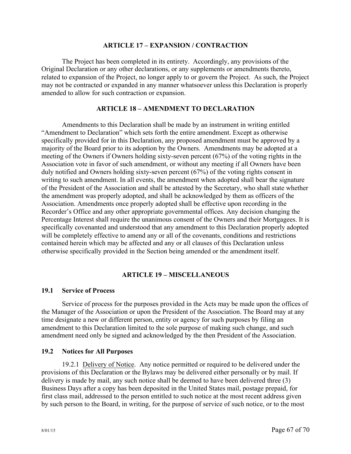#### **ARTICLE 17 – EXPANSION / CONTRACTION**

The Project has been completed in its entirety. Accordingly, any provisions of the Original Declaration or any other declarations, or any supplements or amendments thereto, related to expansion of the Project, no longer apply to or govern the Project. As such, the Project may not be contracted or expanded in any manner whatsoever unless this Declaration is properly amended to allow for such contraction or expansion.

#### **ARTICLE 18 – AMENDMENT TO DECLARATION**

Amendments to this Declaration shall be made by an instrument in writing entitled "Amendment to Declaration" which sets forth the entire amendment. Except as otherwise specifically provided for in this Declaration, any proposed amendment must be approved by a majority of the Board prior to its adoption by the Owners. Amendments may be adopted at a meeting of the Owners if Owners holding sixty-seven percent (67%) of the voting rights in the Association vote in favor of such amendment, or without any meeting if all Owners have been duly notified and Owners holding sixty-seven percent (67%) of the voting rights consent in writing to such amendment. In all events, the amendment when adopted shall bear the signature of the President of the Association and shall be attested by the Secretary, who shall state whether the amendment was properly adopted, and shall be acknowledged by them as officers of the Association. Amendments once properly adopted shall be effective upon recording in the Recorder's Office and any other appropriate governmental offices. Any decision changing the Percentage Interest shall require the unanimous consent of the Owners and their Mortgagees. It is specifically covenanted and understood that any amendment to this Declaration properly adopted will be completely effective to amend any or all of the covenants, conditions and restrictions contained herein which may be affected and any or all clauses of this Declaration unless otherwise specifically provided in the Section being amended or the amendment itself.

#### **ARTICLE 19 – MISCELLANEOUS**

#### **19.1 Service of Process**

Service of process for the purposes provided in the Acts may be made upon the offices of the Manager of the Association or upon the President of the Association. The Board may at any time designate a new or different person, entity or agency for such purposes by filing an amendment to this Declaration limited to the sole purpose of making such change, and such amendment need only be signed and acknowledged by the then President of the Association.

### **19.2 Notices for All Purposes**

19.2.1 Delivery of Notice. Any notice permitted or required to be delivered under the provisions of this Declaration or the Bylaws may be delivered either personally or by mail. If delivery is made by mail, any such notice shall be deemed to have been delivered three (3) Business Days after a copy has been deposited in the United States mail, postage prepaid, for first class mail, addressed to the person entitled to such notice at the most recent address given by such person to the Board, in writing, for the purpose of service of such notice, or to the most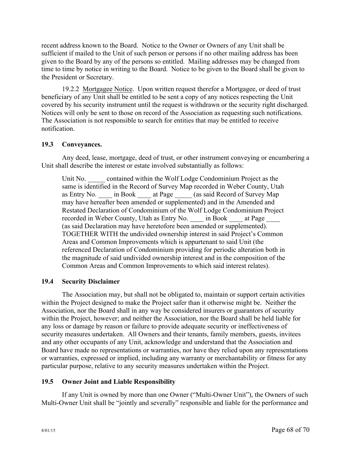recent address known to the Board. Notice to the Owner or Owners of any Unit shall be sufficient if mailed to the Unit of such person or persons if no other mailing address has been given to the Board by any of the persons so entitled. Mailing addresses may be changed from time to time by notice in writing to the Board. Notice to be given to the Board shall be given to the President or Secretary.

19.2.2 Mortgagee Notice. Upon written request therefor a Mortgagee, or deed of trust beneficiary of any Unit shall be entitled to be sent a copy of any notices respecting the Unit covered by his security instrument until the request is withdrawn or the security right discharged. Notices will only be sent to those on record of the Association as requesting such notifications. The Association is not responsible to search for entities that may be entitled to receive notification.

### **19.3 Conveyances.**

Any deed, lease, mortgage, deed of trust, or other instrument conveying or encumbering a Unit shall describe the interest or estate involved substantially as follows:

Unit No.  $\qquad$  contained within the Wolf Lodge Condominium Project as the same is identified in the Record of Survey Map recorded in Weber County, Utah as Entry No. \_\_\_\_ in Book \_\_\_\_ at Page  $\qquad$  (as said Record of Survey Map may have hereafter been amended or supplemented) and in the Amended and Restated Declaration of Condominium of the Wolf Lodge Condominium Project recorded in Weber County, Utah as Entry No. \_\_\_\_ in Book \_\_\_\_ at Page (as said Declaration may have heretofore been amended or supplemented). TOGETHER WITH the undivided ownership interest in said Project's Common Areas and Common Improvements which is appurtenant to said Unit (the referenced Declaration of Condominium providing for periodic alteration both in the magnitude of said undivided ownership interest and in the composition of the Common Areas and Common Improvements to which said interest relates).

## **19.4 Security Disclaimer**

The Association may, but shall not be obligated to, maintain or support certain activities within the Project designed to make the Project safer than it otherwise might be. Neither the Association, nor the Board shall in any way be considered insurers or guarantors of security within the Project, however; and neither the Association, nor the Board shall be held liable for any loss or damage by reason or failure to provide adequate security or ineffectiveness of security measures undertaken. All Owners and their tenants, family members, guests, invitees and any other occupants of any Unit, acknowledge and understand that the Association and Board have made no representations or warranties, nor have they relied upon any representations or warranties, expressed or implied, including any warranty or merchantability or fitness for any particular purpose, relative to any security measures undertaken within the Project.

#### **19.5 Owner Joint and Liable Responsibility**

If any Unit is owned by more than one Owner ("Multi-Owner Unit"), the Owners of such Multi-Owner Unit shall be "jointly and severally" responsible and liable for the performance and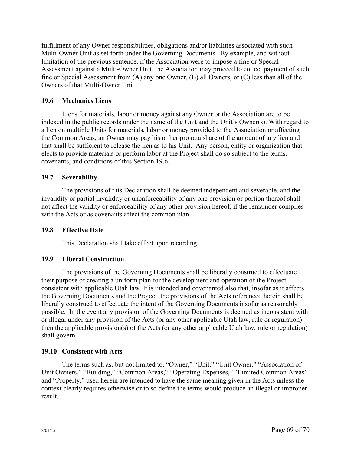fulfillment of any Owner responsibilities, obligations and/or liabilities associated with such Multi-Owner Unit as set forth under the Governing Documents. By example, and without limitation of the previous sentence, if the Association were to impose a fine or Special Assessment against a Multi-Owner Unit, the Association may proceed to collect payment of such fine or Special Assessment from (A) any one Owner, (B) all Owners, or (C) less than all of the Owners of that Multi-Owner Unit.

## **19.6 Mechanics Liens**

Liens for materials, labor or money against any Owner or the Association are to be indexed in the public records under the name of the Unit and the Unit's Owner(s). With regard to a lien on multiple Units for materials, labor or money provided to the Association or affecting the Common Areas, an Owner may pay his or her pro rata share of the amount of any lien and that shall be sufficient to release the lien as to his Unit. Any person, entity or organization that elects to provide materials or perform labor at the Project shall do so subject to the terms, covenants, and conditions of this Section 19.6.

### **19.7 Severability**

The provisions of this Declaration shall be deemed independent and severable, and the invalidity or partial invalidity or unenforceability of any one provision or portion thereof shall not affect the validity or enforceability of any other provision hereof, if the remainder complies with the Acts or as covenants affect the common plan.

#### **19.8 Effective Date**

This Declaration shall take effect upon recording.

#### **19.9 Liberal Construction**

The provisions of the Governing Documents shall be liberally construed to effectuate their purpose of creating a uniform plan for the development and operation of the Project consistent with applicable Utah law. It is intended and covenanted also that, insofar as it affects the Governing Documents and the Project, the provisions of the Acts referenced herein shall be liberally construed to effectuate the intent of the Governing Documents insofar as reasonably possible. In the event any provision of the Governing Documents is deemed as inconsistent with or illegal under any provision of the Acts (or any other applicable Utah law, rule or regulation) then the applicable provision(s) of the Acts (or any other applicable Utah law, rule or regulation) shall govern.

#### **19.10 Consistent with Acts**

The terms such as, but not limited to, "Owner," "Unit," "Unit Owner," "Association of Unit Owners," "Building," "Common Areas," "Operating Expenses," "Limited Common Areas" and "Property," used herein are intended to have the same meaning given in the Acts unless the context clearly requires otherwise or to so define the terms would produce an illegal or improper result.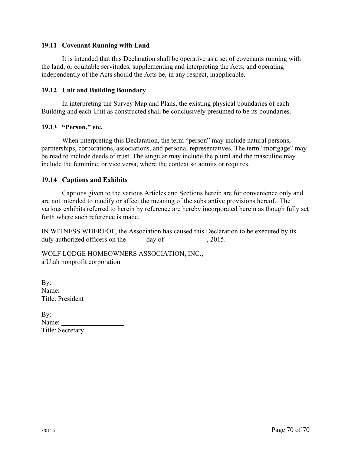#### **19.11 Covenant Running with Land**

It is intended that this Declaration shall be operative as a set of covenants running with the land, or equitable servitudes, supplementing and interpreting the Acts, and operating independently of the Acts should the Acts be, in any respect, inapplicable.

#### **19.12 Unit and Building Boundary**

In interpreting the Survey Map and Plans, the existing physical boundaries of each Building and each Unit as constructed shall be conclusively presumed to be its boundaries.

#### **19.13 "Person," etc.**

When interpreting this Declaration, the term "person" may include natural persons, partnerships, corporations, associations, and personal representatives. The term "mortgage" may be read to include deeds of trust. The singular may include the plural and the masculine may include the feminine, or vice versa, where the context so admits or requires.

#### **19.14 Captions and Exhibits**

Captions given to the various Articles and Sections herein are for convenience only and are not intended to modify or affect the meaning of the substantive provisions hereof. The various exhibits referred to herein by reference are hereby incorporated herein as though fully set forth where such reference is made.

IN WITNESS WHEREOF, the Association has caused this Declaration to be executed by its duly authorized officers on the day of  $\qquad \qquad$ , 2015.

WOLF LODGE HOMEOWNERS ASSOCIATION, INC., a Utah nonprofit corporation

| By:              |  |
|------------------|--|
| Name:            |  |
| Title: President |  |

| By:              |  |
|------------------|--|
| Name:            |  |
| Title: Secretary |  |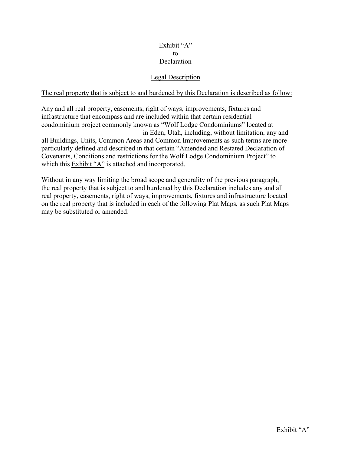## Exhibit "A" to Declaration

## Legal Description

## The real property that is subject to and burdened by this Declaration is described as follow:

Any and all real property, easements, right of ways, improvements, fixtures and infrastructure that encompass and are included within that certain residential condominium project commonly known as "Wolf Lodge Condominiums" located at \_\_\_\_\_\_\_\_\_\_\_\_\_\_\_\_\_\_\_\_\_\_\_\_\_\_\_\_\_ in Eden, Utah, including, without limitation, any and all Buildings, Units, Common Areas and Common Improvements as such terms are more particularly defined and described in that certain "Amended and Restated Declaration of Covenants, Conditions and restrictions for the Wolf Lodge Condominium Project" to which this Exhibit "A" is attached and incorporated.

Without in any way limiting the broad scope and generality of the previous paragraph, the real property that is subject to and burdened by this Declaration includes any and all real property, easements, right of ways, improvements, fixtures and infrastructure located on the real property that is included in each of the following Plat Maps, as such Plat Maps may be substituted or amended: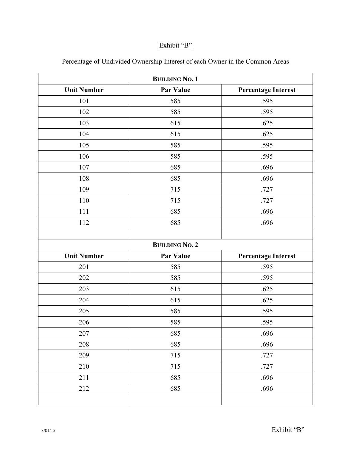## Exhibit "B"

| <b>BUILDING NO. 1</b> |                       |                            |
|-----------------------|-----------------------|----------------------------|
| <b>Unit Number</b>    | <b>Par Value</b>      | <b>Percentage Interest</b> |
| 101                   | 585                   | .595                       |
| 102                   | 585                   | .595                       |
| 103                   | 615                   | .625                       |
| 104                   | 615                   | .625                       |
| 105                   | 585                   | .595                       |
| 106                   | 585                   | .595                       |
| 107                   | 685                   | .696                       |
| 108                   | 685                   | .696                       |
| 109                   | 715                   | .727                       |
| 110                   | 715                   | .727                       |
| 111                   | 685                   | .696                       |
| 112                   | 685                   | .696                       |
|                       |                       |                            |
|                       | <b>BUILDING NO. 2</b> |                            |
| <b>Unit Number</b>    | <b>Par Value</b>      | <b>Percentage Interest</b> |
| 201                   | 585                   | .595                       |
| 202                   | 585                   | .595                       |
| 203                   | 615                   | .625                       |
| 204                   | 615                   | .625                       |
| 205                   | 585                   | .595                       |
| 206                   | 585                   | .595                       |
| 207                   | 685                   | .696                       |
| 208                   | 685                   | .696                       |
| 209                   | 715                   | .727                       |
| 210                   | 715                   | .727                       |
| 211                   | 685                   | .696                       |
| 212                   | 685                   | .696                       |
|                       |                       |                            |

Percentage of Undivided Ownership Interest of each Owner in the Common Areas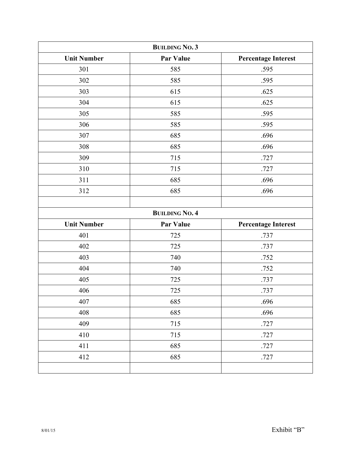| <b>BUILDING NO. 3</b> |                       |                            |
|-----------------------|-----------------------|----------------------------|
| <b>Unit Number</b>    | <b>Par Value</b>      | <b>Percentage Interest</b> |
| 301                   | 585                   | .595                       |
| 302                   | 585                   | .595                       |
| 303                   | 615                   | .625                       |
| 304                   | 615                   | .625                       |
| 305                   | 585                   | .595                       |
| 306                   | 585                   | .595                       |
| 307                   | 685                   | .696                       |
| 308                   | 685                   | .696                       |
| 309                   | 715                   | .727                       |
| 310                   | 715                   | .727                       |
| 311                   | 685                   | .696                       |
| 312                   | 685                   | .696                       |
|                       |                       |                            |
|                       | <b>BUILDING NO. 4</b> |                            |
| <b>Unit Number</b>    | <b>Par Value</b>      | <b>Percentage Interest</b> |
| 401                   | 725                   | .737                       |
| 402                   | 725                   | .737                       |
| 403                   | 740                   | .752                       |
| 404                   | 740                   | .752                       |
| 405                   | 725                   | .737                       |
| 406                   | 725                   | .737                       |
| 407                   | 685                   | .696                       |
| 408                   | 685                   | .696                       |
| 409                   | 715                   | .727                       |
| 410                   | 715                   | .727                       |
| 411                   | 685                   | .727                       |
| 412                   | 685                   | .727                       |
|                       |                       |                            |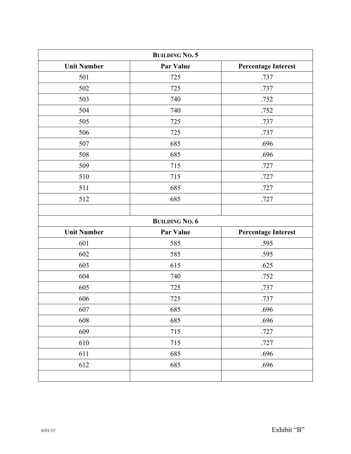| <b>BUILDING NO. 5</b> |                       |                            |
|-----------------------|-----------------------|----------------------------|
| <b>Unit Number</b>    | Par Value             | <b>Percentage Interest</b> |
| 501                   | 725                   | .737                       |
| 502                   | 725                   | .737                       |
| 503                   | 740                   | .752                       |
| 504                   | 740                   | .752                       |
| 505                   | 725                   | .737                       |
| 506                   | 725                   | .737                       |
| 507                   | 685                   | .696                       |
| 508                   | 685                   | .696                       |
| 509                   | 715                   | .727                       |
| 510                   | 715                   | .727                       |
| 511                   | 685                   | .727                       |
| 512                   | 685                   | .727                       |
|                       |                       |                            |
|                       | <b>BUILDING NO. 6</b> |                            |
| <b>Unit Number</b>    | <b>Par Value</b>      | <b>Percentage Interest</b> |
| 601                   | 585                   | .595                       |
| 602                   | 585                   | .595                       |
| 603                   | 615                   | .625                       |
| 604                   | 740                   | .752                       |
| 605                   | 725                   | .737                       |
| 606                   | 725                   | .737                       |
| 607                   | 685                   | .696                       |
| 608                   | 685                   | .696                       |
| 609                   | 715                   | .727                       |
| 610                   | 715                   | .727                       |
| 611                   | 685                   | .696                       |
| 612                   | 685                   | .696                       |
|                       |                       |                            |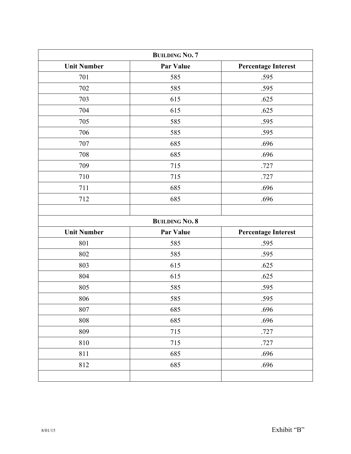| <b>BUILDING NO. 7</b> |                       |                            |
|-----------------------|-----------------------|----------------------------|
| <b>Unit Number</b>    | Par Value             | <b>Percentage Interest</b> |
| 701                   | 585                   | .595                       |
| 702                   | 585                   | .595                       |
| 703                   | 615                   | .625                       |
| 704                   | 615                   | .625                       |
| 705                   | 585                   | .595                       |
| 706                   | 585                   | .595                       |
| 707                   | 685                   | .696                       |
| 708                   | 685                   | .696                       |
| 709                   | 715                   | .727                       |
| 710                   | 715                   | .727                       |
| 711                   | 685                   | .696                       |
| 712                   | 685                   | .696                       |
|                       |                       |                            |
|                       | <b>BUILDING NO. 8</b> |                            |
| <b>Unit Number</b>    | Par Value             | <b>Percentage Interest</b> |
| 801                   | 585                   | .595                       |
| 802                   | 585                   | .595                       |
| 803                   | 615                   | .625                       |
| 804                   | 615                   | .625                       |
| 805                   | 585                   | .595                       |
| 806                   | 585                   | .595                       |
| 807                   | 685                   | .696                       |
| 808                   | 685                   | .696                       |
| 809                   | 715                   | .727                       |
| 810                   | 715                   | .727                       |
| 811                   | 685                   | .696                       |
| 812                   | 685                   | .696                       |
|                       |                       |                            |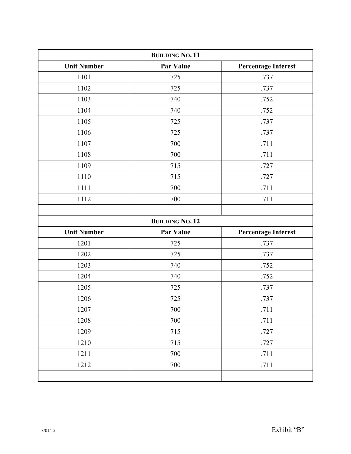| <b>BUILDING NO. 11</b> |                        |                            |
|------------------------|------------------------|----------------------------|
| <b>Unit Number</b>     | <b>Par Value</b>       | <b>Percentage Interest</b> |
| 1101                   | 725                    | .737                       |
| 1102                   | 725                    | .737                       |
| 1103                   | 740                    | .752                       |
| 1104                   | 740                    | .752                       |
| 1105                   | 725                    | .737                       |
| 1106                   | 725                    | .737                       |
| 1107                   | 700                    | .711                       |
| 1108                   | 700                    | .711                       |
| 1109                   | 715                    | .727                       |
| 1110                   | 715                    | .727                       |
| 1111                   | 700                    | .711                       |
| 1112                   | 700                    | .711                       |
|                        |                        |                            |
|                        | <b>BUILDING NO. 12</b> |                            |
| <b>Unit Number</b>     | <b>Par Value</b>       | <b>Percentage Interest</b> |
| 1201                   | 725                    | .737                       |
| 1202                   | 725                    | .737                       |
| 1203                   | 740                    | .752                       |
| 1204                   | 740                    | .752                       |
| 1205                   | 725                    | .737                       |
| 1206                   | 725                    | .737                       |
| 1207                   | 700                    | .711                       |
| 1208                   | 700                    | .711                       |
| 1209                   | 715                    | .727                       |
| 1210                   | 715                    | .727                       |
| 1211                   | 700                    | .711                       |
| 1212                   | 700                    | .711                       |
|                        |                        |                            |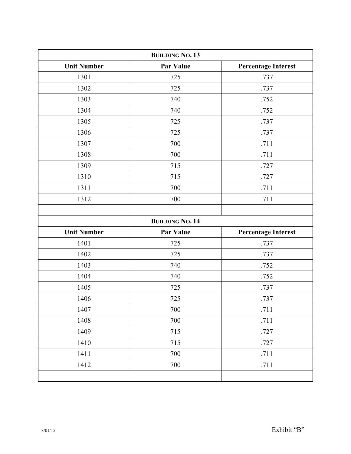| <b>BUILDING NO. 13</b> |                        |                            |
|------------------------|------------------------|----------------------------|
| <b>Unit Number</b>     | <b>Par Value</b>       | <b>Percentage Interest</b> |
| 1301                   | 725                    | .737                       |
| 1302                   | 725                    | .737                       |
| 1303                   | 740                    | .752                       |
| 1304                   | 740                    | .752                       |
| 1305                   | 725                    | .737                       |
| 1306                   | 725                    | .737                       |
| 1307                   | 700                    | .711                       |
| 1308                   | 700                    | .711                       |
| 1309                   | 715                    | .727                       |
| 1310                   | 715                    | .727                       |
| 1311                   | 700                    | .711                       |
| 1312                   | 700                    | .711                       |
|                        |                        |                            |
|                        | <b>BUILDING NO. 14</b> |                            |
| <b>Unit Number</b>     | <b>Par Value</b>       | <b>Percentage Interest</b> |
| 1401                   | 725                    | .737                       |
| 1402                   | 725                    | .737                       |
| 1403                   | 740                    | .752                       |
| 1404                   | 740                    | .752                       |
| 1405                   | 725                    | .737                       |
| 1406                   | 725                    | .737                       |
| 1407                   | 700                    | .711                       |
| 1408                   | 700                    | .711                       |
| 1409                   | 715                    | .727                       |
| 1410                   | 715                    | .727                       |
| 1411                   | 700                    | .711                       |
| 1412                   | 700                    | .711                       |
|                        |                        |                            |